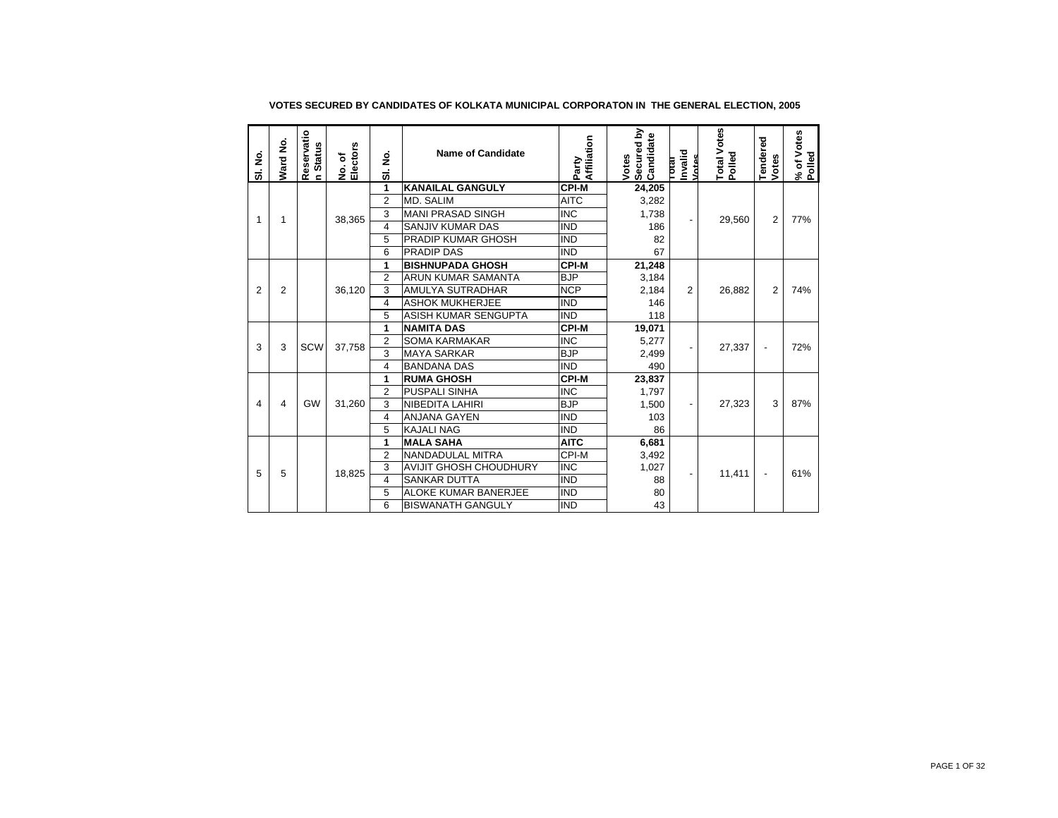| SI. No.        | Ward No. | Reservatio<br>n Status | No. of<br>Electors | SI. No.           | <b>Name of Candidate</b>      | Party<br>Affiliation | Secured by<br>Candidate<br>Votes | Invalid<br>Votes<br>Total | Total Votes<br>Polled | Tendered<br>Votes        | % of Votes<br>Polled |
|----------------|----------|------------------------|--------------------|-------------------|-------------------------------|----------------------|----------------------------------|---------------------------|-----------------------|--------------------------|----------------------|
|                |          |                        |                    | 1                 | <b>KANAILAL GANGULY</b>       | <b>CPI-M</b>         | 24,205                           |                           |                       |                          |                      |
|                |          |                        |                    | $\overline{2}$    | MD. SALIM                     | <b>AITC</b>          | 3,282                            |                           |                       |                          |                      |
| 1              | 1        |                        | 38,365             | 3                 | <b>MANI PRASAD SINGH</b>      | <b>INC</b>           | 1,738                            |                           | 29,560                | $\overline{2}$           | 77%                  |
|                |          |                        |                    | $\overline{4}$    | SANJIV KUMAR DAS              | <b>IND</b>           | 186                              |                           |                       |                          |                      |
|                |          |                        |                    | 5                 | <b>PRADIP KUMAR GHOSH</b>     | <b>IND</b>           | 82                               |                           |                       |                          |                      |
|                |          |                        |                    | 6                 | PRADIP DAS                    | <b>IND</b>           | 67                               |                           |                       |                          |                      |
|                |          |                        |                    | 1                 | <b>BISHNUPADA GHOSH</b>       | <b>CPI-M</b>         | 21,248                           |                           |                       |                          |                      |
|                |          |                        |                    | $\overline{2}$    | ARUN KUMAR SAMANTA            | <b>BJP</b>           | 3,184                            |                           |                       |                          |                      |
| $\overline{2}$ | 2        |                        | 36,120             | 3                 | <b>AMULYA SUTRADHAR</b>       | <b>NCP</b>           | 2,184                            | 2                         | 26,882                | $\overline{2}$           | 74%                  |
|                |          |                        |                    | $\overline{4}$    | <b>ASHOK MUKHERJEE</b>        | <b>IND</b>           | 146                              |                           |                       |                          |                      |
|                |          |                        |                    | 5                 | ASISH KUMAR SENGUPTA          | <b>IND</b>           | 118                              |                           |                       |                          |                      |
|                |          |                        | 1                  | <b>NAMITA DAS</b> | <b>CPI-M</b>                  | 19,071               |                                  |                           |                       |                          |                      |
| 3              | 3        | <b>SCW</b>             | 37,758             | $\overline{2}$    | <b>SOMA KARMAKAR</b>          | <b>INC</b>           | 5,277                            |                           | 27,337                | $\overline{\phantom{a}}$ | 72%                  |
|                |          |                        |                    | 3                 | <b>MAYA SARKAR</b>            | <b>BJP</b>           | 2,499                            |                           |                       |                          |                      |
|                |          |                        |                    | $\overline{4}$    | <b>BANDANA DAS</b>            | <b>IND</b>           | 490                              |                           |                       |                          |                      |
|                |          |                        |                    | 1                 | <b>RUMA GHOSH</b>             | <b>CPI-M</b>         | 23,837                           |                           |                       |                          |                      |
|                |          |                        |                    | $\overline{2}$    | <b>PUSPALI SINHA</b>          | <b>INC</b>           | 1,797                            |                           |                       |                          |                      |
| 4              | 4        | GW                     | 31,260             | 3                 | <b>NIBEDITA LAHIRI</b>        | <b>BJP</b>           | 1,500                            |                           | 27,323                | 3                        | 87%                  |
|                |          |                        |                    | $\overline{4}$    | <b>ANJANA GAYEN</b>           | <b>IND</b>           | 103                              |                           |                       |                          |                      |
|                |          |                        |                    | 5                 | <b>KAJALI NAG</b>             | <b>IND</b>           | 86                               |                           |                       |                          |                      |
|                |          |                        |                    | 1                 | <b>MALA SAHA</b>              | <b>AITC</b>          | 6,681                            |                           |                       |                          |                      |
|                |          |                        |                    | $\overline{2}$    | NANDADULAL MITRA              | CPI-M                | 3,492                            |                           |                       |                          |                      |
| 5              | 5        |                        | 18,825             | 3                 | <b>AVIJIT GHOSH CHOUDHURY</b> | <b>INC</b>           | 1,027                            |                           | 11,411                | $\overline{\phantom{a}}$ | 61%                  |
|                |          |                        |                    | 4                 | <b>SANKAR DUTTA</b>           | <b>IND</b>           | 88                               |                           |                       |                          |                      |
|                |          |                        |                    | 5                 | <b>ALOKE KUMAR BANERJEE</b>   | <b>IND</b>           | 80                               |                           |                       |                          |                      |
|                |          |                        |                    | 6                 | <b>BISWANATH GANGULY</b>      | <b>IND</b>           | 43                               |                           |                       |                          |                      |

## **VOTES SECURED BY CANDIDATES OF KOLKATA MUNICIPAL CORPORATON IN THE GENERAL ELECTION, 2005**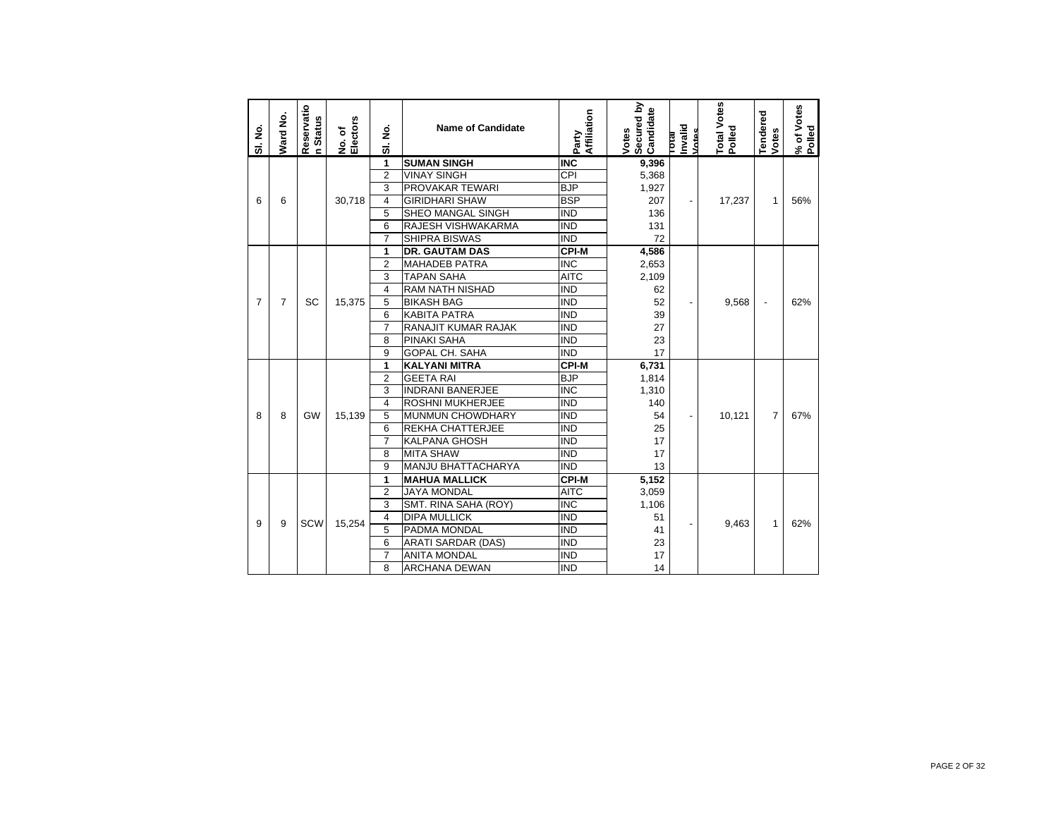| SI. No.        | Ward No.       | Reservatio<br><b>Status</b><br>$\epsilon$ | No. of<br>Electors | SI. No.        | <b>Name of Candidate</b>  | Party<br>Affiliation    | Secured by<br>Candidate<br>Votes | Invalid<br>Votes<br><b>IPOLE</b> | Total Votes<br>Polled | Tendered<br>Votes        | % of Votes<br>Polled |
|----------------|----------------|-------------------------------------------|--------------------|----------------|---------------------------|-------------------------|----------------------------------|----------------------------------|-----------------------|--------------------------|----------------------|
|                |                |                                           |                    | 1              | <b>SUMAN SINGH</b>        | <b>INC</b>              | 9,396                            |                                  |                       |                          |                      |
|                |                |                                           |                    | $\overline{2}$ | <b>VINAY SINGH</b>        | CPI                     | 5,368                            |                                  |                       |                          |                      |
|                |                |                                           |                    | 3              | PROVAKAR TEWARI           | <b>BJP</b>              | 1,927                            |                                  |                       |                          |                      |
| 6              | 6              |                                           | 30,718             | $\overline{4}$ | <b>GIRIDHARI SHAW</b>     | <b>BSP</b>              | 207                              | $\overline{\phantom{a}}$         | 17,237                | 1                        | 56%                  |
|                |                |                                           |                    | 5              | SHEO MANGAL SINGH         | <b>IND</b>              | 136                              |                                  |                       |                          |                      |
|                |                |                                           |                    | 6              | RAJESH VISHWAKARMA        | <b>IND</b>              | 131                              |                                  |                       |                          |                      |
|                |                |                                           |                    | $\overline{7}$ | <b>SHIPRA BISWAS</b>      | <b>IND</b>              | 72                               |                                  |                       |                          |                      |
|                |                |                                           |                    | 1              | <b>DR. GAUTAM DAS</b>     | CPI-M                   | 4,586                            |                                  |                       |                          |                      |
|                |                |                                           |                    | $\overline{2}$ | <b>MAHADEB PATRA</b>      | <b>INC</b>              | 2,653                            |                                  |                       |                          |                      |
|                |                |                                           |                    | 3              | <b>TAPAN SAHA</b>         | <b>AITC</b>             | 2,109                            |                                  |                       |                          |                      |
|                |                |                                           |                    | $\overline{4}$ | <b>RAM NATH NISHAD</b>    | <b>IND</b>              | 62                               |                                  |                       |                          |                      |
| $\overline{7}$ | $\overline{7}$ | SC                                        | 15,375             | 5              | <b>BIKASH BAG</b>         | <b>IND</b>              | 52                               | $\overline{\phantom{a}}$         | 9,568                 | $\overline{\phantom{m}}$ | 62%                  |
|                |                |                                           |                    | 6              | <b>KABITA PATRA</b>       | <b>IND</b>              | 39                               |                                  |                       |                          |                      |
|                |                |                                           |                    | $\overline{7}$ | RANAJIT KUMAR RAJAK       | <b>IND</b>              | 27                               |                                  |                       |                          |                      |
|                |                |                                           |                    | 8              | PINAKI SAHA               | <b>IND</b>              | 23                               |                                  |                       |                          |                      |
|                |                |                                           |                    | 9              | <b>GOPAL CH. SAHA</b>     | <b>IND</b>              | 17                               |                                  |                       |                          |                      |
|                |                |                                           |                    | 1              | <b>KALYANI MITRA</b>      | <b>CPI-M</b>            | 6,731                            |                                  |                       |                          |                      |
|                |                |                                           |                    | $\overline{2}$ | <b>GEETA RAI</b>          | <b>BJP</b>              | 1,814                            |                                  |                       |                          |                      |
|                |                |                                           |                    | 3              | <b>INDRANI BANERJEE</b>   | $\overline{\text{INC}}$ | 1,310                            |                                  |                       |                          |                      |
|                |                |                                           |                    | $\overline{4}$ | <b>ROSHNI MUKHERJEE</b>   | <b>IND</b>              | 140                              |                                  |                       |                          |                      |
| 8              | 8              | <b>GW</b>                                 | 15,139             | 5              | MUNMUN CHOWDHARY          | <b>IND</b>              | 54                               |                                  | 10,121                | $\overline{7}$           | 67%                  |
|                |                |                                           |                    | 6              | <b>REKHA CHATTERJEE</b>   | <b>IND</b>              | 25                               |                                  |                       |                          |                      |
|                |                |                                           |                    | $\overline{7}$ | <b>KALPANA GHOSH</b>      | <b>IND</b>              | 17                               |                                  |                       |                          |                      |
|                |                |                                           |                    | 8              | <b>MITA SHAW</b>          | <b>IND</b>              | 17                               |                                  |                       |                          |                      |
|                |                |                                           |                    | 9              | MANJU BHATTACHARYA        | <b>IND</b>              | 13                               |                                  |                       |                          |                      |
|                |                |                                           |                    | 1              | <b>MAHUA MALLICK</b>      | <b>CPI-M</b>            | 5,152                            |                                  |                       |                          |                      |
|                |                |                                           |                    | $\overline{2}$ | <b>JAYA MONDAL</b>        | <b>AITC</b>             | 3,059                            |                                  |                       |                          |                      |
|                |                |                                           |                    | 3              | SMT. RINA SAHA (ROY)      | <b>INC</b>              | 1,106                            |                                  |                       |                          |                      |
| 9              | 9              | SCW                                       | 15,254             | $\overline{4}$ | <b>DIPA MULLICK</b>       | <b>IND</b>              | 51                               |                                  | 9,463                 | 1                        | 62%                  |
|                |                |                                           |                    | 5              | PADMA MONDAL              | <b>IND</b>              | 41                               |                                  |                       |                          |                      |
|                |                |                                           |                    | 6              | <b>ARATI SARDAR (DAS)</b> | <b>IND</b>              | 23                               |                                  |                       |                          |                      |
|                |                |                                           |                    | $\overline{7}$ | <b>ANITA MONDAL</b>       | <b>IND</b>              | 17                               |                                  |                       |                          |                      |
|                |                |                                           |                    | 8              | <b>ARCHANA DEWAN</b>      | <b>IND</b>              | 14                               |                                  |                       |                          |                      |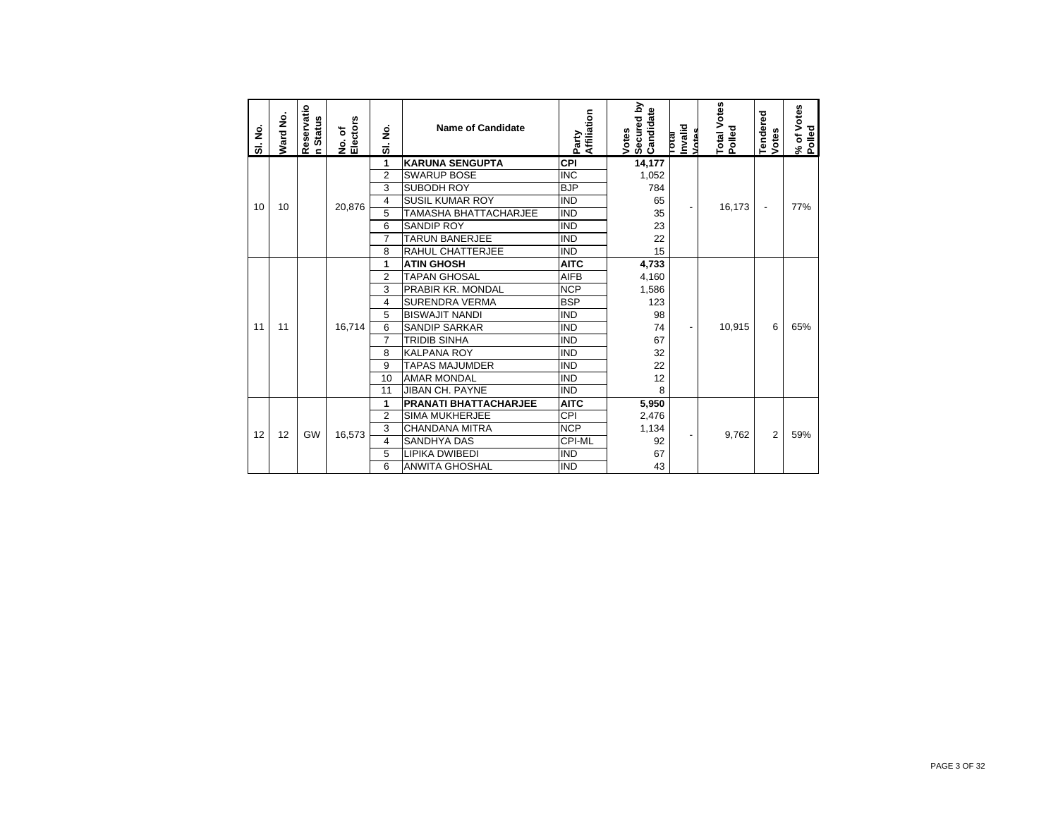| SI. No. | Ward No. | Reservatio<br>n Status | No. of<br>Electors | SI. No.        | <b>Name of Candidate</b>     | Party<br>Affiliation | Secured by<br>Candidate<br>Votes | hvalid<br>Votes<br><b>TOTAL</b> | Total Votes<br>Polled | Tendered<br>Votes        | % of Votes<br>Polled |
|---------|----------|------------------------|--------------------|----------------|------------------------------|----------------------|----------------------------------|---------------------------------|-----------------------|--------------------------|----------------------|
|         |          |                        |                    | 1              | <b>KARUNA SENGUPTA</b>       | <b>CPI</b>           | 14,177                           |                                 |                       |                          |                      |
|         |          |                        |                    | $\overline{2}$ | <b>SWARUP BOSE</b>           | <b>INC</b>           | 1,052                            |                                 |                       |                          |                      |
|         |          |                        |                    | 3              | SUBODH ROY                   | <b>BJP</b>           | 784                              |                                 |                       |                          |                      |
| 10      | 10       |                        | 20,876             | $\overline{4}$ | <b>SUSIL KUMAR ROY</b>       | <b>IND</b>           | 65                               |                                 | 16,173                | $\overline{\phantom{a}}$ | 77%                  |
|         |          |                        |                    | 5              | TAMASHA BHATTACHARJEE        | <b>IND</b>           | 35                               |                                 |                       |                          |                      |
|         |          |                        |                    | 6              | <b>SANDIP ROY</b>            | <b>IND</b>           | 23                               |                                 |                       |                          |                      |
|         |          |                        |                    | $\overline{7}$ | <b>TARUN BANERJEE</b>        | <b>IND</b>           | 22                               |                                 |                       |                          |                      |
|         |          |                        |                    | 8              | RAHUL CHATTERJEE             | <b>IND</b>           | 15                               |                                 |                       |                          |                      |
|         |          |                        |                    | 1              | <b>ATIN GHOSH</b>            | <b>AITC</b>          | 4,733                            |                                 |                       |                          |                      |
|         |          |                        |                    | $\overline{2}$ | <b>TAPAN GHOSAL</b>          | <b>AIFB</b>          | 4,160                            |                                 |                       |                          |                      |
|         |          |                        |                    | 3              | PRABIR KR. MONDAL            | <b>NCP</b>           | 1,586                            |                                 |                       |                          |                      |
|         |          |                        |                    | $\overline{4}$ | <b>SURENDRA VERMA</b>        | <b>BSP</b>           | 123                              |                                 |                       |                          |                      |
|         |          |                        |                    | 5              | <b>BISWAJIT NANDI</b>        | <b>IND</b>           | 98                               |                                 |                       |                          |                      |
| 11      | 11       |                        | 16,714             | 6              | <b>SANDIP SARKAR</b>         | <b>IND</b>           | 74                               |                                 | 10,915                | 6                        | 65%                  |
|         |          |                        |                    | $\overline{7}$ | <b>TRIDIB SINHA</b>          | <b>IND</b>           | 67                               |                                 |                       |                          |                      |
|         |          |                        |                    | 8              | <b>KALPANA ROY</b>           | <b>IND</b>           | 32                               |                                 |                       |                          |                      |
|         |          |                        |                    | 9              | <b>TAPAS MAJUMDER</b>        | <b>IND</b>           | 22                               |                                 |                       |                          |                      |
|         |          |                        |                    | 10             | <b>AMAR MONDAL</b>           | <b>IND</b>           | 12                               |                                 |                       |                          |                      |
|         |          |                        |                    | 11             | <b>JIBAN CH. PAYNE</b>       | <b>IND</b>           | 8                                |                                 |                       |                          |                      |
|         |          |                        |                    | 1              | <b>PRANATI BHATTACHARJEE</b> | <b>AITC</b>          | 5,950                            |                                 |                       |                          |                      |
|         |          |                        |                    | $\overline{2}$ | <b>SIMA MUKHERJEE</b>        | CPI                  | 2,476                            |                                 |                       |                          |                      |
| 12      | 12       | GW                     | 16,573             | 3              | <b>CHANDANA MITRA</b>        | <b>NCP</b>           | 1,134                            |                                 | 9,762                 | 2                        | 59%                  |
|         |          |                        |                    | $\overline{4}$ | <b>SANDHYA DAS</b>           | CPI-ML               | 92                               |                                 |                       |                          |                      |
|         |          |                        |                    | 5              | <b>LIPIKA DWIBEDI</b>        | <b>IND</b>           | 67                               |                                 |                       |                          |                      |
|         |          |                        |                    | 6              | <b>ANWITA GHOSHAL</b>        | <b>IND</b>           | 43                               |                                 |                       |                          |                      |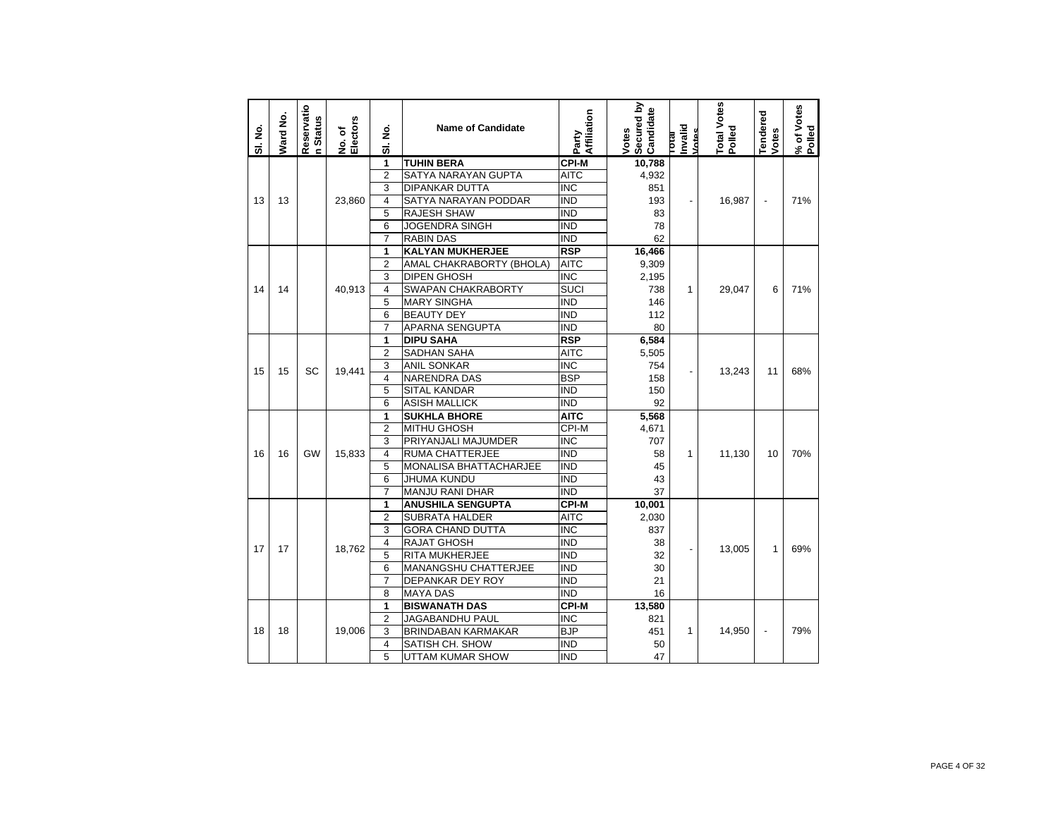| SI. No. | Ward No. | Reservatio<br>n Status | No. of<br>Electors | ş<br>ಹ                  | <b>Name of Candidate</b>      | Affiliation<br>Party      | Secured by<br>Candidate<br>Votes | Invalid<br>Votes<br><b>IP10</b> | Total Votes<br>Polled | <b>Tendered</b><br>Votes | % of Votes<br>Polled |
|---------|----------|------------------------|--------------------|-------------------------|-------------------------------|---------------------------|----------------------------------|---------------------------------|-----------------------|--------------------------|----------------------|
|         |          |                        |                    | 1                       | <b>TUHIN BERA</b>             | <b>CPI-M</b>              | 10,788                           |                                 |                       |                          |                      |
|         |          |                        |                    | $\overline{2}$          | <b>SATYA NARAYAN GUPTA</b>    | <b>AITC</b>               | 4,932                            |                                 |                       |                          |                      |
|         |          |                        |                    | 3                       | <b>DIPANKAR DUTTA</b>         | $\overline{\text{INC}}$   | 851                              |                                 |                       |                          |                      |
| 13      | 13       |                        | 23,860             | 4                       | SATYA NARAYAN PODDAR          | IND                       | 193                              |                                 | 16,987                | $\overline{a}$           | 71%                  |
|         |          |                        |                    | 5                       | <b>RAJESH SHAW</b>            | <b>IND</b>                | 83                               |                                 |                       |                          |                      |
|         |          |                        |                    | 6                       | <b>JOGENDRA SINGH</b>         | <b>IND</b>                | 78                               |                                 |                       |                          |                      |
|         |          |                        |                    | $\overline{7}$          | <b>RABIN DAS</b>              | IND                       | 62                               |                                 |                       |                          |                      |
|         |          |                        |                    | 1                       | <b>KALYAN MUKHERJEE</b>       | <b>RSP</b>                | 16,466                           |                                 |                       |                          |                      |
|         |          |                        |                    | $\overline{2}$          | AMAL CHAKRABORTY (BHOLA)      | <b>AITC</b>               | 9,309                            |                                 |                       |                          |                      |
|         |          |                        |                    | 3                       | <b>DIPEN GHOSH</b>            | <b>INC</b>                | 2,195                            |                                 |                       |                          |                      |
| 14      | 14       |                        | 40,913             | $\overline{\mathbf{4}}$ | SWAPAN CHAKRABORTY            | <b>SUCI</b>               | 738                              | $\mathbf{1}$                    | 29,047                | 6                        | 71%                  |
|         |          |                        |                    | 5                       | <b>MARY SINGHA</b>            | ind                       | 146                              |                                 |                       |                          |                      |
|         |          |                        |                    | 6                       | <b>BEAUTY DEY</b>             | <b>IND</b>                | 112                              |                                 |                       |                          |                      |
|         |          |                        |                    | 7                       | APARNA SENGUPTA               | IND                       | 80                               |                                 |                       |                          |                      |
|         |          |                        |                    | 1                       | <b>DIPU SAHA</b>              | <b>RSP</b>                | 6,584                            |                                 |                       |                          |                      |
|         |          |                        |                    | $\overline{2}$          | <b>SADHAN SAHA</b>            | AITC                      | 5,505                            |                                 |                       |                          |                      |
| 15      | 15       | SC                     | 19,441             | 3                       | <b>ANIL SONKAR</b>            | $\overline{\mathsf{INC}}$ | 754                              |                                 | 13,243                | 11                       | 68%                  |
|         |          |                        |                    | 4                       | <b>NARENDRA DAS</b>           | <b>BSP</b>                | 158                              |                                 |                       |                          |                      |
|         |          |                        |                    | 5                       | <b>SITAL KANDAR</b>           | $\overline{\text{IND}}$   | 150                              |                                 |                       |                          |                      |
|         |          |                        |                    | 6                       | <b>ASISH MALLICK</b>          | IND                       | 92                               |                                 |                       |                          |                      |
|         |          |                        |                    | 1                       | <b>SUKHLA BHORE</b>           | <b>AITC</b>               | 5,568                            |                                 |                       |                          |                      |
|         |          |                        |                    | $\overline{2}$          | <b>MITHU GHOSH</b>            | CPI-M                     | 4,671                            |                                 |                       |                          |                      |
|         |          |                        |                    | 3                       | PRIYANJALI MAJUMDER           | <b>INC</b>                | 707                              |                                 |                       |                          |                      |
| 16      | 16       | GW                     | 15,833             | 4                       | RUMA CHATTERJEE               | ind                       | 58                               | 1                               | 11,130                | 10                       | 70%                  |
|         |          |                        |                    | 5                       | <b>MONALISA BHATTACHARJEE</b> | <b>IND</b>                | 45                               |                                 |                       |                          |                      |
|         |          |                        |                    | 6                       | <b>JHUMA KUNDU</b>            | <b>IND</b>                | 43                               |                                 |                       |                          |                      |
|         |          |                        |                    | $\overline{7}$          | <b>MANJU RANI DHAR</b>        | <b>IND</b>                | 37                               |                                 |                       |                          |                      |
|         |          |                        |                    | 1                       | <b>ANUSHILA SENGUPTA</b>      | <b>CPI-M</b>              | 10,001                           |                                 |                       |                          |                      |
|         |          |                        |                    | $\overline{2}$          | <b>SUBRATA HALDER</b>         | <b>AITC</b>               | 2,030                            |                                 |                       |                          |                      |
|         |          |                        |                    | 3                       | <b>GORA CHAND DUTTA</b>       | <b>INC</b>                | 837                              |                                 |                       |                          |                      |
|         |          |                        |                    | 4                       | <b>RAJAT GHOSH</b>            | $\overline{\text{IND}}$   | 38                               |                                 |                       | 1                        | 69%                  |
| 17      | 17       |                        | 18,762             | 5                       | <b>RITA MUKHERJEE</b>         | IND                       | 32                               |                                 | 13,005                |                          |                      |
|         |          |                        |                    | 6                       | MANANGSHU CHATTERJEE          | IND                       | 30                               |                                 |                       |                          |                      |
|         |          |                        |                    | $\overline{7}$          | <b>DEPANKAR DEY ROY</b>       | <b>IND</b>                | 21                               |                                 |                       |                          |                      |
|         |          |                        |                    | 8                       | <b>MAYA DAS</b>               | <b>IND</b>                | 16                               |                                 |                       |                          |                      |
|         |          |                        |                    | 1                       | <b>BISWANATH DAS</b>          | <b>CPI-M</b>              | 13,580                           |                                 |                       |                          |                      |
|         |          |                        |                    | $\overline{2}$          | JAGABANDHU PAUL               | $\overline{\mathsf{INC}}$ | 821                              |                                 |                       |                          |                      |
| 18      | 18       |                        | 19,006             | 3                       | <b>BRINDABAN KARMAKAR</b>     | BJP                       | 451                              | $\mathbf{1}$                    | 14,950                | $\blacksquare$           | 79%                  |
|         |          |                        |                    | 4                       | SATISH CH. SHOW               | <b>IND</b>                | 50                               |                                 |                       |                          |                      |
|         |          |                        |                    | 5                       | UTTAM KUMAR SHOW              | <b>IND</b>                | 47                               |                                 |                       |                          |                      |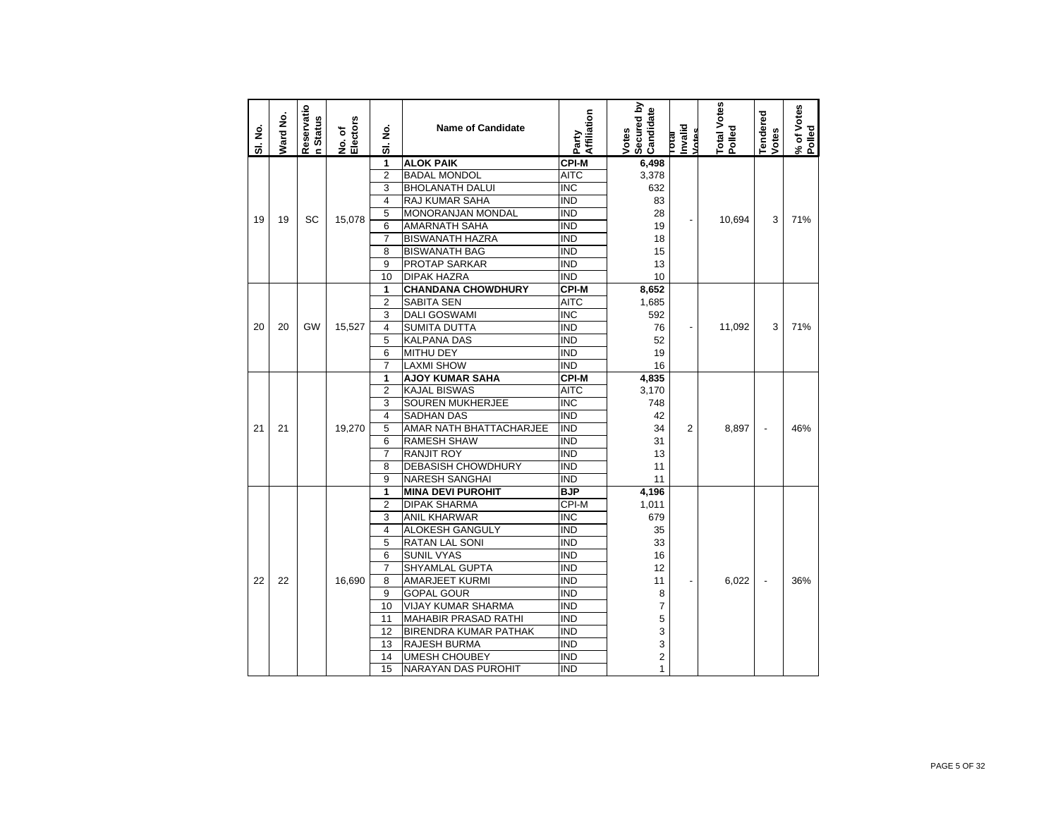| SI. No. | Ward No. | Reservatio<br>n Status | No. of<br>Electors | ş<br>ಹ         | <b>Name of Candidate</b>     | Affiliation<br>Party | Secured by<br>Candidate<br>Votes | Invalid<br><b>Intas</b><br>σtaτ | otal Votes<br>Polled | <b>Tendered</b><br>Votes | % of Votes<br>Polled |
|---------|----------|------------------------|--------------------|----------------|------------------------------|----------------------|----------------------------------|---------------------------------|----------------------|--------------------------|----------------------|
|         |          |                        |                    | 1              | <b>ALOK PAIK</b>             | <b>CPI-M</b>         | 6,498                            |                                 |                      |                          |                      |
|         |          |                        |                    | $\overline{2}$ | <b>BADAL MONDOL</b>          | <b>AITC</b>          | 3,378                            |                                 |                      |                          |                      |
|         |          |                        |                    | 3              | <b>BHOLANATH DALUI</b>       | INC                  | 632                              |                                 |                      |                          |                      |
|         |          |                        |                    | 4              | RAJ KUMAR SAHA               | <b>IND</b>           | 83                               |                                 |                      |                          |                      |
| 19      | 19       | SC                     | 15,078             | 5              | MONORANJAN MONDAL            | IND                  | 28                               |                                 | 10,694               | 3                        | 71%                  |
|         |          |                        |                    | 6              | <b>AMARNATH SAHA</b>         | <b>IND</b>           | 19                               |                                 |                      |                          |                      |
|         |          |                        |                    | 7              | <b>BISWANATH HAZRA</b>       | <b>IND</b>           | 18                               |                                 |                      |                          |                      |
|         |          |                        |                    | 8              | <b>BISWANATH BAG</b>         | IND                  | 15                               |                                 |                      |                          |                      |
|         |          |                        |                    | 9              | <b>PROTAP SARKAR</b>         | <b>IND</b>           | 13                               |                                 |                      |                          |                      |
|         |          |                        |                    | 10             | <b>DIPAK HAZRA</b>           | <b>IND</b>           | 10                               |                                 |                      |                          |                      |
|         |          |                        |                    | 1              | <b>CHANDANA CHOWDHURY</b>    | <b>CPI-M</b>         | 8,652                            |                                 |                      |                          |                      |
|         |          |                        |                    | $\overline{2}$ | <b>SABITA SEN</b>            | <b>AITC</b>          | 1,685                            |                                 |                      |                          |                      |
|         |          |                        |                    | 3              | <b>DALI GOSWAMI</b>          | <b>INC</b>           | 592                              |                                 |                      |                          |                      |
| 20      | 20       | GW                     | 15,527             | 4              | <b>SUMITA DUTTA</b>          | <b>IND</b>           | 76                               |                                 | 11.092               | 3                        | 71%                  |
|         |          |                        |                    | 5              | <b>KALPANA DAS</b>           | <b>IND</b>           | 52                               |                                 |                      |                          |                      |
|         |          |                        |                    | 6              | <b>MITHU DEY</b>             | <b>IND</b>           | 19                               |                                 |                      |                          |                      |
|         |          |                        |                    | $\overline{7}$ | <b>LAXMI SHOW</b>            | <b>IND</b>           | 16                               |                                 |                      |                          |                      |
|         |          |                        |                    | 1              | <b>AJOY KUMAR SAHA</b>       | <b>CPI-M</b>         | 4,835                            |                                 |                      |                          |                      |
|         |          |                        |                    | $\overline{2}$ | <b>KAJAL BISWAS</b>          | <b>AITC</b>          | 3,170                            |                                 |                      |                          |                      |
|         |          |                        |                    | 3              | <b>SOUREN MUKHERJEE</b>      | <b>INC</b>           | 748                              |                                 |                      |                          |                      |
|         |          |                        |                    | $\overline{4}$ | <b>SADHAN DAS</b>            | $\overline{IND}$     | 42                               |                                 |                      |                          |                      |
| 21      | 21       |                        | 19,270             | 5              | AMAR NATH BHATTACHARJEE      | <b>IND</b>           | 34                               | 2                               | 8,897                | $\overline{\phantom{a}}$ | 46%                  |
|         |          |                        |                    | 6              | <b>RAMESH SHAW</b>           | <b>IND</b>           | 31                               |                                 |                      |                          |                      |
|         |          |                        |                    | $\overline{7}$ | <b>RANJIT ROY</b>            | <b>IND</b>           | 13                               |                                 |                      |                          |                      |
|         |          |                        |                    | 8              | <b>DEBASISH CHOWDHURY</b>    | IND                  | 11                               |                                 |                      |                          |                      |
|         |          |                        |                    | 9              | <b>NARESH SANGHAI</b>        | <b>IND</b>           | 11                               |                                 |                      |                          |                      |
|         |          |                        |                    | 1              | <b>MINA DEVI PUROHIT</b>     | <b>BJP</b>           | 4,196                            |                                 |                      |                          |                      |
|         |          |                        |                    | 2              | <b>DIPAK SHARMA</b>          | CPI-M                | 1,011                            |                                 |                      |                          |                      |
|         |          |                        |                    | 3              | ANIL KHARWAR                 | INC                  | 679                              |                                 |                      |                          |                      |
|         |          |                        |                    | $\overline{4}$ | ALOKESH GANGULY              | <b>IND</b>           | 35                               |                                 |                      |                          |                      |
|         |          |                        |                    | 5              | <b>RATAN LAL SONI</b>        | <b>IND</b>           | 33                               |                                 |                      |                          |                      |
|         |          |                        |                    | 6              | <b>SUNIL VYAS</b>            | <b>IND</b>           | 16                               |                                 |                      |                          |                      |
|         |          |                        |                    | $\overline{7}$ | SHYAMLAL GUPTA               | IND                  | 12                               |                                 |                      |                          |                      |
| 22      | 22       |                        | 16.690             | 8              | <b>AMARJEET KURMI</b>        | IND                  | 11                               |                                 | 6.022                | $\overline{a}$           | 36%                  |
|         |          |                        |                    | 9              | <b>GOPAL GOUR</b>            | <b>IND</b>           | 8                                |                                 |                      |                          |                      |
|         |          |                        |                    | 10             | <b>VIJAY KUMAR SHARMA</b>    | <b>IND</b>           | 7                                |                                 |                      |                          |                      |
|         |          |                        |                    | 11             | <b>MAHABIR PRASAD RATHI</b>  | <b>IND</b>           | 5                                |                                 |                      |                          |                      |
|         |          |                        |                    | 12             | <b>BIRENDRA KUMAR PATHAK</b> | <b>IND</b>           | 3                                |                                 |                      |                          |                      |
|         |          |                        |                    | 13             | <b>RAJESH BURMA</b>          | <b>IND</b>           | 3                                |                                 |                      |                          |                      |
|         |          |                        |                    | 14             | <b>UMESH CHOUBEY</b>         | <b>IND</b>           | $\overline{2}$                   |                                 |                      |                          |                      |
|         |          |                        |                    | 15             | NARAYAN DAS PUROHIT          | <b>IND</b>           | $\mathbf{1}$                     |                                 |                      |                          |                      |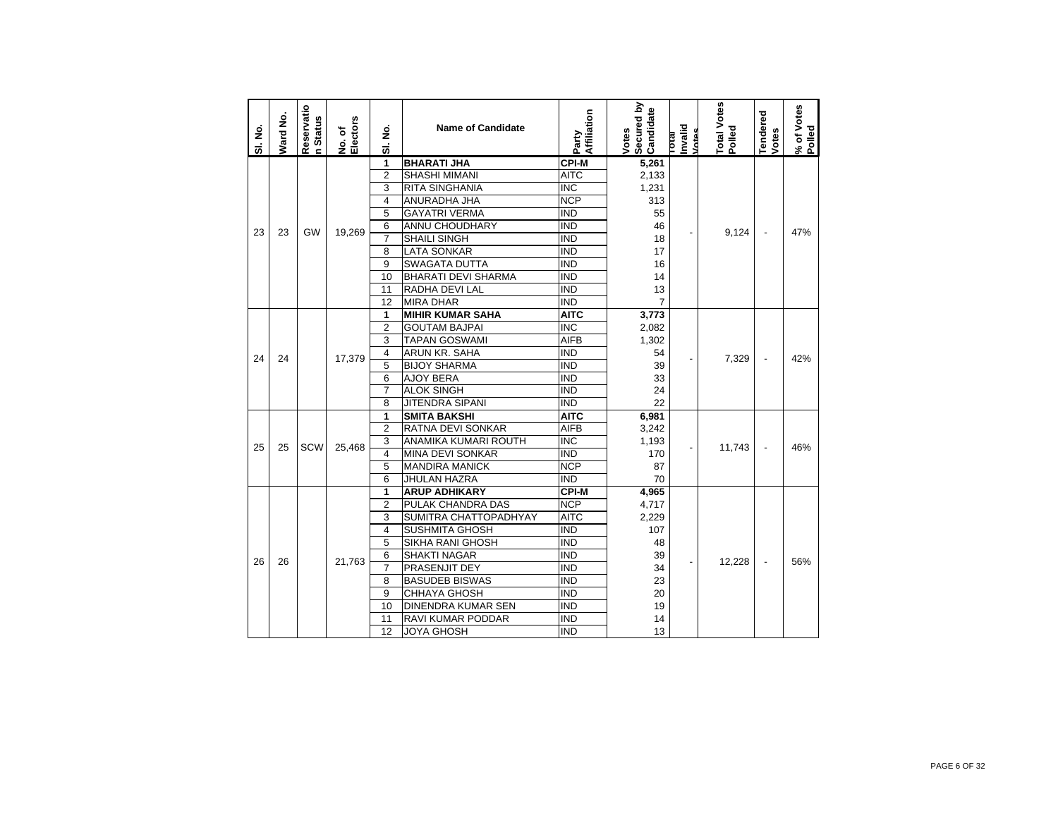| SI. No. | Ward No. | Reservatio<br>n Status | No. of<br>Electors | غ<br>ع<br>ಹ       | <b>Name of Candidate</b>   | Affiliation<br>Party    | Secured by<br>Candidate<br>Votes | Invalid<br>Votes<br>leno | Total Votes<br>Polled | <b>Tendered</b><br>Votes | % of Votes<br>Polled |
|---------|----------|------------------------|--------------------|-------------------|----------------------------|-------------------------|----------------------------------|--------------------------|-----------------------|--------------------------|----------------------|
|         |          |                        |                    | 1                 | <b>BHARATI JHA</b>         | <b>CPI-M</b>            | 5,261                            |                          |                       |                          |                      |
|         |          |                        |                    | $\overline{2}$    | <b>SHASHI MIMANI</b>       | <b>AITC</b>             | 2,133                            |                          |                       |                          |                      |
|         |          |                        |                    | 3                 | <b>RITA SINGHANIA</b>      | $\overline{\text{INC}}$ | 1,231                            |                          |                       |                          |                      |
|         |          |                        |                    | 4                 | ANURADHA JHA               | <b>NCP</b>              | 313                              |                          |                       |                          |                      |
|         |          |                        |                    | 5                 | <b>GAYATRI VERMA</b>       | <b>IND</b>              | 55                               |                          |                       |                          |                      |
|         |          |                        |                    | 6                 | ANNU CHOUDHARY             | <b>IND</b>              | 46                               |                          |                       |                          |                      |
| 23      | 23       | GW                     | 19,269             | $\overline{7}$    | <b>SHAILI SINGH</b>        | <b>IND</b>              | 18                               |                          | 9,124                 |                          | 47%                  |
|         |          |                        |                    | 8                 | <b>LATA SONKAR</b>         | <b>IND</b>              | 17                               |                          |                       |                          |                      |
|         |          |                        |                    | 9                 | <b>SWAGATA DUTTA</b>       | <b>IND</b>              | 16                               |                          |                       |                          |                      |
|         |          |                        |                    | 10                | <b>BHARATI DEVI SHARMA</b> | <b>IND</b>              | 14                               |                          |                       |                          |                      |
|         |          |                        |                    | 11                | RADHA DEVI LAL             | <b>IND</b>              | 13                               |                          |                       |                          |                      |
|         |          |                        |                    | 12                | <b>MIRA DHAR</b>           | <b>IND</b>              | $\overline{7}$                   |                          |                       |                          |                      |
|         |          |                        |                    | 1                 | <b>MIHIR KUMAR SAHA</b>    | AITC                    | 3,773                            |                          |                       |                          |                      |
|         |          |                        |                    | $\overline{2}$    | <b>GOUTAM BAJPAI</b>       | $\overline{\text{INC}}$ | 2,082                            |                          |                       |                          |                      |
|         |          |                        |                    | 3                 | <b>TAPAN GOSWAMI</b>       | AIFB                    | 1,302                            |                          |                       |                          |                      |
|         | 24<br>24 |                        |                    | 4                 | ARUN KR. SAHA              | <b>IND</b>              | 54                               |                          |                       |                          |                      |
|         |          |                        | 17,379             | 5                 | <b>BIJOY SHARMA</b>        | <b>IND</b>              | 39                               |                          | 7,329                 | $\overline{\phantom{a}}$ | 42%                  |
|         |          |                        |                    | 6                 | <b>AJOY BERA</b>           | <b>IND</b>              | 33                               |                          |                       |                          |                      |
|         |          |                        |                    | $\overline{7}$    | <b>ALOK SINGH</b>          | <b>IND</b>              | 24                               |                          |                       |                          |                      |
|         |          |                        |                    | 8                 | JITENDRA SIPANI            | <b>IND</b>              | 22                               |                          |                       |                          |                      |
|         |          |                        |                    | 1                 | <b>SMITA BAKSHI</b>        | <b>AITC</b>             | 6,981                            |                          |                       |                          |                      |
|         |          |                        |                    | $\overline{2}$    | RATNA DEVI SONKAR          | <b>AIFB</b>             | 3,242                            |                          |                       |                          |                      |
| 25      | 25       | SCW                    | 25,468             | 3                 | ANAMIKA KUMARI ROUTH       | <b>INC</b>              | 1,193                            |                          | 11,743                | $\overline{\phantom{a}}$ | 46%                  |
|         |          |                        |                    | 4                 | <b>MINA DEVI SONKAR</b>    | <b>IND</b>              | 170                              |                          |                       |                          |                      |
|         |          |                        |                    | 5                 | <b>MANDIRA MANICK</b>      | <b>NCP</b>              | 87                               |                          |                       |                          |                      |
|         |          |                        |                    | 6                 | JHULAN HAZRA               | <b>IND</b>              | 70                               |                          |                       |                          |                      |
|         |          |                        |                    | 1                 | <b>ARUP ADHIKARY</b>       | <b>CPI-M</b>            | 4,965                            |                          |                       |                          |                      |
|         |          |                        |                    | $\overline{2}$    | PULAK CHANDRA DAS          | <b>NCP</b>              | 4,717                            |                          |                       |                          |                      |
|         |          |                        |                    | 3                 | SUMITRA CHATTOPADHYAY      | <b>AITC</b>             | 2,229                            |                          |                       |                          |                      |
|         |          |                        |                    | 4                 | <b>SUSHMITA GHOSH</b>      | <b>IND</b>              | 107                              |                          |                       |                          |                      |
|         | 26<br>26 |                        |                    | 5                 | SIKHA RANI GHOSH           | <b>IND</b>              | 48                               |                          |                       |                          |                      |
|         |          |                        | 21,763             | 6                 | <b>SHAKTI NAGAR</b>        | <b>IND</b>              | 39                               |                          | 12,228                | $\overline{\phantom{a}}$ | 56%                  |
|         |          |                        |                    | $\overline{7}$    | PRASENJIT DEY              | <b>IND</b>              | 34                               |                          |                       |                          |                      |
|         |          |                        |                    | 8                 | <b>BASUDEB BISWAS</b>      | <b>IND</b>              | 23                               |                          |                       |                          |                      |
|         |          |                        |                    | 9                 | CHHAYA GHOSH               | <b>IND</b>              | 20                               |                          |                       |                          |                      |
|         |          |                        |                    | 10                | <b>DINENDRA KUMAR SEN</b>  | <b>IND</b>              | 19                               |                          |                       |                          |                      |
|         |          |                        | 11                 | RAVI KUMAR PODDAR | <b>IND</b>                 | 14                      |                                  |                          |                       |                          |                      |
|         |          |                        |                    | 12                | <b>JOYA GHOSH</b>          | <b>IND</b>              | 13                               |                          |                       |                          |                      |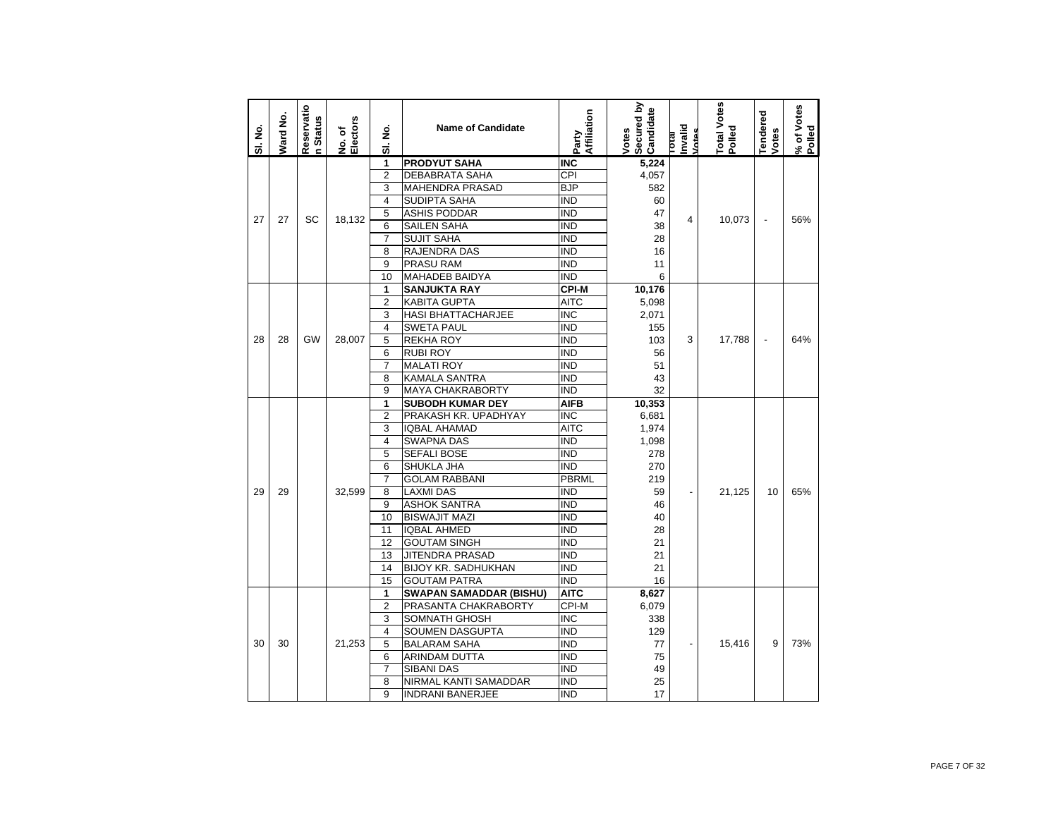| SI. No. | Ward No. | Reservatio<br><b>Status</b><br>ċ | Electors<br>No. of | غ<br>ع<br>ಹ             | <b>Name of Candidate</b>       | Affiliation<br>Party | Secured by<br>Candidate<br>Votes | Invalid<br>Vates<br><b>IR101</b> | Total Votes<br>Polled | Tendered<br>Votes | % of Votes<br>Polled |
|---------|----------|----------------------------------|--------------------|-------------------------|--------------------------------|----------------------|----------------------------------|----------------------------------|-----------------------|-------------------|----------------------|
|         |          |                                  |                    | 1                       | <b>PRODYUT SAHA</b>            | <b>INC</b>           | 5,224                            |                                  |                       |                   |                      |
|         |          |                                  |                    | $\overline{2}$          | <b>DEBABRATA SAHA</b>          | CPI                  | 4,057                            |                                  |                       |                   |                      |
|         |          |                                  |                    | 3                       | <b>MAHENDRA PRASAD</b>         | <b>BJP</b>           | 582                              |                                  |                       |                   |                      |
|         |          |                                  |                    | $\overline{\mathbf{4}}$ | <b>SUDIPTA SAHA</b>            | <b>IND</b>           | 60                               |                                  |                       |                   |                      |
| 27      | 27       | SC                               | 18,132             | 5                       | <b>ASHIS PODDAR</b>            | <b>IND</b>           | 47                               | 4                                | 10,073                | $\overline{a}$    | 56%                  |
|         |          |                                  |                    | 6                       | SAILEN SAHA                    | <b>IND</b>           | 38                               |                                  |                       |                   |                      |
|         |          |                                  |                    | $\overline{7}$          | SUJIT SAHA                     | <b>IND</b>           | 28                               |                                  |                       |                   |                      |
|         |          |                                  |                    | 8                       | RAJENDRA DAS                   | <b>IND</b>           | 16                               |                                  |                       |                   |                      |
|         |          |                                  |                    | 9                       | PRASU RAM                      | <b>IND</b>           | 11                               |                                  |                       |                   |                      |
|         |          |                                  |                    | 10                      | <b>MAHADEB BAIDYA</b>          | <b>IND</b>           | 6                                |                                  |                       |                   |                      |
|         |          |                                  |                    | 1                       | <b>SANJUKTA RAY</b>            | <b>CPI-M</b>         | 10,176                           |                                  |                       |                   |                      |
|         |          |                                  |                    | $\overline{2}$          | <b>KABITA GUPTA</b>            | <b>AITC</b>          | 5,098                            |                                  |                       |                   |                      |
|         |          |                                  |                    | 3                       | <b>HASI BHATTACHARJEE</b>      | <b>INC</b>           | 2,071                            |                                  |                       |                   |                      |
|         |          |                                  |                    | 4                       | <b>SWETA PAUL</b>              | <b>IND</b>           | 155                              |                                  |                       |                   |                      |
| 28      | 28       | <b>GW</b>                        | 28,007             | 5                       | <b>REKHA ROY</b>               | <b>IND</b>           | 103                              | 3                                | 17,788                | $\overline{a}$    | 64%                  |
|         |          |                                  |                    | 6                       | <b>RUBI ROY</b>                | <b>IND</b>           | 56                               |                                  |                       |                   |                      |
|         |          |                                  |                    | $\overline{7}$          | <b>MALATI ROY</b>              | <b>IND</b>           | 51                               |                                  |                       |                   |                      |
|         |          |                                  |                    | 8                       | <b>KAMALA SANTRA</b>           | <b>IND</b>           | 43                               |                                  |                       |                   |                      |
|         |          |                                  |                    | 9                       | <b>MAYA CHAKRABORTY</b>        | <b>IND</b>           | 32                               |                                  |                       |                   |                      |
|         |          |                                  |                    | 1                       | <b>SUBODH KUMAR DEY</b>        | <b>AIFB</b>          | 10,353                           |                                  |                       |                   |                      |
|         |          |                                  |                    | $\overline{2}$          | PRAKASH KR. UPADHYAY           | <b>INC</b>           | 6,681                            |                                  |                       |                   |                      |
|         |          |                                  |                    | 3                       | <b>IQBAL AHAMAD</b>            | <b>AITC</b>          | 1,974                            |                                  |                       |                   |                      |
|         |          |                                  |                    | 4                       | <b>SWAPNA DAS</b>              | <b>IND</b>           | 1,098                            |                                  |                       |                   |                      |
|         |          |                                  |                    | 5                       | <b>SEFALI BOSE</b>             | <b>IND</b>           | 278                              |                                  |                       |                   |                      |
|         |          |                                  |                    | 6                       | SHUKLA JHA                     | <b>IND</b>           | 270                              |                                  |                       |                   |                      |
|         |          |                                  |                    | $\overline{7}$          | <b>GOLAM RABBANI</b>           | <b>PBRML</b>         | 219                              |                                  |                       |                   |                      |
| 29      | 29       |                                  | 32.599             | 8                       | <b>LAXMI DAS</b>               | <b>IND</b>           | 59                               |                                  | 21,125                | 10                | 65%                  |
|         |          |                                  |                    | 9                       | <b>ASHOK SANTRA</b>            | <b>IND</b>           | 46                               |                                  |                       |                   |                      |
|         |          |                                  |                    | 10                      | <b>BISWAJIT MAZI</b>           | <b>IND</b>           | 40                               |                                  |                       |                   |                      |
|         |          |                                  |                    | 11                      | <b>IQBAL AHMED</b>             | <b>IND</b>           | 28                               |                                  |                       |                   |                      |
|         |          |                                  |                    | 12                      | <b>GOUTAM SINGH</b>            | <b>IND</b>           | 21                               |                                  |                       |                   |                      |
|         |          |                                  |                    | 13                      | <b>JITENDRA PRASAD</b>         | <b>IND</b>           | 21                               |                                  |                       |                   |                      |
|         |          |                                  |                    | 14                      | <b>BIJOY KR. SADHUKHAN</b>     | <b>IND</b>           | 21                               |                                  |                       |                   |                      |
|         |          |                                  |                    | 15                      | <b>GOUTAM PATRA</b>            | <b>IND</b>           | 16                               |                                  |                       |                   |                      |
|         |          |                                  |                    | 1                       | <b>SWAPAN SAMADDAR (BISHU)</b> | <b>AITC</b>          | 8,627                            |                                  |                       |                   |                      |
|         |          |                                  |                    | $\overline{2}$          | PRASANTA CHAKRABORTY           | CPI-M                | 6,079                            |                                  |                       |                   |                      |
|         |          |                                  |                    | 3                       | SOMNATH GHOSH                  | <b>INC</b>           | 338                              |                                  |                       |                   |                      |
|         |          |                                  |                    | 4                       | SOUMEN DASGUPTA                | IND                  | 129                              |                                  |                       |                   |                      |
| 30      | 30       |                                  | 21,253             | 5                       | <b>BALARAM SAHA</b>            | <b>IND</b>           | 77                               |                                  | 15,416                | 9                 | 73%                  |
|         |          |                                  |                    | 6                       | ARINDAM DUTTA                  | <b>IND</b>           | 75                               |                                  |                       |                   |                      |
|         |          |                                  |                    | $\overline{7}$          | <b>SIBANI DAS</b>              | <b>IND</b>           | 49                               |                                  |                       |                   |                      |
|         |          |                                  |                    | 8                       | NIRMAL KANTI SAMADDAR          | <b>IND</b>           | 25                               |                                  |                       |                   |                      |
|         |          |                                  |                    | 9                       | <b>INDRANI BANERJEE</b>        | <b>IND</b>           | 17                               |                                  |                       |                   |                      |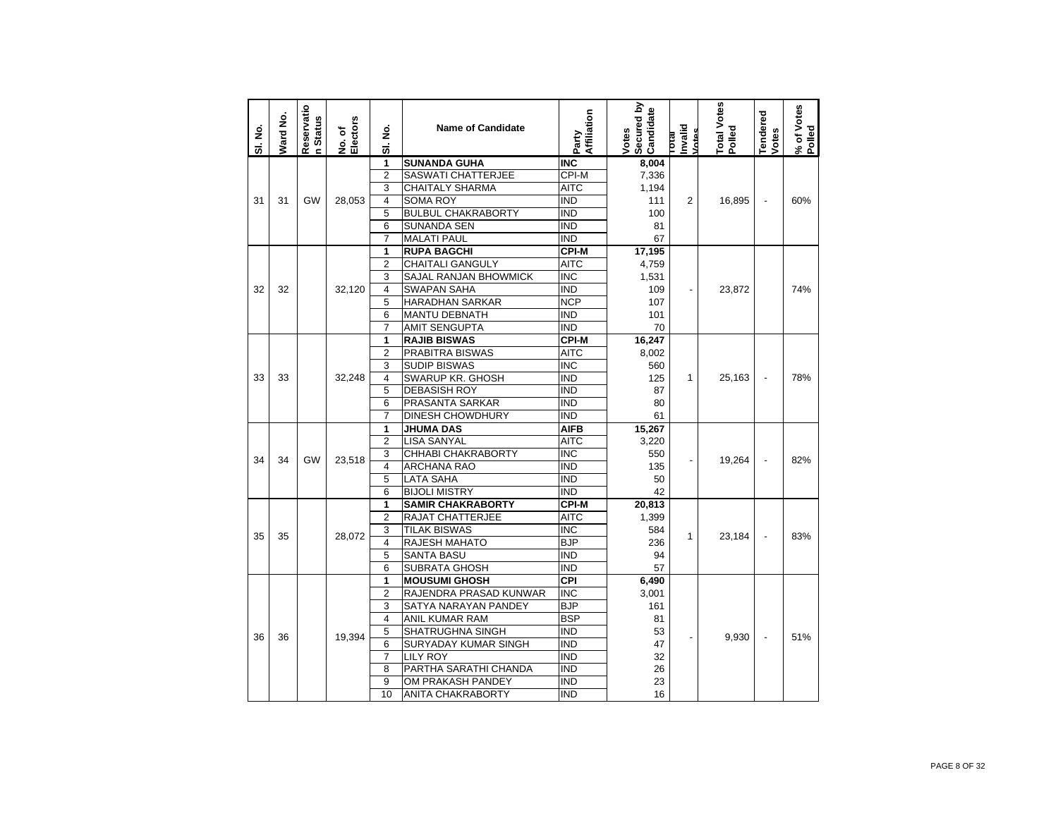| SI. No. | Ward No. | Reservatio<br><b>Status</b><br>$\epsilon$ | No. of<br>Electors | ş<br>ಹ                  | <b>Name of Candidate</b>     | Affiliation<br>Party    | Secured by<br>Candidate<br>Votes | hvalid<br><b><u>Intes</u></b><br><b>IPIOL</b> | Total Votes<br>Polled | <b>Tendered</b><br>Votes | % of Votes<br>Polled |
|---------|----------|-------------------------------------------|--------------------|-------------------------|------------------------------|-------------------------|----------------------------------|-----------------------------------------------|-----------------------|--------------------------|----------------------|
|         |          |                                           |                    | 1                       | <b>SUNANDA GUHA</b>          | <b>INC</b>              | 8,004                            |                                               |                       |                          |                      |
|         |          |                                           |                    | $\overline{2}$          | SASWATI CHATTERJEE           | CPI-M                   | 7,336                            |                                               |                       |                          |                      |
|         |          |                                           |                    | 3                       | <b>CHAITALY SHARMA</b>       | AITC                    | 1,194                            |                                               |                       |                          |                      |
| 31      | 31       | GW                                        | 28,053             | $\overline{\mathbf{4}}$ | <b>SOMA ROY</b>              | <b>IND</b>              | 111                              | $\overline{2}$                                | 16,895                | $\overline{a}$           | 60%                  |
|         |          |                                           |                    | $\overline{5}$          | <b>BULBUL CHAKRABORTY</b>    | <b>IND</b>              | 100                              |                                               |                       |                          |                      |
|         |          |                                           |                    | 6                       | <b>SUNANDA SEN</b>           | <b>IND</b>              | 81                               |                                               |                       |                          |                      |
|         |          |                                           |                    | $\overline{7}$          | <b>MALATI PAUL</b>           | <b>IND</b>              | 67                               |                                               |                       |                          |                      |
|         |          |                                           |                    | 1                       | <b>RUPA BAGCHI</b>           | <b>CPI-M</b>            | 17,195                           |                                               |                       |                          |                      |
|         |          |                                           |                    | $\overline{2}$          | <b>CHAITALI GANGULY</b>      | <b>AITC</b>             | 4,759                            |                                               |                       |                          |                      |
|         |          |                                           |                    | 3                       | <b>SAJAL RANJAN BHOWMICK</b> | <b>INC</b>              | 1,531                            |                                               |                       |                          |                      |
| 32      | 32       |                                           | 32,120             | $\overline{4}$          | <b>SWAPAN SAHA</b>           | <b>IND</b>              | 109                              |                                               | 23,872                |                          | 74%                  |
|         |          |                                           |                    | 5                       | <b>HARADHAN SARKAR</b>       | <b>NCP</b>              | 107                              |                                               |                       |                          |                      |
|         |          |                                           |                    | 6                       | <b>MANTU DEBNATH</b>         | <b>IND</b>              | 101                              |                                               |                       |                          |                      |
|         |          |                                           |                    | $\overline{7}$          | <b>AMIT SENGUPTA</b>         | IND                     | 70                               |                                               |                       |                          |                      |
|         |          |                                           |                    | 1                       | <b>RAJIB BISWAS</b>          | <b>CPI-M</b>            | 16,247                           |                                               |                       |                          |                      |
|         |          |                                           |                    | $\overline{2}$          | PRABITRA BISWAS              | <b>AITC</b>             | 8,002                            |                                               |                       |                          |                      |
|         |          |                                           |                    | 3                       | <b>SUDIP BISWAS</b>          | <b>INC</b>              | 560                              |                                               |                       |                          |                      |
| 33      | 33       |                                           | 32,248             | 4                       | SWARUP KR. GHOSH             | <b>IND</b>              | 125                              | 1                                             | 25,163                | ÷,                       | 78%                  |
|         |          |                                           |                    | 5                       | <b>DEBASISH ROY</b>          | <b>IND</b>              | 87                               |                                               |                       |                          |                      |
|         |          |                                           |                    | 6                       | PRASANTA SARKAR              | <b>IND</b>              | 80                               |                                               |                       |                          |                      |
|         |          |                                           |                    | $\overline{7}$          | <b>DINESH CHOWDHURY</b>      | <b>IND</b>              | 61                               |                                               |                       |                          |                      |
|         |          |                                           |                    | 1                       | <b>JHUMA DAS</b>             | <b>AIFB</b>             | 15,267                           |                                               |                       |                          |                      |
|         |          |                                           |                    | $\overline{2}$          | <b>LISA SANYAL</b>           | <b>AITC</b>             | 3,220                            |                                               |                       |                          |                      |
| 34      | 34       | GW                                        | 23,518             | 3                       | CHHABI CHAKRABORTY           | <b>INC</b>              | 550                              |                                               | 19,264                |                          | 82%                  |
|         |          |                                           |                    | $\overline{\mathbf{4}}$ | <b>ARCHANA RAO</b>           | <b>IND</b>              | 135                              |                                               |                       |                          |                      |
|         |          |                                           |                    | $\overline{5}$          | <b>LATA SAHA</b>             | <b>IND</b>              | 50                               |                                               |                       |                          |                      |
|         |          |                                           |                    | 6                       | <b>BIJOLI MISTRY</b>         | <b>IND</b>              | 42                               |                                               |                       |                          |                      |
|         |          |                                           |                    | 1                       | <b>SAMIR CHAKRABORTY</b>     | <b>CPI-M</b>            | 20,813                           |                                               |                       |                          |                      |
|         |          |                                           |                    | $\overline{2}$          | RAJAT CHATTERJEE             | <b>AITC</b>             | 1,399                            |                                               |                       |                          |                      |
| 35      | 35       |                                           | 28,072             | 3                       | <b>TILAK BISWAS</b>          | $\overline{\text{INC}}$ | 584                              | 1                                             | 23,184                | ÷,                       | 83%                  |
|         |          |                                           |                    | $\overline{\mathbf{4}}$ | RAJESH MAHATO                | <b>BJP</b>              | 236                              |                                               |                       |                          |                      |
|         |          |                                           |                    | 5                       | <b>SANTA BASU</b>            | <b>IND</b>              | 94                               |                                               |                       |                          |                      |
|         |          |                                           |                    | 6                       | SUBRATA GHOSH                | <b>IND</b>              | 57                               |                                               |                       |                          |                      |
|         |          |                                           |                    | 1                       | <b>MOUSUMI GHOSH</b>         | CPI                     | 6,490                            |                                               |                       |                          |                      |
|         |          |                                           |                    | $\overline{2}$          | RAJENDRA PRASAD KUNWAR       | <b>INC</b>              | 3,001                            |                                               |                       |                          |                      |
|         |          |                                           |                    | 3                       | SATYA NARAYAN PANDEY         | <b>BJP</b>              | 161                              |                                               |                       |                          |                      |
|         |          |                                           |                    | 4                       | <b>ANIL KUMAR RAM</b>        | <b>BSP</b>              | 81                               |                                               |                       |                          |                      |
| 36      | 36       |                                           | 19,394             | 5                       | SHATRUGHNA SINGH             | <b>IND</b>              | 53                               |                                               | 9,930                 | ÷,                       | 51%                  |
|         |          |                                           |                    | 6                       | SURYADAY KUMAR SINGH         | <b>IND</b>              | 47                               |                                               |                       |                          |                      |
|         |          |                                           |                    | $\overline{7}$          | <b>LILY ROY</b>              | <b>IND</b>              | 32                               |                                               |                       |                          |                      |
|         |          |                                           |                    | 8                       | PARTHA SARATHI CHANDA        | <b>IND</b>              | 26                               |                                               |                       |                          |                      |
|         |          |                                           |                    | 9                       | OM PRAKASH PANDEY            | <b>IND</b>              | 23                               |                                               |                       |                          |                      |
|         |          |                                           |                    | 10                      | ANITA CHAKRABORTY            | <b>IND</b>              | 16                               |                                               |                       |                          |                      |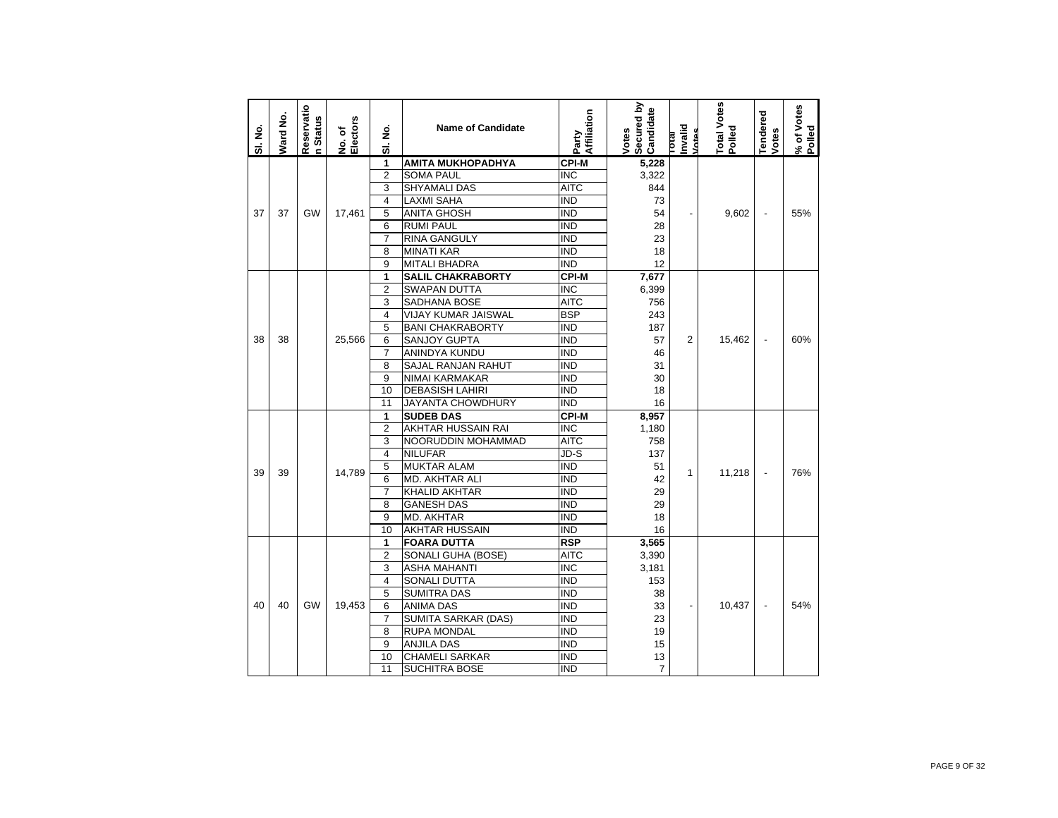| SI. No. | Ward No. | Reservatio<br>n Status | No. of<br>Electors | $\dot{\mathbf{z}}$<br>5 | <b>Name of Candidate</b>   | Affiliation<br>Party    | Secured by<br>Candidate<br>Votes | Invalid<br>Votes<br><b>IPIOL</b> | Total Votes<br>Polled | <b>Tendered</b><br>Votes | % of Votes<br>Polled |
|---------|----------|------------------------|--------------------|-------------------------|----------------------------|-------------------------|----------------------------------|----------------------------------|-----------------------|--------------------------|----------------------|
|         |          |                        |                    | 1                       | <b>AMITA MUKHOPADHYA</b>   | <b>CPI-M</b>            | 5,228                            |                                  |                       |                          |                      |
|         |          |                        |                    | $\overline{2}$          | <b>SOMA PAUL</b>           | <b>INC</b>              | 3,322                            |                                  |                       |                          |                      |
|         |          |                        |                    | 3                       | <b>SHYAMALI DAS</b>        | AITC                    | 844                              |                                  |                       |                          |                      |
|         |          |                        |                    | $\overline{4}$          | <b>LAXMI SAHA</b>          | <b>IND</b>              | 73                               |                                  |                       |                          |                      |
| 37      | 37       | GW                     | 17,461             | 5                       | <b>ANITA GHOSH</b>         | <b>IND</b>              | 54                               |                                  | 9,602                 | $\overline{\phantom{a}}$ | 55%                  |
|         |          |                        |                    | 6                       | <b>RUMI PAUL</b>           | <b>IND</b>              | 28                               |                                  |                       |                          |                      |
|         |          |                        |                    | $\overline{7}$          | <b>RINA GANGULY</b>        | <b>IND</b>              | 23                               |                                  |                       |                          |                      |
|         |          |                        |                    | 8                       | <b>MINATI KAR</b>          | <b>IND</b>              | 18                               |                                  |                       |                          |                      |
|         |          |                        |                    | 9                       | <b>MITALI BHADRA</b>       | <b>IND</b>              | 12                               |                                  |                       |                          |                      |
|         |          |                        |                    | 1                       | <b>SALIL CHAKRABORTY</b>   | <b>CPI-M</b>            | 7,677                            |                                  |                       |                          |                      |
|         |          |                        |                    | $\overline{2}$          | <b>SWAPAN DUTTA</b>        | <b>INC</b>              | 6,399                            |                                  |                       |                          |                      |
|         |          |                        |                    | 3                       | SADHANA BOSE               | <b>AITC</b>             | 756                              |                                  |                       |                          |                      |
|         |          |                        |                    | 4                       | VIJAY KUMAR JAISWAL        | <b>BSP</b>              | 243                              |                                  |                       |                          |                      |
|         |          |                        |                    | 5                       | <b>BANI CHAKRABORTY</b>    | <b>IND</b>              | 187                              |                                  |                       |                          |                      |
| 38      | 38       |                        | 25,566             | 6                       | <b>SANJOY GUPTA</b>        | $\overline{IND}$        | 57                               | $\overline{2}$                   | 15,462                | $\blacksquare$           | 60%                  |
|         |          |                        |                    | 7                       | ANINDYA KUNDU              | <b>IND</b>              | 46                               |                                  |                       |                          |                      |
|         |          |                        |                    | 8                       | SAJAL RANJAN RAHUT         | <b>IND</b>              | 31                               |                                  |                       |                          |                      |
|         |          |                        |                    | 9                       | <b>NIMAI KARMAKAR</b>      | <b>IND</b>              | 30                               |                                  |                       |                          |                      |
|         |          |                        |                    | 10                      | <b>DEBASISH LAHIRI</b>     | <b>IND</b>              | 18                               |                                  |                       |                          |                      |
|         |          |                        |                    | 11                      | JAYANTA CHOWDHURY          | <b>IND</b>              | 16                               |                                  |                       |                          |                      |
|         |          |                        |                    | 1                       | <b>SUDEB DAS</b>           | <b>CPI-M</b>            | 8,957                            |                                  |                       |                          |                      |
|         |          |                        |                    | $\overline{2}$          | AKHTAR HUSSAIN RAI         | $\overline{\text{INC}}$ | 1,180                            |                                  |                       |                          |                      |
|         |          |                        |                    | 3                       | NOORUDDIN MOHAMMAD         | <b>AITC</b>             | 758                              |                                  |                       |                          |                      |
|         |          |                        |                    | 4                       | <b>NILUFAR</b>             | JD-S                    | 137                              |                                  |                       |                          |                      |
| 39      | 39       |                        | 14,789             | 5                       | <b>MUKTAR ALAM</b>         | <b>IND</b>              | 51                               | 1                                | 11,218                |                          | 76%                  |
|         |          |                        |                    | 6                       | <b>MD. AKHTAR ALI</b>      | <b>IND</b>              | 42                               |                                  |                       |                          |                      |
|         |          |                        |                    | $\overline{7}$          | <b>KHALID AKHTAR</b>       | <b>IND</b>              | 29                               |                                  |                       |                          |                      |
|         |          |                        |                    | 8                       | <b>GANESH DAS</b>          | <b>IND</b>              | 29                               |                                  |                       |                          |                      |
|         |          |                        |                    | 9                       | <b>MD. AKHTAR</b>          | <b>IND</b>              | 18                               |                                  |                       |                          |                      |
|         |          |                        |                    | 10                      | <b>AKHTAR HUSSAIN</b>      | <b>IND</b>              | 16                               |                                  |                       |                          |                      |
|         |          |                        |                    | 1                       | <b>FOARA DUTTA</b>         | <b>RSP</b>              | 3,565                            |                                  |                       |                          |                      |
|         |          |                        |                    | $\overline{2}$          | SONALI GUHA (BOSE)         | <b>AITC</b>             | 3,390                            |                                  |                       |                          |                      |
|         |          |                        |                    | 3                       | <b>ASHA MAHANTI</b>        | $\overline{\text{INC}}$ | 3,181                            |                                  |                       |                          |                      |
|         |          |                        |                    | $\overline{4}$          | <b>SONALI DUTTA</b>        | $\overline{IND}$        | 153                              |                                  |                       |                          |                      |
|         |          |                        |                    | 5                       | <b>SUMITRA DAS</b>         | <b>IND</b>              | 38                               |                                  |                       |                          |                      |
| 40      | 40       | GW                     | 19,453             | 6                       | <b>ANIMA DAS</b>           | <b>IND</b>              | 33                               |                                  | 10,437                |                          | 54%                  |
|         |          |                        |                    | $\overline{7}$          | <b>SUMITA SARKAR (DAS)</b> | <b>IND</b>              | 23                               |                                  |                       |                          |                      |
|         |          |                        |                    | 8                       | <b>RUPA MONDAL</b>         | <b>IND</b>              | 19                               |                                  |                       |                          |                      |
|         |          |                        |                    | 9                       | <b>ANJILA DAS</b>          | <b>IND</b>              | 15                               |                                  |                       |                          |                      |
|         |          |                        |                    | 10                      | <b>CHAMELI SARKAR</b>      | <b>IND</b>              | 13                               |                                  |                       |                          |                      |
|         |          |                        |                    | 11                      | <b>SUCHITRA BOSE</b>       | <b>IND</b>              | $\overline{7}$                   |                                  |                       |                          |                      |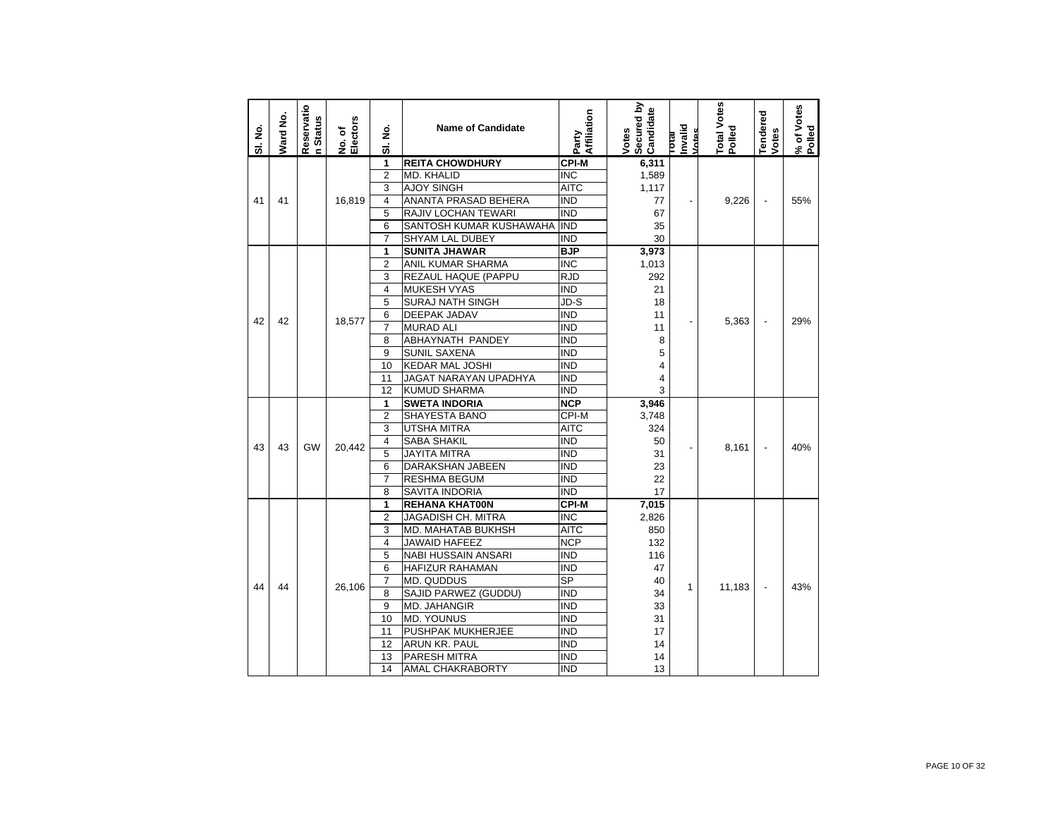| SI. No. | Ward No. | Reservatio<br>n Status | No. of<br>Electors | ş<br>ಹ         | <b>Name of Candidate</b>   | Affiliation<br>Party     | Secured by<br>Candidate<br>Votes | Invalid<br>Votes<br><b>bad</b> | <b>Total Votes</b><br>Polled | Tendered<br>Votes        | % of Votes<br>Polled |
|---------|----------|------------------------|--------------------|----------------|----------------------------|--------------------------|----------------------------------|--------------------------------|------------------------------|--------------------------|----------------------|
|         |          |                        |                    | 1              | <b>REITA CHOWDHURY</b>     | <b>CPI-M</b>             | 6,311                            |                                |                              |                          |                      |
|         |          |                        |                    | $\overline{2}$ | <b>MD. KHALID</b>          | <b>INC</b>               | 1,589                            |                                |                              |                          |                      |
|         |          |                        |                    | 3              | <b>AJOY SINGH</b>          | AITC                     | 1,117                            |                                |                              |                          |                      |
| 41      | 41       |                        | 16,819             | 4              | ANANTA PRASAD BEHERA       | IND                      | 77                               | $\blacksquare$                 | 9,226                        | $\overline{\phantom{a}}$ | 55%                  |
|         |          |                        |                    | 5              | <b>RAJIV LOCHAN TEWARI</b> | <b>IND</b>               | 67                               |                                |                              |                          |                      |
|         |          |                        |                    | 6              | SANTOSH KUMAR KUSHAWAHA    | <b>IND</b>               | 35                               |                                |                              |                          |                      |
|         |          |                        |                    | 7              | <b>SHYAM LAL DUBEY</b>     | IND                      | 30                               |                                |                              |                          |                      |
|         |          |                        |                    | 1              | <b>SUNITA JHAWAR</b>       | <b>BJP</b>               | 3,973                            |                                |                              |                          |                      |
|         |          |                        |                    | 2              | ANIL KUMAR SHARMA          | $\overline{\text{INC}}$  | 1,013                            |                                |                              |                          |                      |
|         |          |                        |                    | 3              | REZAUL HAQUE (PAPPU        | RJD                      | 292                              |                                |                              |                          |                      |
|         |          |                        |                    | 4              | <b>MUKESH VYAS</b>         | IND                      | 21                               |                                |                              |                          |                      |
|         |          |                        |                    | 5              | <b>SURAJ NATH SINGH</b>    | JD-S                     | 18                               |                                |                              |                          |                      |
| 42      | 42       |                        | 18,577             | 6              | DEEPAK JADAV               | <b>IND</b>               | 11                               |                                | 5,363                        | $\overline{\phantom{a}}$ | 29%                  |
|         |          |                        |                    | 7              | <b>MURAD ALI</b>           | <b>IND</b>               | 11                               |                                |                              |                          |                      |
|         |          |                        |                    | 8              | ABHAYNATH PANDEY           | IND                      | 8                                |                                |                              |                          |                      |
|         |          |                        |                    | 9              | <b>SUNIL SAXENA</b>        | <b>IND</b>               | 5                                |                                |                              |                          |                      |
|         |          |                        |                    | 10             | <b>KEDAR MAL JOSHI</b>     | IND                      | 4                                |                                |                              |                          |                      |
|         |          |                        |                    | 11             | JAGAT NARAYAN UPADHYA      | IND                      | 4                                |                                |                              |                          |                      |
|         |          |                        |                    | 12             | <b>KUMUD SHARMA</b>        | IND                      | 3                                |                                |                              |                          |                      |
|         |          |                        |                    | 1              | <b>SWETA INDORIA</b>       | <b>NCP</b>               | 3,946                            |                                |                              |                          |                      |
|         |          |                        |                    | $\overline{2}$ | SHAYESTA BANO              | CPI-M                    | 3,748                            |                                |                              |                          |                      |
|         |          |                        |                    | 3              | UTSHA MITRA                | <b>AITC</b>              | 324                              |                                |                              |                          |                      |
| 43      | 43       | GW                     | 20,442             | 4              | SABA SHAKIL                | ind                      | 50                               |                                | 8,161                        | $\overline{\phantom{a}}$ | 40%                  |
|         |          |                        |                    | 5              | <b>JAYITA MITRA</b>        | IND                      | 31                               |                                |                              |                          |                      |
|         |          |                        |                    | 6              | DARAKSHAN JABEEN           | IND                      | 23                               |                                |                              |                          |                      |
|         |          |                        |                    | $\overline{7}$ | RESHMA BEGUM               | <b>IND</b>               | 22                               |                                |                              |                          |                      |
|         |          |                        |                    | 8              | SAVITA INDORIA             | <b>IND</b>               | 17                               |                                |                              |                          |                      |
|         |          |                        |                    | 1              | <b>REHANA KHAT00N</b>      | <b>CPI-M</b>             | 7,015                            |                                |                              |                          |                      |
|         |          |                        |                    | 2              | <b>JAGADISH CH. MITRA</b>  | INC                      | 2,826                            |                                |                              |                          |                      |
|         |          |                        |                    | 3              | MD. MAHATAB BUKHSH         | AITC                     | 850                              |                                |                              |                          |                      |
|         |          |                        |                    | 4              | <b>JAWAID HAFEEZ</b>       | <b>NCP</b>               | 132                              |                                |                              |                          |                      |
|         |          |                        |                    | 5              | <b>NABI HUSSAIN ANSARI</b> | IND                      | 116                              |                                |                              |                          |                      |
|         |          |                        |                    | 6              | HAFIZUR RAHAMAN            | ind                      | 47                               |                                |                              |                          |                      |
| 44      | 44       |                        | 26.106             | 7              | MD. QUDDUS                 | $\overline{\mathsf{SP}}$ | 40                               | 1                              | 11,183                       |                          | 43%                  |
|         |          |                        |                    | 8              | SAJID PARWEZ (GUDDU)       | IND                      | 34                               |                                |                              |                          |                      |
|         |          |                        |                    | 9              | <b>MD. JAHANGIR</b>        | IND                      | 33                               |                                |                              |                          |                      |
|         |          |                        |                    | 10             | <b>MD. YOUNUS</b>          | IND                      | 31                               |                                |                              |                          |                      |
|         |          |                        |                    | 11             | PUSHPAK MUKHERJEE          | <b>IND</b>               | 17                               |                                |                              |                          |                      |
|         |          |                        |                    | 12             | ARUN KR. PAUL              | IND                      | 14                               |                                |                              |                          |                      |
|         |          |                        |                    | 13             | PARESH MITRA               | IND                      | 14                               |                                |                              |                          |                      |
|         |          |                        |                    | 14             | <b>AMAL CHAKRABORTY</b>    | IND                      | 13                               |                                |                              |                          |                      |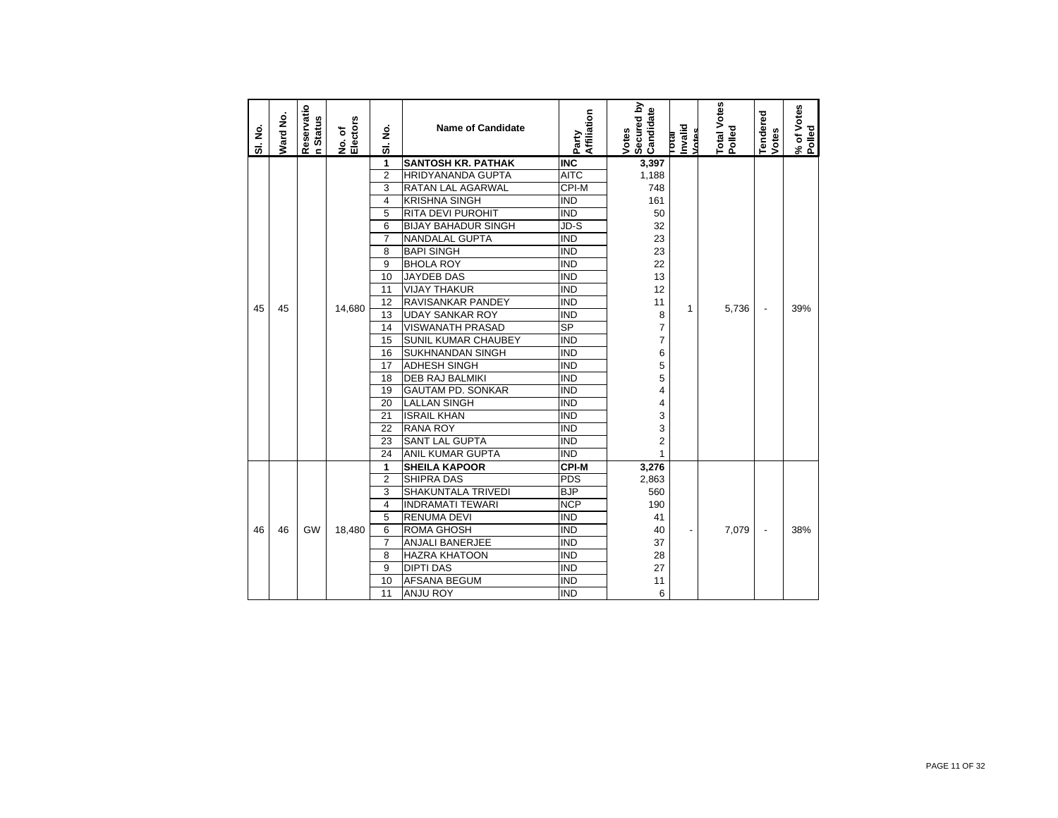| SI. No. | Ward No. | Reservatio<br>n Status | No. of<br>Electors | ş<br>ಹ         | <b>Name of Candidate</b>   | Affiliation<br>Party   | Secured by<br>Candidate<br>Votes | Total<br>Invalid<br>Votes | Total Votes<br>Polled | Tendered<br>Votes        | % of Votes<br>Polled |
|---------|----------|------------------------|--------------------|----------------|----------------------------|------------------------|----------------------------------|---------------------------|-----------------------|--------------------------|----------------------|
|         |          |                        |                    | 1              | <b>SANTOSH KR. PATHAK</b>  | <b>INC</b>             | 3,397                            |                           |                       |                          |                      |
|         |          |                        |                    | $\overline{2}$ | <b>HRIDYANANDA GUPTA</b>   | <b>AITC</b>            | 1,188                            |                           |                       |                          |                      |
|         |          |                        |                    | 3              | <b>RATAN LAL AGARWAL</b>   | CPI-M                  | 748                              |                           |                       |                          |                      |
|         |          |                        |                    | 4              | <b>KRISHNA SINGH</b>       | <b>IND</b>             | 161                              |                           |                       |                          |                      |
|         |          |                        |                    | 5              | <b>RITA DEVI PUROHIT</b>   | <b>IND</b>             | 50                               |                           |                       |                          |                      |
|         |          |                        |                    | 6              | <b>BIJAY BAHADUR SINGH</b> | JD-S                   | 32                               |                           |                       |                          |                      |
|         |          |                        |                    | $\overline{7}$ | NANDALAL GUPTA             | <b>IND</b>             | 23                               |                           |                       |                          |                      |
|         |          |                        |                    | 8              | <b>BAPI SINGH</b>          | <b>IND</b>             | 23                               |                           |                       |                          |                      |
|         |          |                        |                    | 9              | <b>BHOLA ROY</b>           | <b>IND</b>             | 22                               |                           |                       |                          |                      |
|         |          |                        |                    | 10             | <b>JAYDEB DAS</b>          | <b>IND</b>             | 13                               |                           |                       |                          |                      |
|         |          |                        |                    | 11             | <b>VIJAY THAKUR</b>        | <b>IND</b>             | 12                               |                           |                       |                          |                      |
|         |          |                        |                    | 12             | RAVISANKAR PANDEY          | <b>IND</b>             | 11                               |                           |                       |                          |                      |
| 45      | 45       |                        | 14,680             | 13             | <b>UDAY SANKAR ROY</b>     | <b>IND</b>             | 8                                | 1                         | 5,736                 | $\overline{a}$           | 39%                  |
|         |          |                        |                    | 14             | <b>VISWANATH PRASAD</b>    | $\overline{\text{SP}}$ | $\overline{7}$                   |                           |                       |                          |                      |
|         |          |                        |                    | 15             | <b>SUNIL KUMAR CHAUBEY</b> | <b>IND</b>             | $\overline{7}$                   |                           |                       |                          |                      |
|         |          |                        |                    | 16             | <b>SUKHNANDAN SINGH</b>    | <b>IND</b>             | 6                                |                           |                       |                          |                      |
|         |          |                        |                    | 17             | <b>ADHESH SINGH</b>        | <b>IND</b>             | 5                                |                           |                       |                          |                      |
|         |          |                        |                    | 18             | <b>DEB RAJ BALMIKI</b>     | <b>IND</b>             | 5                                |                           |                       |                          |                      |
|         |          |                        |                    | 19             | <b>GAUTAM PD. SONKAR</b>   | <b>IND</b>             | 4                                |                           |                       |                          |                      |
|         |          |                        |                    | 20             | <b>LALLAN SINGH</b>        | <b>IND</b>             | 4                                |                           |                       |                          |                      |
|         |          |                        |                    | 21             | <b>ISRAIL KHAN</b>         | <b>IND</b>             | 3                                |                           |                       |                          |                      |
|         |          |                        |                    | 22             | <b>RANA ROY</b>            | <b>IND</b>             | 3                                |                           |                       |                          |                      |
|         |          |                        |                    | 23             | <b>SANT LAL GUPTA</b>      | <b>IND</b>             | $\overline{2}$                   |                           |                       |                          |                      |
|         |          |                        |                    | 24             | <b>ANIL KUMAR GUPTA</b>    | <b>IND</b>             | $\mathbf{1}$                     |                           |                       |                          |                      |
|         |          |                        |                    | 1              | <b>SHEILA KAPOOR</b>       | <b>CPI-M</b>           | 3,276                            |                           |                       |                          |                      |
|         |          |                        |                    | $\overline{2}$ | <b>SHIPRA DAS</b>          | PDS                    | 2,863                            |                           |                       |                          |                      |
|         |          |                        |                    | 3              | <b>SHAKUNTALA TRIVEDI</b>  | <b>BJP</b>             | 560                              |                           |                       |                          |                      |
|         |          |                        |                    | 4              | <b>INDRAMATI TEWARI</b>    | <b>NCP</b>             | 190                              |                           |                       |                          |                      |
|         |          |                        |                    | 5              | <b>RENUMA DEVI</b>         | <b>IND</b>             | 41                               |                           |                       |                          |                      |
| 46      | 46       | GW                     | 18,480             | 6              | <b>ROMA GHOSH</b>          | <b>IND</b>             | 40                               | $\overline{\phantom{0}}$  | 7,079                 | $\overline{\phantom{a}}$ | 38%                  |
|         |          |                        |                    | $\overline{7}$ | <b>ANJALI BANERJEE</b>     | <b>IND</b>             | 37                               |                           |                       |                          |                      |
|         |          |                        |                    | 8              | <b>HAZRA KHATOON</b>       | <b>IND</b>             | 28                               |                           |                       |                          |                      |
|         |          |                        |                    | 9              | <b>DIPTI DAS</b>           | <b>IND</b>             | 27                               |                           |                       |                          |                      |
|         |          |                        |                    | 10             | <b>AFSANA BEGUM</b>        | <b>IND</b>             | 11                               |                           |                       |                          |                      |
|         |          |                        |                    | 11             | <b>ANJU ROY</b>            | <b>IND</b>             | 6                                |                           |                       |                          |                      |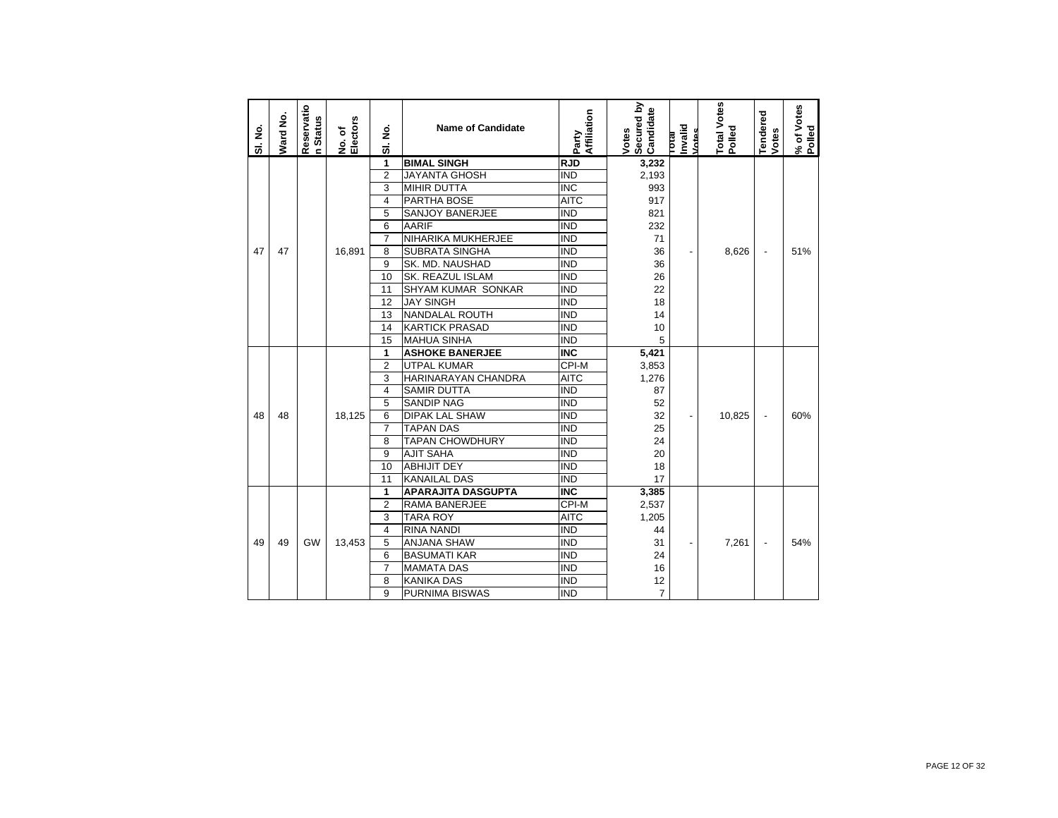| SI. No. | <b>Nard No.</b> | Reservatio<br>n Status | No. of<br>Electors | ş<br>5         | <b>Name of Candidate</b>  | Affiliation<br>Party    | Secured by<br>Candidate<br>Votes | Invalid<br>Votes<br><b>IR101</b> | Total Votes<br>Polled | Tendered<br>Votes        | % of Votes<br>Polled |
|---------|-----------------|------------------------|--------------------|----------------|---------------------------|-------------------------|----------------------------------|----------------------------------|-----------------------|--------------------------|----------------------|
|         |                 |                        |                    | 1              | <b>BIMAL SINGH</b>        | <b>RJD</b>              | 3,232                            |                                  |                       |                          |                      |
|         |                 |                        |                    | $\overline{2}$ | <b>JAYANTA GHOSH</b>      | <b>IND</b>              | 2,193                            |                                  |                       |                          |                      |
|         |                 |                        |                    | 3              | <b>MIHIR DUTTA</b>        | $\overline{\text{INC}}$ | 993                              |                                  |                       |                          |                      |
|         |                 |                        |                    | $\overline{4}$ | PARTHA BOSE               | <b>AITC</b>             | 917                              |                                  |                       |                          |                      |
|         |                 |                        |                    | 5              | <b>SANJOY BANERJEE</b>    | <b>IND</b>              | 821                              |                                  |                       |                          |                      |
|         |                 |                        |                    | 6              | <b>AARIF</b>              | <b>IND</b>              | 232                              |                                  |                       |                          |                      |
|         |                 |                        |                    | $\overline{7}$ | NIHARIKA MUKHERJEE        | <b>IND</b>              | 71                               |                                  |                       |                          |                      |
| 47      | 47              |                        | 16,891             | 8              | <b>SUBRATA SINGHA</b>     | <b>IND</b>              | 36                               | $\overline{\phantom{a}}$         | 8,626                 | $\overline{\phantom{a}}$ | 51%                  |
|         |                 |                        |                    | 9              | SK. MD. NAUSHAD           | <b>IND</b>              | 36                               |                                  |                       |                          |                      |
|         |                 |                        |                    | 10             | SK. REAZUL ISLAM          | <b>IND</b>              | 26                               |                                  |                       |                          |                      |
|         |                 |                        |                    | 11             | SHYAM KUMAR SONKAR        | <b>IND</b>              | 22                               |                                  |                       |                          |                      |
|         |                 |                        |                    | 12             | <b>JAY SINGH</b>          | <b>IND</b>              | 18                               |                                  |                       |                          |                      |
|         |                 |                        |                    | 13             | <b>NANDALAL ROUTH</b>     | <b>IND</b>              | 14                               |                                  |                       |                          |                      |
|         |                 |                        |                    | 14             | <b>KARTICK PRASAD</b>     | <b>IND</b>              | 10                               |                                  |                       |                          |                      |
|         |                 |                        |                    | 15             | <b>MAHUA SINHA</b>        | <b>IND</b>              | 5                                |                                  |                       |                          |                      |
|         |                 |                        |                    | 1              | <b>ASHOKE BANERJEE</b>    | <b>INC</b>              | 5,421                            |                                  |                       |                          |                      |
|         |                 |                        |                    | $\overline{2}$ | <b>UTPAL KUMAR</b>        | CPI-M                   | 3,853                            |                                  |                       |                          |                      |
|         |                 |                        |                    | 3              | HARINARAYAN CHANDRA       | <b>AITC</b>             | 1,276                            |                                  |                       |                          |                      |
|         |                 |                        |                    | $\overline{4}$ | <b>SAMIR DUTTA</b>        | <b>IND</b>              | 87                               |                                  |                       |                          |                      |
|         |                 |                        |                    | 5              | <b>SANDIP NAG</b>         | <b>IND</b>              | 52                               |                                  |                       |                          |                      |
| 48      | 48              |                        | 18.125             | 6              | <b>DIPAK LAL SHAW</b>     | <b>IND</b>              | 32                               | $\overline{\phantom{0}}$         | 10.825                | $\overline{a}$           | 60%                  |
|         |                 |                        |                    | 7              | <b>TAPAN DAS</b>          | <b>IND</b>              | 25                               |                                  |                       |                          |                      |
|         |                 |                        |                    | 8              | <b>TAPAN CHOWDHURY</b>    | <b>IND</b>              | 24                               |                                  |                       |                          |                      |
|         |                 |                        |                    | 9              | <b>AJIT SAHA</b>          | <b>IND</b>              | 20                               |                                  |                       |                          |                      |
|         |                 |                        |                    | 10             | <b>ABHIJIT DEY</b>        | <b>IND</b>              | 18                               |                                  |                       |                          |                      |
|         |                 |                        |                    | 11             | <b>KANAILAL DAS</b>       | <b>IND</b>              | 17                               |                                  |                       |                          |                      |
|         |                 |                        |                    | 1              | <b>APARAJITA DASGUPTA</b> | <b>INC</b>              | 3,385                            |                                  |                       |                          |                      |
|         |                 |                        |                    | $\overline{2}$ | <b>RAMA BANERJEE</b>      | CPI-M                   | 2,537                            |                                  |                       |                          |                      |
|         |                 |                        |                    | 3              | <b>TARA ROY</b>           | <b>AITC</b>             | 1,205                            |                                  |                       |                          |                      |
|         |                 |                        |                    | $\overline{4}$ | <b>RINA NANDI</b>         | <b>IND</b>              | 44                               |                                  |                       |                          |                      |
| 49      | 49              | GW                     | 13,453             | 5              | <b>ANJANA SHAW</b>        | <b>IND</b>              | 31                               | $\overline{\phantom{0}}$         | 7,261                 |                          | 54%                  |
|         |                 |                        |                    | 6              | <b>BASUMATI KAR</b>       | <b>IND</b>              | 24                               |                                  |                       |                          |                      |
|         |                 |                        |                    | $\overline{7}$ | <b>MAMATA DAS</b>         | <b>IND</b>              | 16                               |                                  |                       |                          |                      |
|         |                 |                        |                    | 8              | <b>KANIKA DAS</b>         | <b>IND</b>              | 12                               |                                  |                       |                          |                      |
|         |                 |                        |                    | 9              | <b>PURNIMA BISWAS</b>     | <b>IND</b>              | $\overline{7}$                   |                                  |                       |                          |                      |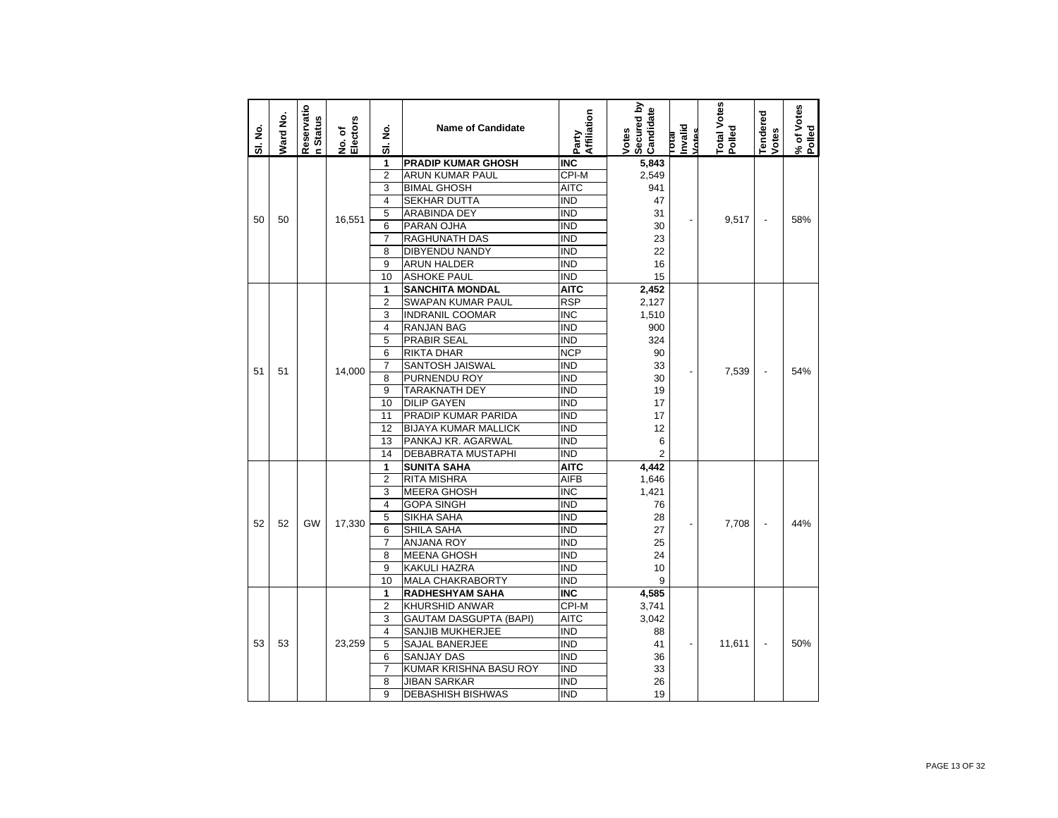| SI. No. | <b>Ward No.</b> | Reservatio<br><b>h</b> Status | No. of<br>Electors | غ<br>ع<br>5    | <b>Name of Candidate</b>      | Affiliation<br>Party | Secured by<br>Candidate<br>Votes | Invalid<br>Votes<br><b>IP101</b> | Total Votes<br>Polled | <b>Tendered</b><br>Votes | % of Votes<br>Polled |
|---------|-----------------|-------------------------------|--------------------|----------------|-------------------------------|----------------------|----------------------------------|----------------------------------|-----------------------|--------------------------|----------------------|
|         |                 |                               |                    | 1              | <b>PRADIP KUMAR GHOSH</b>     | <b>INC</b>           | 5,843                            |                                  |                       |                          |                      |
|         |                 |                               |                    | $\overline{2}$ | ARUN KUMAR PAUL               | CPI-M                | 2,549                            |                                  |                       |                          |                      |
|         |                 |                               |                    | 3              | <b>BIMAL GHOSH</b>            | <b>AITC</b>          | 941                              |                                  |                       |                          |                      |
|         |                 |                               |                    | $\overline{4}$ | SEKHAR DUTTA                  | <b>IND</b>           | 47                               |                                  |                       |                          |                      |
| 50      | 50              |                               | 16,551             | 5              | ARABINDA DEY                  | <b>IND</b>           | 31                               |                                  | 9,517                 | $\overline{\phantom{m}}$ | 58%                  |
|         |                 |                               |                    | 6              | PARAN OJHA                    | <b>IND</b>           | 30                               |                                  |                       |                          |                      |
|         |                 |                               |                    | $\overline{7}$ | RAGHUNATH DAS                 | <b>IND</b>           | 23                               |                                  |                       |                          |                      |
|         |                 |                               |                    | 8              | DIBYENDU NANDY                | <b>IND</b>           | 22                               |                                  |                       |                          |                      |
|         |                 |                               |                    | 9              | ARUN HALDER                   | IND                  | 16                               |                                  |                       |                          |                      |
|         |                 |                               |                    | 10             | <b>ASHOKE PAUL</b>            | <b>IND</b>           | 15                               |                                  |                       |                          |                      |
|         |                 |                               |                    | 1              | <b>SANCHITA MONDAL</b>        | <b>AITC</b>          | 2,452                            |                                  |                       |                          |                      |
|         |                 |                               |                    | $\overline{2}$ | SWAPAN KUMAR PAUL             | <b>RSP</b>           | 2,127                            |                                  |                       |                          |                      |
|         |                 |                               |                    | 3              | <b>INDRANIL COOMAR</b>        | <b>INC</b>           | 1,510                            |                                  |                       |                          |                      |
|         |                 |                               |                    | $\overline{4}$ | <b>RANJAN BAG</b>             | <b>IND</b>           | 900                              |                                  |                       |                          |                      |
|         |                 |                               |                    | 5              | PRABIR SEAL                   | <b>IND</b>           | 324                              |                                  |                       |                          |                      |
|         |                 |                               |                    | 6              | RIKTA DHAR                    | <b>NCP</b>           | 90                               |                                  |                       |                          |                      |
| 51      | 51              |                               | 14.000             | $\overline{7}$ | SANTOSH JAISWAL               | <b>IND</b>           | 33                               |                                  | 7,539                 |                          | 54%                  |
|         |                 |                               |                    | 8              | PURNENDU ROY                  | <b>IND</b>           | 30                               |                                  |                       |                          |                      |
|         |                 |                               |                    | 9              | TARAKNATH DEY                 | IND                  | 19                               |                                  |                       |                          |                      |
|         |                 |                               |                    | 10             | <b>DILIP GAYEN</b>            | $\overline{IND}$     | 17                               |                                  |                       |                          |                      |
|         |                 |                               |                    | 11             | PRADIP KUMAR PARIDA           | <b>IND</b>           | 17                               |                                  |                       |                          |                      |
|         |                 |                               |                    | 12             | <b>BIJAYA KUMAR MALLICK</b>   | <b>IND</b>           | 12                               |                                  |                       |                          |                      |
|         |                 |                               |                    | 13             | PANKAJ KR. AGARWAL            | <b>IND</b>           | 6                                |                                  |                       |                          |                      |
|         |                 |                               |                    | 14             | DEBABRATA MUSTAPHI            | <b>IND</b>           | $\overline{2}$                   |                                  |                       |                          |                      |
|         |                 |                               |                    | 1              | SUNITA SAHA                   | AITC                 | 4,442                            |                                  |                       |                          |                      |
|         |                 |                               |                    | $\overline{2}$ | RITA MISHRA                   | <b>AIFB</b>          | 1,646                            |                                  |                       |                          |                      |
|         |                 |                               |                    | 3              | <b>MEERA GHOSH</b>            | <b>INC</b>           | 1,421                            |                                  |                       |                          |                      |
|         |                 |                               |                    | $\overline{4}$ | <b>GOPA SINGH</b>             | IND                  | 76                               |                                  |                       |                          |                      |
| 52      | 52              | GW                            | 17,330             | 5              | SIKHA SAHA                    | <b>IND</b>           | 28                               |                                  | 7,708                 |                          | 44%                  |
|         |                 |                               |                    | 6              | <b>SHILA SAHA</b>             | <b>IND</b>           | 27                               |                                  |                       |                          |                      |
|         |                 |                               |                    | $\overline{7}$ | <b>ANJANA ROY</b>             | <b>IND</b>           | 25                               |                                  |                       |                          |                      |
|         |                 |                               |                    | 8              | MEENA GHOSH                   | <b>IND</b>           | 24                               |                                  |                       |                          |                      |
|         |                 |                               |                    | 9              | KAKULI HAZRA                  | <b>IND</b>           | 10                               |                                  |                       |                          |                      |
|         |                 |                               |                    | 10             | MALA CHAKRABORTY              | <b>IND</b>           | 9                                |                                  |                       |                          |                      |
|         |                 |                               |                    | 1              | <b>RADHESHYAM SAHA</b>        | <b>INC</b>           | 4,585                            |                                  |                       |                          |                      |
|         |                 |                               |                    | $\overline{2}$ | KHURSHID ANWAR                | CPI-M                | 3,741                            |                                  |                       |                          |                      |
|         |                 |                               |                    | 3              | <b>GAUTAM DASGUPTA (BAPI)</b> | <b>AITC</b>          | 3,042                            |                                  |                       |                          |                      |
|         |                 |                               |                    | 4              | SANJIB MUKHERJEE              | ind                  | 88                               |                                  |                       |                          |                      |
| 53      | 53              |                               | 23,259             | 5              | SAJAL BANERJEE                | <b>IND</b>           | 41                               |                                  | 11,611                | $\overline{\phantom{a}}$ | 50%                  |
|         |                 |                               |                    | 6              | <b>SANJAY DAS</b>             | <b>IND</b>           | 36                               |                                  |                       |                          |                      |
|         |                 |                               |                    | $\overline{7}$ | KUMAR KRISHNA BASU ROY        | <b>IND</b>           | 33                               |                                  |                       |                          |                      |
|         |                 |                               |                    | 8              | JIBAN SARKAR                  | <b>IND</b>           | 26                               |                                  |                       |                          |                      |
|         |                 |                               |                    | 9              | <b>DEBASHISH BISHWAS</b>      | <b>IND</b>           | 19                               |                                  |                       |                          |                      |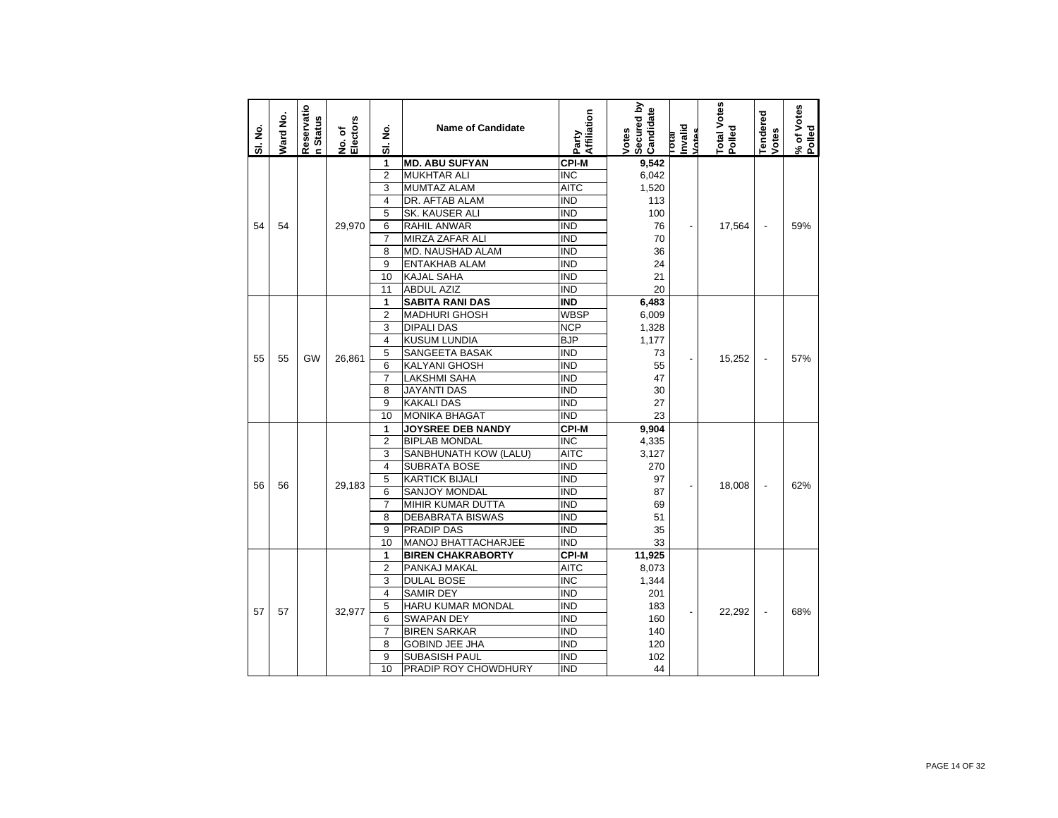| SI. No. | Ward No. | Reservatio<br>n Status | Electors<br>No. of | ş<br>ಹ                  | <b>Name of Candidate</b> | Affiliation<br>Party | Secured by<br>Candidate<br>Votes | Invalid<br>Votes<br><b>Dag</b> | <b>Total Votes</b><br>Polled | endered<br>Votes         | % of Votes<br>Polled |
|---------|----------|------------------------|--------------------|-------------------------|--------------------------|----------------------|----------------------------------|--------------------------------|------------------------------|--------------------------|----------------------|
|         |          |                        |                    | 1                       | <b>MD. ABU SUFYAN</b>    | <b>CPI-M</b>         | 9,542                            |                                |                              |                          |                      |
|         |          |                        |                    | $\overline{2}$          | <b>MUKHTAR ALI</b>       | <b>INC</b>           | 6,042                            |                                |                              |                          |                      |
|         |          |                        |                    | 3                       | <b>MUMTAZ ALAM</b>       | <b>AITC</b>          | 1,520                            |                                |                              |                          |                      |
|         |          |                        |                    | $\overline{4}$          | DR. AFTAB ALAM           | <b>IND</b>           | 113                              |                                |                              |                          |                      |
|         |          |                        |                    | 5                       | SK. KAUSER ALI           | IND                  | 100                              |                                |                              |                          |                      |
| 54      | 54       |                        | 29,970             | 6                       | <b>RAHIL ANWAR</b>       | IND                  | 76                               |                                | 17,564                       |                          | 59%                  |
|         |          |                        |                    | $\overline{7}$          | MIRZA ZAFAR ALI          | <b>IND</b>           | 70                               |                                |                              |                          |                      |
|         |          |                        |                    | 8                       | MD. NAUSHAD ALAM         | <b>IND</b>           | 36                               |                                |                              |                          |                      |
|         |          |                        |                    | 9                       | <b>ENTAKHAB ALAM</b>     | IND                  | 24                               |                                |                              |                          |                      |
|         |          |                        |                    | 10                      | <b>KAJAL SAHA</b>        | IND                  | 21                               |                                |                              |                          |                      |
|         |          |                        |                    | 11                      | <b>ABDUL AZIZ</b>        | <b>IND</b>           | 20                               |                                |                              |                          |                      |
|         |          |                        |                    | 1                       | <b>SABITA RANI DAS</b>   | <b>IND</b>           | 6,483                            |                                |                              |                          |                      |
|         |          |                        |                    | $\overline{2}$          | <b>MADHURI GHOSH</b>     | WBSP                 | 6,009                            |                                |                              |                          |                      |
|         |          |                        |                    | 3                       | <b>DIPALI DAS</b>        | <b>NCP</b>           | 1,328                            |                                |                              |                          |                      |
|         |          |                        |                    | $\overline{4}$          | <b>KUSUM LUNDIA</b>      | BJP                  | 1,177                            |                                |                              |                          |                      |
| 55      | 55       | <b>GW</b>              | 26.861             | 5                       | SANGEETA BASAK           | <b>IND</b>           | 73                               |                                | 15,252                       |                          | 57%                  |
|         |          |                        |                    | 6                       | <b>KALYANI GHOSH</b>     | IND                  | 55                               |                                |                              |                          |                      |
|         |          |                        |                    | $\overline{7}$          | <b>LAKSHMI SAHA</b>      | <b>IND</b>           | 47                               |                                |                              |                          |                      |
|         |          |                        |                    | 8                       | <b>JAYANTI DAS</b>       | <b>IND</b>           | 30                               |                                |                              |                          |                      |
|         |          |                        |                    | 9                       | <b>KAKALI DAS</b>        | <b>IND</b>           | 27                               |                                |                              |                          |                      |
|         |          |                        |                    | 10                      | <b>MONIKA BHAGAT</b>     | IND                  | 23                               |                                |                              |                          |                      |
|         |          |                        |                    | 1                       | JOYSREE DEB NANDY        | <b>CPI-M</b>         | 9,904                            |                                |                              |                          |                      |
|         |          |                        |                    | $\overline{2}$          | <b>BIPLAB MONDAL</b>     | <b>INC</b>           | 4,335                            |                                |                              |                          |                      |
|         |          |                        |                    | 3                       | SANBHUNATH KOW (LALU)    | <b>AITC</b>          | 3,127                            |                                |                              |                          |                      |
|         |          |                        |                    | $\overline{\mathbf{4}}$ | SUBRATA BOSE             | <b>IND</b>           | 270                              |                                |                              |                          |                      |
| 56      | 56       |                        | 29.183             | 5                       | <b>KARTICK BIJALI</b>    | IND                  | 97                               |                                | 18,008                       | $\overline{\phantom{a}}$ | 62%                  |
|         |          |                        |                    | 6                       | SANJOY MONDAL            | IND                  | 87                               |                                |                              |                          |                      |
|         |          |                        |                    | $\overline{7}$          | MIHIR KUMAR DUTTA        | IND                  | 69                               |                                |                              |                          |                      |
|         |          |                        |                    | 8                       | <b>DEBABRATA BISWAS</b>  | <b>IND</b>           | 51                               |                                |                              |                          |                      |
|         |          |                        |                    | 9                       | PRADIP DAS               | IND                  | 35                               |                                |                              |                          |                      |
|         |          |                        |                    | 10                      | MANOJ BHATTACHARJEE      | <b>IND</b>           | 33                               |                                |                              |                          |                      |
|         |          |                        |                    | 1                       | <b>BIREN CHAKRABORTY</b> | <b>CPI-M</b>         | 11,925                           |                                |                              |                          |                      |
|         |          |                        |                    | $\overline{2}$          | PANKAJ MAKAL             | AITC                 | 8,073                            |                                |                              |                          |                      |
|         | 57       |                        |                    | 3                       | <b>DULAL BOSE</b>        | <b>INC</b>           | 1,344                            |                                |                              |                          |                      |
|         |          |                        |                    | $\overline{4}$          | <b>SAMIR DEY</b>         | <b>IND</b>           | 201                              |                                |                              |                          |                      |
| 57      |          |                        | 32.977             | 5                       | HARU KUMAR MONDAL        | <b>IND</b>           | 183                              | $\overline{\phantom{a}}$       | 22.292                       | $\overline{\phantom{a}}$ | 68%                  |
|         |          |                        |                    | 6                       | <b>SWAPAN DEY</b>        | <b>IND</b>           | 160                              |                                |                              |                          |                      |
|         |          |                        |                    | $\overline{7}$          | <b>BIREN SARKAR</b>      | <b>IND</b>           | 140                              |                                |                              |                          |                      |
|         |          |                        |                    | 8                       | <b>GOBIND JEE JHA</b>    | <b>IND</b>           | 120                              |                                |                              |                          |                      |
|         |          |                        |                    | 9                       | <b>SUBASISH PAUL</b>     | IND                  | 102                              |                                |                              |                          |                      |
|         |          |                        |                    | 10                      | PRADIP ROY CHOWDHURY     | <b>IND</b>           | 44                               |                                |                              |                          |                      |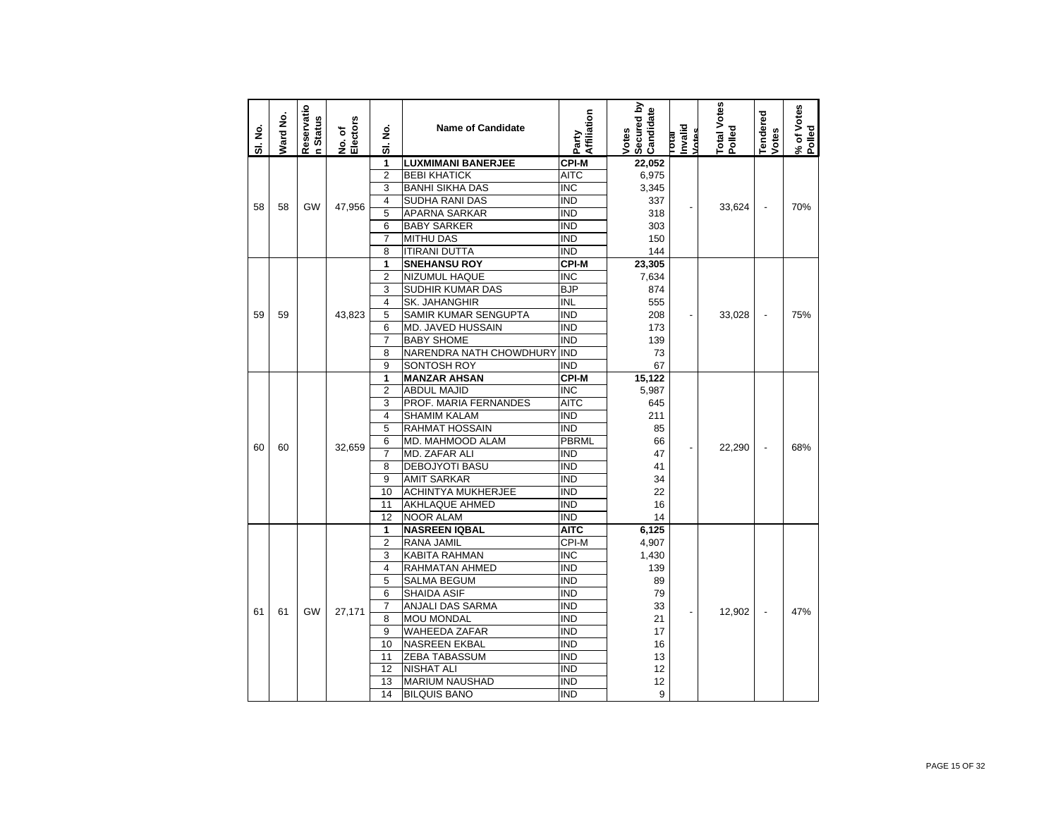| <b>LUXMIMANI BANERJEE</b><br><b>CPI-M</b><br>1<br>22,052<br>$\overline{2}$<br><b>BEBI KHATICK</b><br>AITC<br>6,975<br>3<br><b>BANHI SIKHA DAS</b><br>INC<br>3,345<br><b>SUDHA RANI DAS</b><br>$\overline{\text{IND}}$<br>$\overline{4}$<br>337<br><b>GW</b><br>47,956<br>70%<br>58<br>58<br>33,624<br>$\overline{a}$<br>5<br><b>APARNA SARKAR</b><br><b>IND</b><br>318<br>6<br><b>BABY SARKER</b><br>ind<br>303<br>$\overline{7}$<br><b>MITHU DAS</b><br><b>IND</b><br>150<br>8<br><b>ITIRANI DUTTA</b><br><b>IND</b><br>144<br>CPI-M<br>1<br><b>SNEHANSU ROY</b><br>23,305<br>$\overline{2}$<br>NIZUMUL HAQUE<br><b>INC</b><br>7,634<br>3<br><b>BJP</b><br>SUDHIR KUMAR DAS<br>874<br><b>INL</b><br>$\overline{4}$<br>SK. JAHANGHIR<br>555<br>5<br>SAMIR KUMAR SENGUPTA<br>IND<br>59<br>43,823<br>208<br>59<br>33,028<br>÷,<br>6<br><b>MD. JAVED HUSSAIN</b><br><b>IND</b><br>173<br>$\overline{7}$<br><b>IND</b><br><b>BABY SHOME</b><br>139<br>NARENDRA NATH CHOWDHURY IND<br>8<br>73<br>9<br><b>IND</b><br>67<br>SONTOSH ROY<br>1<br>15,122<br><b>MANZAR AHSAN</b><br><b>CPI-M</b><br>$\overline{2}$<br><b>ABDUL MAJID</b><br><b>INC</b><br>5,987<br>3<br><b>AITC</b><br>PROF. MARIA FERNANDES<br>645<br><b>IND</b><br>$\overline{4}$<br><b>SHAMIM KALAM</b><br>211<br>5<br>RAHMAT HOSSAIN<br>ind<br>85<br>MD. MAHMOOD ALAM<br>PBRML<br>6<br>66<br>68%<br>60<br>60<br>32,659<br>22,290<br>$\overline{\phantom{a}}$<br>$\overline{7}$<br>MD. ZAFAR ALI<br><b>IND</b><br>47<br><b>IND</b><br>8<br>DEBOJYOTI BASU<br>41<br>9<br><b>AMIT SARKAR</b><br><b>IND</b><br>34<br><b>IND</b><br>10<br><b>ACHINTYA MUKHERJEE</b><br>22<br>11<br>AKHLAQUE AHMED<br>IND<br>16<br>$\overline{IND}$<br>12<br>14<br><b>NOOR ALAM</b><br><b>AITC</b><br>6,125<br>1<br><b>NASREEN IQBAL</b><br>$\overline{2}$<br>RANA JAMIL<br>CPI-M<br>4,907 | SI. No. | Ward No. | Reservatio<br><b>Status</b><br>$\epsilon$ | No. of<br>Electors | ş<br>5 | <b>Name of Candidate</b> | Affiliation<br>Party | Secured by<br>Candidate<br>Votes | hvalid<br>Votes<br><b>Lotal</b> | Total Votes<br>Polled | <b>Tendered</b><br>Votes | % of Votes<br>Polled |
|--------------------------------------------------------------------------------------------------------------------------------------------------------------------------------------------------------------------------------------------------------------------------------------------------------------------------------------------------------------------------------------------------------------------------------------------------------------------------------------------------------------------------------------------------------------------------------------------------------------------------------------------------------------------------------------------------------------------------------------------------------------------------------------------------------------------------------------------------------------------------------------------------------------------------------------------------------------------------------------------------------------------------------------------------------------------------------------------------------------------------------------------------------------------------------------------------------------------------------------------------------------------------------------------------------------------------------------------------------------------------------------------------------------------------------------------------------------------------------------------------------------------------------------------------------------------------------------------------------------------------------------------------------------------------------------------------------------------------------------------------------------------------------------------------------------------------------|---------|----------|-------------------------------------------|--------------------|--------|--------------------------|----------------------|----------------------------------|---------------------------------|-----------------------|--------------------------|----------------------|
|                                                                                                                                                                                                                                                                                                                                                                                                                                                                                                                                                                                                                                                                                                                                                                                                                                                                                                                                                                                                                                                                                                                                                                                                                                                                                                                                                                                                                                                                                                                                                                                                                                                                                                                                                                                                                                |         |          |                                           |                    |        |                          |                      |                                  |                                 |                       |                          |                      |
|                                                                                                                                                                                                                                                                                                                                                                                                                                                                                                                                                                                                                                                                                                                                                                                                                                                                                                                                                                                                                                                                                                                                                                                                                                                                                                                                                                                                                                                                                                                                                                                                                                                                                                                                                                                                                                |         |          |                                           |                    |        |                          |                      |                                  |                                 |                       |                          |                      |
|                                                                                                                                                                                                                                                                                                                                                                                                                                                                                                                                                                                                                                                                                                                                                                                                                                                                                                                                                                                                                                                                                                                                                                                                                                                                                                                                                                                                                                                                                                                                                                                                                                                                                                                                                                                                                                |         |          |                                           |                    |        |                          |                      |                                  |                                 |                       |                          |                      |
|                                                                                                                                                                                                                                                                                                                                                                                                                                                                                                                                                                                                                                                                                                                                                                                                                                                                                                                                                                                                                                                                                                                                                                                                                                                                                                                                                                                                                                                                                                                                                                                                                                                                                                                                                                                                                                |         |          |                                           |                    |        |                          |                      |                                  |                                 |                       |                          |                      |
|                                                                                                                                                                                                                                                                                                                                                                                                                                                                                                                                                                                                                                                                                                                                                                                                                                                                                                                                                                                                                                                                                                                                                                                                                                                                                                                                                                                                                                                                                                                                                                                                                                                                                                                                                                                                                                |         |          |                                           |                    |        |                          |                      |                                  |                                 |                       |                          |                      |
|                                                                                                                                                                                                                                                                                                                                                                                                                                                                                                                                                                                                                                                                                                                                                                                                                                                                                                                                                                                                                                                                                                                                                                                                                                                                                                                                                                                                                                                                                                                                                                                                                                                                                                                                                                                                                                |         |          |                                           |                    |        |                          |                      |                                  |                                 |                       |                          |                      |
|                                                                                                                                                                                                                                                                                                                                                                                                                                                                                                                                                                                                                                                                                                                                                                                                                                                                                                                                                                                                                                                                                                                                                                                                                                                                                                                                                                                                                                                                                                                                                                                                                                                                                                                                                                                                                                |         |          |                                           |                    |        |                          |                      |                                  |                                 |                       |                          |                      |
|                                                                                                                                                                                                                                                                                                                                                                                                                                                                                                                                                                                                                                                                                                                                                                                                                                                                                                                                                                                                                                                                                                                                                                                                                                                                                                                                                                                                                                                                                                                                                                                                                                                                                                                                                                                                                                |         |          |                                           |                    |        |                          |                      |                                  |                                 |                       |                          |                      |
|                                                                                                                                                                                                                                                                                                                                                                                                                                                                                                                                                                                                                                                                                                                                                                                                                                                                                                                                                                                                                                                                                                                                                                                                                                                                                                                                                                                                                                                                                                                                                                                                                                                                                                                                                                                                                                |         |          |                                           |                    |        |                          |                      |                                  |                                 |                       |                          |                      |
|                                                                                                                                                                                                                                                                                                                                                                                                                                                                                                                                                                                                                                                                                                                                                                                                                                                                                                                                                                                                                                                                                                                                                                                                                                                                                                                                                                                                                                                                                                                                                                                                                                                                                                                                                                                                                                |         |          |                                           |                    |        |                          |                      |                                  |                                 |                       |                          |                      |
|                                                                                                                                                                                                                                                                                                                                                                                                                                                                                                                                                                                                                                                                                                                                                                                                                                                                                                                                                                                                                                                                                                                                                                                                                                                                                                                                                                                                                                                                                                                                                                                                                                                                                                                                                                                                                                |         |          |                                           |                    |        |                          |                      |                                  |                                 |                       |                          |                      |
|                                                                                                                                                                                                                                                                                                                                                                                                                                                                                                                                                                                                                                                                                                                                                                                                                                                                                                                                                                                                                                                                                                                                                                                                                                                                                                                                                                                                                                                                                                                                                                                                                                                                                                                                                                                                                                |         |          |                                           |                    |        |                          |                      |                                  |                                 |                       |                          |                      |
|                                                                                                                                                                                                                                                                                                                                                                                                                                                                                                                                                                                                                                                                                                                                                                                                                                                                                                                                                                                                                                                                                                                                                                                                                                                                                                                                                                                                                                                                                                                                                                                                                                                                                                                                                                                                                                |         |          |                                           |                    |        |                          |                      |                                  |                                 |                       |                          | 75%                  |
|                                                                                                                                                                                                                                                                                                                                                                                                                                                                                                                                                                                                                                                                                                                                                                                                                                                                                                                                                                                                                                                                                                                                                                                                                                                                                                                                                                                                                                                                                                                                                                                                                                                                                                                                                                                                                                |         |          |                                           |                    |        |                          |                      |                                  |                                 |                       |                          |                      |
|                                                                                                                                                                                                                                                                                                                                                                                                                                                                                                                                                                                                                                                                                                                                                                                                                                                                                                                                                                                                                                                                                                                                                                                                                                                                                                                                                                                                                                                                                                                                                                                                                                                                                                                                                                                                                                |         |          |                                           |                    |        |                          |                      |                                  |                                 |                       |                          |                      |
|                                                                                                                                                                                                                                                                                                                                                                                                                                                                                                                                                                                                                                                                                                                                                                                                                                                                                                                                                                                                                                                                                                                                                                                                                                                                                                                                                                                                                                                                                                                                                                                                                                                                                                                                                                                                                                |         |          |                                           |                    |        |                          |                      |                                  |                                 |                       |                          |                      |
|                                                                                                                                                                                                                                                                                                                                                                                                                                                                                                                                                                                                                                                                                                                                                                                                                                                                                                                                                                                                                                                                                                                                                                                                                                                                                                                                                                                                                                                                                                                                                                                                                                                                                                                                                                                                                                |         |          |                                           |                    |        |                          |                      |                                  |                                 |                       |                          |                      |
|                                                                                                                                                                                                                                                                                                                                                                                                                                                                                                                                                                                                                                                                                                                                                                                                                                                                                                                                                                                                                                                                                                                                                                                                                                                                                                                                                                                                                                                                                                                                                                                                                                                                                                                                                                                                                                |         |          |                                           |                    |        |                          |                      |                                  |                                 |                       |                          |                      |
|                                                                                                                                                                                                                                                                                                                                                                                                                                                                                                                                                                                                                                                                                                                                                                                                                                                                                                                                                                                                                                                                                                                                                                                                                                                                                                                                                                                                                                                                                                                                                                                                                                                                                                                                                                                                                                |         |          |                                           |                    |        |                          |                      |                                  |                                 |                       |                          |                      |
|                                                                                                                                                                                                                                                                                                                                                                                                                                                                                                                                                                                                                                                                                                                                                                                                                                                                                                                                                                                                                                                                                                                                                                                                                                                                                                                                                                                                                                                                                                                                                                                                                                                                                                                                                                                                                                |         |          |                                           |                    |        |                          |                      |                                  |                                 |                       |                          |                      |
|                                                                                                                                                                                                                                                                                                                                                                                                                                                                                                                                                                                                                                                                                                                                                                                                                                                                                                                                                                                                                                                                                                                                                                                                                                                                                                                                                                                                                                                                                                                                                                                                                                                                                                                                                                                                                                |         |          |                                           |                    |        |                          |                      |                                  |                                 |                       |                          |                      |
|                                                                                                                                                                                                                                                                                                                                                                                                                                                                                                                                                                                                                                                                                                                                                                                                                                                                                                                                                                                                                                                                                                                                                                                                                                                                                                                                                                                                                                                                                                                                                                                                                                                                                                                                                                                                                                |         |          |                                           |                    |        |                          |                      |                                  |                                 |                       |                          |                      |
|                                                                                                                                                                                                                                                                                                                                                                                                                                                                                                                                                                                                                                                                                                                                                                                                                                                                                                                                                                                                                                                                                                                                                                                                                                                                                                                                                                                                                                                                                                                                                                                                                                                                                                                                                                                                                                |         |          |                                           |                    |        |                          |                      |                                  |                                 |                       |                          |                      |
|                                                                                                                                                                                                                                                                                                                                                                                                                                                                                                                                                                                                                                                                                                                                                                                                                                                                                                                                                                                                                                                                                                                                                                                                                                                                                                                                                                                                                                                                                                                                                                                                                                                                                                                                                                                                                                |         |          |                                           |                    |        |                          |                      |                                  |                                 |                       |                          |                      |
|                                                                                                                                                                                                                                                                                                                                                                                                                                                                                                                                                                                                                                                                                                                                                                                                                                                                                                                                                                                                                                                                                                                                                                                                                                                                                                                                                                                                                                                                                                                                                                                                                                                                                                                                                                                                                                |         |          |                                           |                    |        |                          |                      |                                  |                                 |                       |                          |                      |
|                                                                                                                                                                                                                                                                                                                                                                                                                                                                                                                                                                                                                                                                                                                                                                                                                                                                                                                                                                                                                                                                                                                                                                                                                                                                                                                                                                                                                                                                                                                                                                                                                                                                                                                                                                                                                                |         |          |                                           |                    |        |                          |                      |                                  |                                 |                       |                          |                      |
|                                                                                                                                                                                                                                                                                                                                                                                                                                                                                                                                                                                                                                                                                                                                                                                                                                                                                                                                                                                                                                                                                                                                                                                                                                                                                                                                                                                                                                                                                                                                                                                                                                                                                                                                                                                                                                |         |          |                                           |                    |        |                          |                      |                                  |                                 |                       |                          |                      |
|                                                                                                                                                                                                                                                                                                                                                                                                                                                                                                                                                                                                                                                                                                                                                                                                                                                                                                                                                                                                                                                                                                                                                                                                                                                                                                                                                                                                                                                                                                                                                                                                                                                                                                                                                                                                                                |         |          |                                           |                    |        |                          |                      |                                  |                                 |                       |                          |                      |
|                                                                                                                                                                                                                                                                                                                                                                                                                                                                                                                                                                                                                                                                                                                                                                                                                                                                                                                                                                                                                                                                                                                                                                                                                                                                                                                                                                                                                                                                                                                                                                                                                                                                                                                                                                                                                                |         |          |                                           |                    |        |                          |                      |                                  |                                 |                       |                          |                      |
|                                                                                                                                                                                                                                                                                                                                                                                                                                                                                                                                                                                                                                                                                                                                                                                                                                                                                                                                                                                                                                                                                                                                                                                                                                                                                                                                                                                                                                                                                                                                                                                                                                                                                                                                                                                                                                |         |          |                                           |                    |        |                          |                      |                                  |                                 |                       |                          |                      |
|                                                                                                                                                                                                                                                                                                                                                                                                                                                                                                                                                                                                                                                                                                                                                                                                                                                                                                                                                                                                                                                                                                                                                                                                                                                                                                                                                                                                                                                                                                                                                                                                                                                                                                                                                                                                                                |         |          |                                           |                    |        |                          |                      |                                  |                                 |                       |                          |                      |
|                                                                                                                                                                                                                                                                                                                                                                                                                                                                                                                                                                                                                                                                                                                                                                                                                                                                                                                                                                                                                                                                                                                                                                                                                                                                                                                                                                                                                                                                                                                                                                                                                                                                                                                                                                                                                                |         |          |                                           |                    | 3      | KABITA RAHMAN            | <b>INC</b>           | 1,430                            |                                 |                       |                          |                      |
| $\overline{\mathbf{4}}$<br>RAHMATAN AHMED<br><b>IND</b><br>139                                                                                                                                                                                                                                                                                                                                                                                                                                                                                                                                                                                                                                                                                                                                                                                                                                                                                                                                                                                                                                                                                                                                                                                                                                                                                                                                                                                                                                                                                                                                                                                                                                                                                                                                                                 |         |          |                                           |                    |        |                          |                      |                                  |                                 |                       |                          |                      |
| 5<br><b>IND</b><br><b>SALMA BEGUM</b><br>89                                                                                                                                                                                                                                                                                                                                                                                                                                                                                                                                                                                                                                                                                                                                                                                                                                                                                                                                                                                                                                                                                                                                                                                                                                                                                                                                                                                                                                                                                                                                                                                                                                                                                                                                                                                    |         |          |                                           |                    |        |                          |                      |                                  |                                 |                       |                          |                      |
| SHAIDA ASIF<br><b>IND</b><br>6<br>79                                                                                                                                                                                                                                                                                                                                                                                                                                                                                                                                                                                                                                                                                                                                                                                                                                                                                                                                                                                                                                                                                                                                                                                                                                                                                                                                                                                                                                                                                                                                                                                                                                                                                                                                                                                           |         |          |                                           |                    |        |                          |                      |                                  |                                 |                       |                          |                      |
| <b>IND</b><br>$\overline{7}$<br>ANJALI DAS SARMA<br>33                                                                                                                                                                                                                                                                                                                                                                                                                                                                                                                                                                                                                                                                                                                                                                                                                                                                                                                                                                                                                                                                                                                                                                                                                                                                                                                                                                                                                                                                                                                                                                                                                                                                                                                                                                         |         |          |                                           |                    |        |                          |                      |                                  |                                 |                       |                          |                      |
| <b>GW</b><br>27,171<br>61<br>61<br>12.902<br>$\overline{\phantom{a}}$<br>8<br><b>MOU MONDAL</b><br><b>IND</b><br>21                                                                                                                                                                                                                                                                                                                                                                                                                                                                                                                                                                                                                                                                                                                                                                                                                                                                                                                                                                                                                                                                                                                                                                                                                                                                                                                                                                                                                                                                                                                                                                                                                                                                                                            |         |          |                                           |                    |        |                          |                      |                                  |                                 |                       |                          | 47%                  |
| 9<br><b>WAHEEDA ZAFAR</b><br>IND<br>17                                                                                                                                                                                                                                                                                                                                                                                                                                                                                                                                                                                                                                                                                                                                                                                                                                                                                                                                                                                                                                                                                                                                                                                                                                                                                                                                                                                                                                                                                                                                                                                                                                                                                                                                                                                         |         |          |                                           |                    |        |                          |                      |                                  |                                 |                       |                          |                      |
| 10<br><b>NASREEN EKBAL</b><br><b>IND</b><br>16                                                                                                                                                                                                                                                                                                                                                                                                                                                                                                                                                                                                                                                                                                                                                                                                                                                                                                                                                                                                                                                                                                                                                                                                                                                                                                                                                                                                                                                                                                                                                                                                                                                                                                                                                                                 |         |          |                                           |                    |        |                          |                      |                                  |                                 |                       |                          |                      |
| 11<br><b>ZEBA TABASSUM</b><br><b>IND</b><br>13                                                                                                                                                                                                                                                                                                                                                                                                                                                                                                                                                                                                                                                                                                                                                                                                                                                                                                                                                                                                                                                                                                                                                                                                                                                                                                                                                                                                                                                                                                                                                                                                                                                                                                                                                                                 |         |          |                                           |                    |        |                          |                      |                                  |                                 |                       |                          |                      |
| 12<br><b>NISHAT ALI</b><br>IND<br>12                                                                                                                                                                                                                                                                                                                                                                                                                                                                                                                                                                                                                                                                                                                                                                                                                                                                                                                                                                                                                                                                                                                                                                                                                                                                                                                                                                                                                                                                                                                                                                                                                                                                                                                                                                                           |         |          |                                           |                    |        |                          |                      |                                  |                                 |                       |                          |                      |
| <b>IND</b><br>13<br><b>MARIUM NAUSHAD</b><br>12                                                                                                                                                                                                                                                                                                                                                                                                                                                                                                                                                                                                                                                                                                                                                                                                                                                                                                                                                                                                                                                                                                                                                                                                                                                                                                                                                                                                                                                                                                                                                                                                                                                                                                                                                                                |         |          |                                           |                    |        |                          |                      |                                  |                                 |                       |                          |                      |
| 9<br>14<br><b>BILQUIS BANO</b><br><b>IND</b>                                                                                                                                                                                                                                                                                                                                                                                                                                                                                                                                                                                                                                                                                                                                                                                                                                                                                                                                                                                                                                                                                                                                                                                                                                                                                                                                                                                                                                                                                                                                                                                                                                                                                                                                                                                   |         |          |                                           |                    |        |                          |                      |                                  |                                 |                       |                          |                      |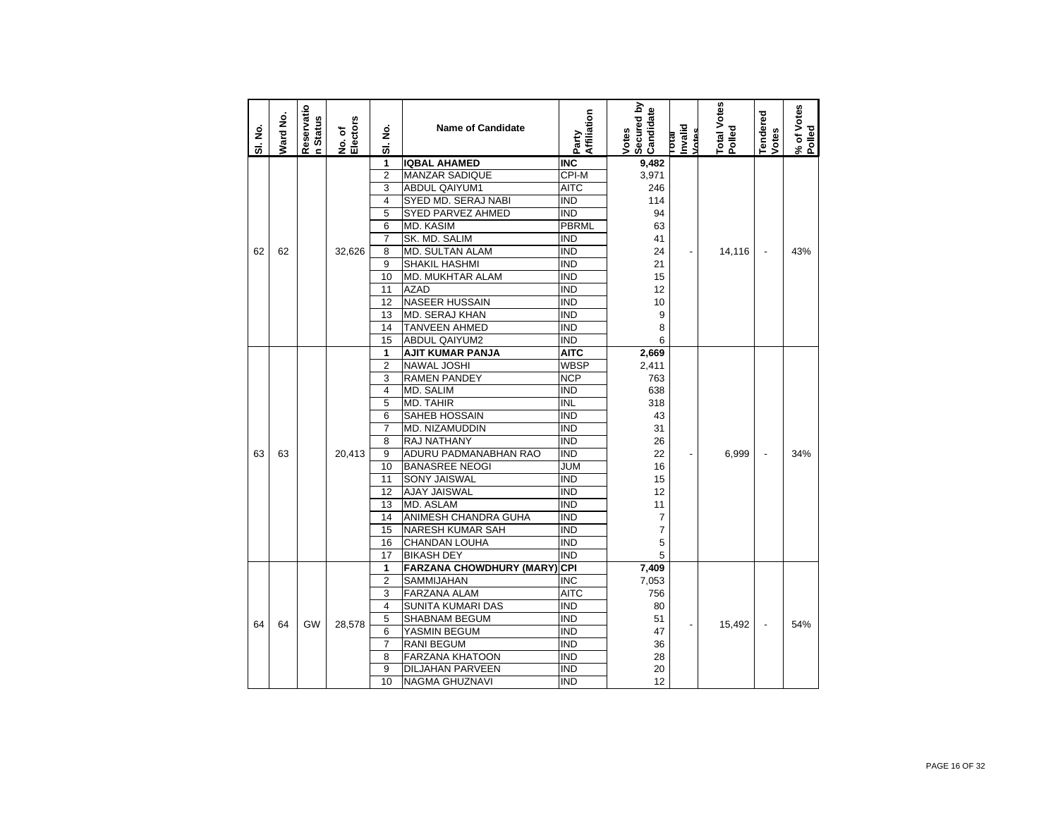| SI. No. | Ward No. | Reservatio<br>n Status | No. of<br>Electors | $\dot{\mathbf{z}}$<br>ಹ | <b>Name of Candidate</b>         | Affiliation<br>Party       | Secured by<br>Candidate<br>Votes | Invalid<br>Votes<br><b>IP101</b> | Total Votes<br>Polled | <b>Tendered</b><br>Votes | % of Votes |
|---------|----------|------------------------|--------------------|-------------------------|----------------------------------|----------------------------|----------------------------------|----------------------------------|-----------------------|--------------------------|------------|
|         |          |                        |                    | 1                       | <b>IQBAL AHAMED</b>              | <b>INC</b>                 | 9,482                            |                                  |                       |                          |            |
|         |          |                        |                    | $\overline{2}$          | <b>MANZAR SADIQUE</b>            | CPI-M                      | 3,971                            |                                  |                       |                          |            |
|         |          |                        |                    | 3                       | <b>ABDUL QAIYUM1</b>             | <b>AITC</b>                | 246                              |                                  |                       |                          |            |
|         |          |                        |                    | 4                       | SYED MD. SERAJ NABI              | <b>IND</b>                 | 114                              |                                  |                       |                          |            |
|         |          |                        |                    | 5                       | <b>SYED PARVEZ AHMED</b>         | <b>IND</b>                 | 94                               |                                  |                       |                          |            |
|         |          |                        |                    | 6                       | MD. KASIM                        | <b>PBRML</b>               | 63                               |                                  |                       |                          |            |
|         |          |                        |                    | $\overline{7}$          | SK. MD. SALIM                    | <b>IND</b>                 | 41                               |                                  |                       |                          |            |
| 62      | 62       |                        | 32,626             | 8                       | MD. SULTAN ALAM                  | <b>IND</b>                 | 24                               |                                  | 14,116                |                          | 43%        |
|         |          |                        |                    | 9                       | <b>SHAKIL HASHMI</b>             | <b>IND</b>                 | 21                               |                                  |                       |                          |            |
|         |          |                        |                    | 10                      | MD. MUKHTAR ALAM                 | <b>IND</b>                 | 15                               |                                  |                       |                          |            |
|         |          |                        |                    | 11                      | <b>AZAD</b>                      | <b>IND</b>                 | 12                               |                                  |                       |                          |            |
|         |          |                        |                    | 12                      | <b>NASEER HUSSAIN</b>            | <b>IND</b>                 | 10                               |                                  |                       |                          |            |
|         |          |                        |                    | 13                      | MD. SERAJ KHAN                   | <b>IND</b>                 | 9                                |                                  |                       |                          |            |
|         |          |                        |                    | 14                      | TANVEEN AHMED                    | <b>IND</b>                 | 8<br>6                           |                                  |                       |                          |            |
|         |          |                        |                    | 15                      | <b>ABDUL QAIYUM2</b>             | <b>IND</b>                 |                                  |                                  |                       |                          |            |
|         |          |                        |                    | 1<br>$\overline{2}$     | AJIT KUMAR PANJA                 | <b>AITC</b><br><b>WBSP</b> | 2,669                            |                                  |                       |                          |            |
|         |          |                        |                    | 3                       | <b>NAWAL JOSHI</b>               | <b>NCP</b>                 | 2,411<br>763                     |                                  |                       |                          |            |
|         |          |                        |                    | 4                       | <b>RAMEN PANDEY</b><br>MD. SALIM | <b>IND</b>                 | 638                              |                                  |                       |                          |            |
|         |          |                        |                    | 5                       | MD. TAHIR                        | <b>INL</b>                 | 318                              |                                  |                       |                          |            |
|         |          |                        |                    | 6                       | <b>SAHEB HOSSAIN</b>             | <b>IND</b>                 | 43                               |                                  |                       |                          |            |
|         |          |                        |                    | 7                       | MD. NIZAMUDDIN                   | <b>IND</b>                 | 31                               |                                  |                       |                          |            |
|         |          |                        |                    | 8                       | RAJ NATHANY                      | <b>IND</b>                 | 26                               |                                  |                       |                          |            |
| 63      | 63       |                        | 20.413             | 9                       | ADURU PADMANABHAN RAO            | <b>IND</b>                 | 22                               |                                  | 6.999                 | $\overline{\phantom{a}}$ | 34%        |
|         |          |                        |                    | 10                      | <b>BANASREE NEOGI</b>            | JUM                        | 16                               |                                  |                       |                          |            |
|         |          |                        |                    | 11                      | <b>SONY JAISWAL</b>              | <b>IND</b>                 | 15                               |                                  |                       |                          |            |
|         |          |                        |                    | 12                      | <b>AJAY JAISWAL</b>              | <b>IND</b>                 | 12                               |                                  |                       |                          |            |
|         |          |                        |                    | 13                      | MD. ASLAM                        | <b>IND</b>                 | 11                               |                                  |                       |                          |            |
|         |          |                        |                    | 14                      | ANIMESH CHANDRA GUHA             | <b>IND</b>                 | $\overline{7}$                   |                                  |                       |                          |            |
|         |          |                        |                    | 15                      | NARESH KUMAR SAH                 | <b>IND</b>                 | $\overline{7}$                   |                                  |                       |                          |            |
|         |          |                        |                    | 16                      | CHANDAN LOUHA                    | <b>IND</b>                 | 5                                |                                  |                       |                          |            |
|         |          |                        |                    | 17                      | <b>BIKASH DEY</b>                | <b>IND</b>                 | 5                                |                                  |                       |                          |            |
|         |          |                        |                    | 1                       | <b>FARZANA CHOWDHURY (MARY)</b>  | <b>CPI</b>                 | 7,409                            |                                  |                       |                          |            |
|         |          |                        |                    | $\overline{2}$          | SAMMIJAHAN                       | <b>INC</b>                 | 7,053                            |                                  |                       |                          |            |
|         |          |                        |                    | 3                       | <b>FARZANA ALAM</b>              | <b>AITC</b>                | 756                              |                                  |                       |                          |            |
|         |          |                        |                    | 4                       | SUNITA KUMARI DAS                | <b>IND</b>                 | 80                               |                                  |                       |                          |            |
| 64      | 64       | <b>GW</b>              | 28,578             | 5                       | SHABNAM BEGUM                    | <b>IND</b>                 | 51                               |                                  | 15,492                |                          | 54%        |
|         |          |                        |                    | 6                       | YASMIN BEGUM                     | <b>IND</b>                 | 47                               |                                  |                       | $\overline{\phantom{a}}$ |            |
|         |          |                        |                    | $\overline{7}$          | <b>RANI BEGUM</b>                | <b>IND</b>                 | 36                               |                                  |                       |                          |            |
|         |          |                        |                    | 8                       | <b>FARZANA KHATOON</b>           | <b>IND</b>                 | 28                               |                                  |                       |                          |            |
|         |          |                        |                    | 9                       | DILJAHAN PARVEEN                 | <b>IND</b>                 | 20                               |                                  |                       |                          |            |
|         |          |                        |                    | 10                      | NAGMA GHUZNAVI                   | <b>IND</b>                 | 12                               |                                  |                       |                          |            |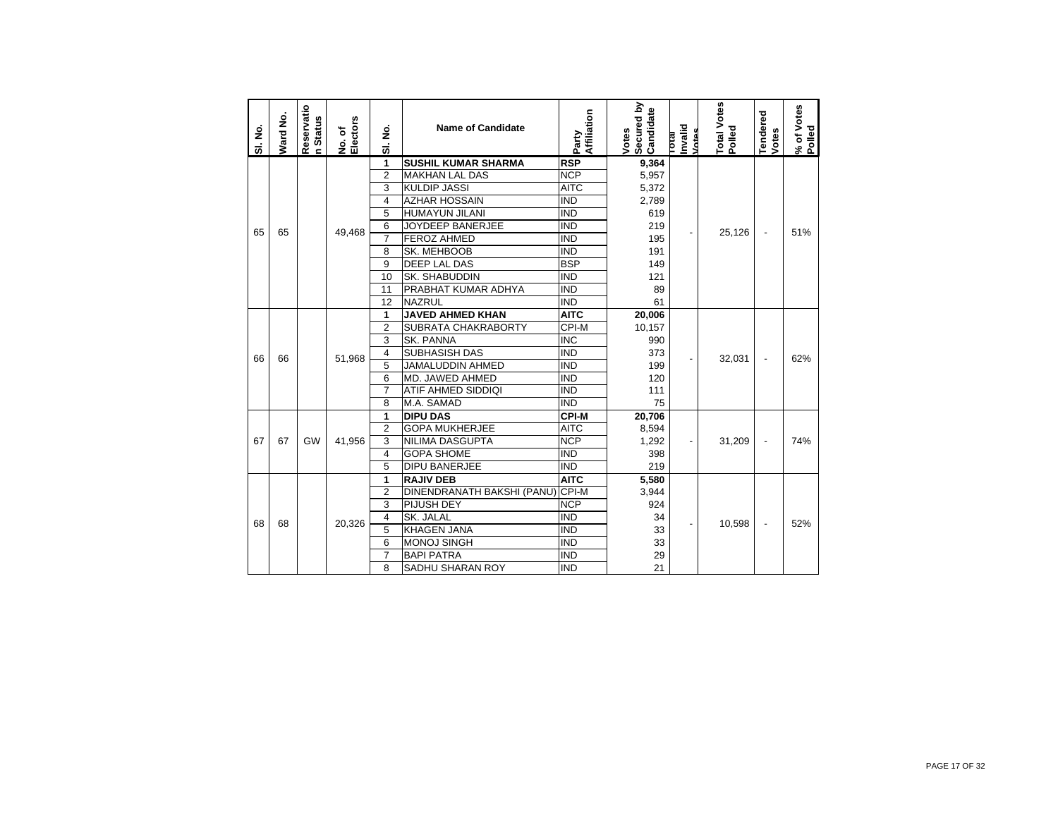| SI. No. | Ward No. | Reservatio<br><b>Status</b><br>$\epsilon$ | Electors<br>No. of | SI. No.                 | <b>Name of Candidate</b>         | Affiliation<br>Party | Secured by<br>Candidate<br>Votes | Invalid<br>Votes<br><b>Lotal</b> | Total Votes<br>Polled | Tendered<br><b>Votes</b> | % of Votes<br>Polled |
|---------|----------|-------------------------------------------|--------------------|-------------------------|----------------------------------|----------------------|----------------------------------|----------------------------------|-----------------------|--------------------------|----------------------|
|         |          |                                           |                    | 1                       | <b>SUSHIL KUMAR SHARMA</b>       | <b>RSP</b>           | 9,364                            |                                  |                       |                          |                      |
|         |          |                                           |                    | $\overline{2}$          | <b>MAKHAN LAL DAS</b>            | <b>NCP</b>           | 5,957                            |                                  |                       |                          |                      |
|         |          |                                           |                    | 3                       | <b>KULDIP JASSI</b>              | <b>AITC</b>          | 5,372                            |                                  |                       |                          |                      |
|         |          |                                           |                    | $\overline{\mathbf{4}}$ | <b>AZHAR HOSSAIN</b>             | <b>IND</b>           | 2,789                            |                                  |                       |                          |                      |
|         |          |                                           |                    | 5                       | <b>HUMAYUN JILANI</b>            | <b>IND</b>           | 619                              |                                  |                       |                          |                      |
| 65      | 65       |                                           | 49.468             | 6                       | JOYDEEP BANERJEE                 | <b>IND</b>           | 219                              |                                  | 25,126                | $\overline{a}$           | 51%                  |
|         |          |                                           |                    | $\overline{7}$          | <b>FEROZ AHMED</b>               | <b>IND</b>           | 195                              |                                  |                       |                          |                      |
|         |          |                                           |                    | 8                       | SK. MEHBOOB                      | <b>IND</b>           | 191                              |                                  |                       |                          |                      |
|         |          |                                           |                    | 9                       | <b>DEEP LAL DAS</b>              | <b>BSP</b>           | 149                              |                                  |                       |                          |                      |
|         |          |                                           |                    | 10                      | SK. SHABUDDIN                    | <b>IND</b>           | 121                              |                                  |                       |                          |                      |
|         |          |                                           |                    | 11                      | PRABHAT KUMAR ADHYA              | <b>IND</b>           | 89                               |                                  |                       |                          |                      |
|         |          |                                           |                    | 12                      | <b>NAZRUL</b>                    | <b>IND</b>           | 61                               |                                  |                       |                          |                      |
|         |          |                                           |                    | 1                       | <b>JAVED AHMED KHAN</b>          | <b>AITC</b>          | 20,006                           |                                  |                       |                          |                      |
|         |          |                                           |                    | $\overline{2}$          | SUBRATA CHAKRABORTY              | CPI-M                | 10,157                           |                                  |                       |                          |                      |
|         |          |                                           |                    | 3                       | SK. PANNA                        | <b>INC</b>           | 990                              |                                  |                       |                          |                      |
| 66      | 66       |                                           | 51,968             | $\overline{\mathbf{4}}$ | SUBHASISH DAS                    | <b>IND</b>           | 373                              |                                  | 32,031                | $\overline{\phantom{m}}$ | 62%                  |
|         |          |                                           |                    | 5                       | JAMALUDDIN AHMED                 | <b>IND</b>           | 199                              |                                  |                       |                          |                      |
|         |          |                                           |                    | 6                       | MD. JAWED AHMED                  | <b>IND</b>           | 120                              |                                  |                       |                          |                      |
|         |          |                                           |                    | $\overline{7}$          | ATIF AHMED SIDDIQI               | <b>IND</b>           | 111                              |                                  |                       |                          |                      |
|         |          |                                           |                    | 8                       | M.A. SAMAD                       | <b>IND</b>           | 75                               |                                  |                       |                          |                      |
|         |          |                                           |                    | 1                       | <b>DIPU DAS</b>                  | <b>CPI-M</b>         | 20,706                           |                                  |                       |                          |                      |
|         |          |                                           |                    | $\overline{2}$          | <b>GOPA MUKHERJEE</b>            | <b>AITC</b>          | 8,594                            |                                  |                       |                          |                      |
| 67      | 67       | GW                                        | 41.956             | 3                       | NILIMA DASGUPTA                  | <b>NCP</b>           | 1,292                            | $\overline{\phantom{a}}$         | 31,209                |                          | 74%                  |
|         |          |                                           |                    | $\overline{4}$          | <b>GOPA SHOME</b>                | <b>IND</b>           | 398                              |                                  |                       |                          |                      |
|         |          |                                           |                    | 5                       | <b>DIPU BANERJEE</b>             | <b>IND</b>           | 219                              |                                  |                       |                          |                      |
|         |          |                                           |                    | 1                       | <b>RAJIV DEB</b>                 | <b>AITC</b>          | 5,580                            |                                  |                       |                          |                      |
|         |          |                                           |                    | $\overline{2}$          | DINENDRANATH BAKSHI (PANU) CPI-M |                      | 3,944                            |                                  |                       |                          |                      |
|         |          |                                           |                    | 3                       | PIJUSH DEY                       | <b>NCP</b>           | 924                              |                                  |                       |                          |                      |
| 68      | 68       |                                           | 20,326             | $\overline{4}$          | SK. JALAL                        | <b>IND</b>           | 34                               |                                  | 10,598                |                          | 52%                  |
|         |          |                                           |                    | 5                       | <b>KHAGEN JANA</b>               | <b>IND</b>           | 33                               |                                  |                       |                          |                      |
|         |          |                                           |                    | 6                       | <b>MONOJ SINGH</b>               | <b>IND</b>           | 33                               |                                  |                       |                          |                      |
|         |          |                                           |                    | $\overline{7}$          | <b>BAPI PATRA</b>                | <b>IND</b>           | 29                               |                                  |                       |                          |                      |
|         |          |                                           |                    | 8                       | SADHU SHARAN ROY                 | <b>IND</b>           | 21                               |                                  |                       |                          |                      |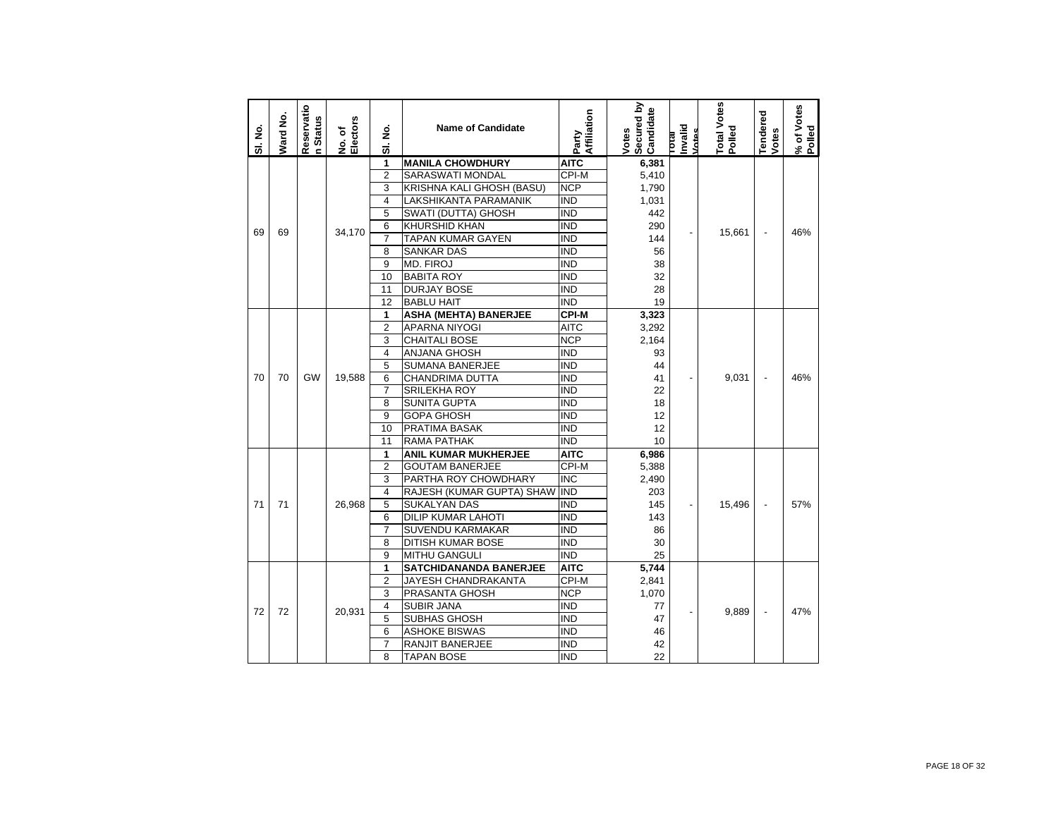| SI. No. | Ward No. | Reservatio<br>n Status | Electors<br>No. of | ş<br>$\overline{5}$ | <b>Name of Candidate</b>      | Affiliation<br>Party | Secured by<br>Candidate<br>Votes | Invalid<br>Votes<br>leio | <b>Total Votes</b><br>Polled | <b>Tendered</b><br>Votes | % of Votes<br>Polled |
|---------|----------|------------------------|--------------------|---------------------|-------------------------------|----------------------|----------------------------------|--------------------------|------------------------------|--------------------------|----------------------|
|         |          |                        |                    | 1                   | <b>MANILA CHOWDHURY</b>       | <b>AITC</b>          | 6,381                            |                          |                              |                          |                      |
|         |          |                        |                    | $\overline{2}$      | <b>SARASWATI MONDAL</b>       | CPI-M                | 5,410                            |                          |                              |                          |                      |
|         |          |                        |                    | 3                   | KRISHNA KALI GHOSH (BASU)     | <b>NCP</b>           | 1,790                            |                          |                              |                          |                      |
|         |          |                        |                    | $\overline{4}$      | LAKSHIKANTA PARAMANIK         | <b>IND</b>           | 1,031                            |                          |                              |                          |                      |
|         |          |                        |                    | 5                   | SWATI (DUTTA) GHOSH           | <b>IND</b>           | 442                              |                          |                              |                          |                      |
| 69      | 69       |                        | 34.170             | 6                   | <b>KHURSHID KHAN</b>          | <b>IND</b>           | 290                              |                          | 15,661                       | $\overline{\phantom{a}}$ | 46%                  |
|         |          |                        |                    | $\overline{7}$      | <b>TAPAN KUMAR GAYEN</b>      | <b>IND</b>           | 144                              |                          |                              |                          |                      |
|         |          |                        |                    | 8                   | <b>SANKAR DAS</b>             | <b>IND</b>           | 56                               |                          |                              |                          |                      |
|         |          |                        |                    | 9                   | MD. FIROJ                     | <b>IND</b>           | 38                               |                          |                              |                          |                      |
|         |          |                        |                    | 10                  | <b>BABITA ROY</b>             | <b>IND</b>           | 32                               |                          |                              |                          |                      |
|         |          |                        |                    | 11                  | <b>DURJAY BOSE</b>            | <b>IND</b>           | 28                               |                          |                              |                          |                      |
|         |          |                        |                    | 12                  | <b>BABLU HAIT</b>             | <b>IND</b>           | 19                               |                          |                              |                          |                      |
|         |          |                        |                    | 1                   | <b>ASHA (MEHTA) BANERJEE</b>  | <b>CPI-M</b>         | 3,323                            |                          |                              |                          |                      |
|         |          |                        |                    | $\overline{2}$      | <b>APARNA NIYOGI</b>          | <b>AITC</b>          | 3,292                            |                          |                              |                          |                      |
|         |          |                        |                    | 3                   | <b>CHAITALI BOSE</b>          | <b>NCP</b>           | 2,164                            |                          |                              |                          |                      |
|         |          |                        |                    | 4                   | <b>ANJANA GHOSH</b>           | <b>IND</b>           | 93                               |                          |                              |                          |                      |
|         |          |                        |                    | 5                   | <b>SUMANA BANERJEE</b>        | <b>IND</b>           | 44                               |                          |                              |                          |                      |
| 70      | 70       | GW                     | 19,588             | 6                   | CHANDRIMA DUTTA               | <b>IND</b>           | 41                               | $\overline{\phantom{0}}$ | 9,031                        | ÷,                       | 46%                  |
|         |          |                        |                    | $\overline{7}$      | <b>SRILEKHA ROY</b>           | <b>IND</b>           | 22                               |                          |                              |                          |                      |
|         |          |                        |                    | 8                   | <b>SUNITA GUPTA</b>           | <b>IND</b>           | 18                               |                          |                              |                          |                      |
|         |          |                        |                    | 9                   | GOPA GHOSH                    | <b>IND</b>           | 12                               |                          |                              |                          |                      |
|         |          |                        |                    | 10                  | PRATIMA BASAK                 | <b>IND</b>           | 12                               |                          |                              |                          |                      |
|         |          |                        |                    | 11                  | <b>RAMA PATHAK</b>            | <b>IND</b>           | 10                               |                          |                              |                          |                      |
|         |          |                        |                    | 1                   | <b>ANIL KUMAR MUKHERJEE</b>   | <b>AITC</b>          | 6,986                            |                          |                              |                          |                      |
|         |          |                        |                    | $\overline{2}$      | <b>GOUTAM BANERJEE</b>        | CPI-M                | 5,388                            |                          |                              |                          |                      |
|         |          |                        |                    | 3                   | PARTHA ROY CHOWDHARY          | <b>INC</b>           | 2,490                            |                          |                              |                          |                      |
|         |          |                        |                    | 4                   | RAJESH (KUMAR GUPTA) SHAW     | <b>IND</b>           | 203                              |                          |                              |                          |                      |
| 71      | 71       |                        | 26,968             | 5                   | <b>SUKALYAN DAS</b>           | <b>IND</b>           | 145                              |                          | 15,496                       | $\overline{\phantom{a}}$ | 57%                  |
|         |          |                        |                    | 6                   | <b>DILIP KUMAR LAHOTI</b>     | <b>IND</b>           | 143                              |                          |                              |                          |                      |
|         |          |                        |                    | $\overline{7}$      | <b>SUVENDU KARMAKAR</b>       | <b>IND</b>           | 86                               |                          |                              |                          |                      |
|         |          |                        |                    | 8                   | DITISH KUMAR BOSE             | <b>IND</b>           | 30                               |                          |                              |                          |                      |
|         |          |                        |                    | 9                   | <b>MITHU GANGULI</b>          | <b>IND</b>           | 25                               |                          |                              |                          |                      |
|         |          |                        |                    | 1                   | <b>SATCHIDANANDA BANERJEE</b> | <b>AITC</b>          | 5,744                            |                          |                              |                          |                      |
|         |          |                        |                    | $\overline{2}$      | JAYESH CHANDRAKANTA           | CPI-M                | 2,841                            |                          |                              |                          |                      |
|         |          |                        |                    | 3                   | PRASANTA GHOSH                | <b>NCP</b>           | 1,070                            |                          |                              |                          |                      |
| 72      | 72       |                        |                    | 4                   | <b>SUBIR JANA</b>             | <b>IND</b>           | 77                               |                          | 9,889                        | $\overline{a}$           | 47%                  |
|         |          |                        | 20,931             | 5                   | <b>SUBHAS GHOSH</b>           | <b>IND</b>           | 47                               |                          |                              |                          |                      |
|         |          |                        |                    | 6                   | <b>ASHOKE BISWAS</b>          | <b>IND</b>           | 46                               |                          |                              |                          |                      |
|         |          |                        |                    | $\overline{7}$      | <b>RANJIT BANERJEE</b>        | <b>IND</b>           | 42                               |                          |                              |                          |                      |
|         |          |                        |                    | 8                   | <b>TAPAN BOSE</b>             | <b>IND</b>           | 22                               |                          |                              |                          |                      |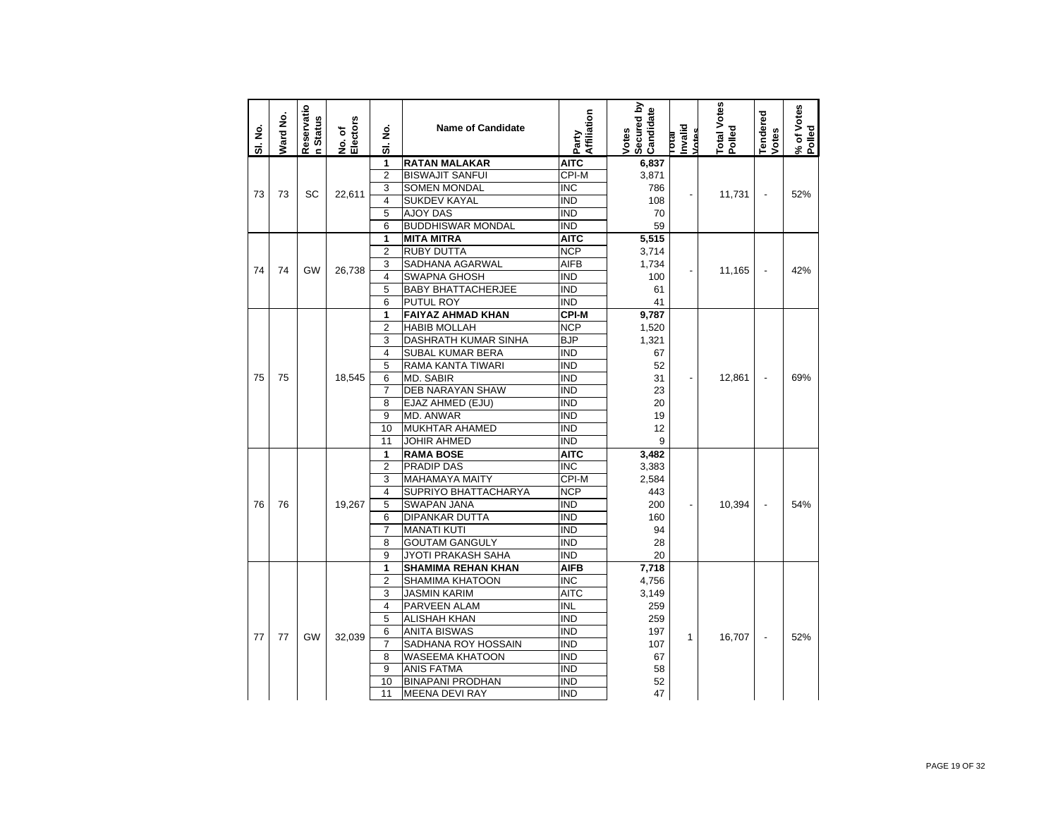| SI. No. | Ward No. | Reservatio<br><b>Status</b><br><b>c</b> | Electors<br>No. of | ş<br>ಹ                  | <b>Name of Candidate</b>  | Affiliation<br>Party | Secured by<br>Candidate<br>Votes | hvalid<br><b>Intes</b><br>lead | Total Votes<br>Polled | <b>Tendered</b><br>Votes | % of Votes<br>Polled |
|---------|----------|-----------------------------------------|--------------------|-------------------------|---------------------------|----------------------|----------------------------------|--------------------------------|-----------------------|--------------------------|----------------------|
|         |          |                                         |                    | 1                       | <b>RATAN MALAKAR</b>      | <b>AITC</b>          | 6,837                            |                                |                       |                          |                      |
|         |          |                                         |                    | $\overline{2}$          | <b>BISWAJIT SANFUI</b>    | CPI-M                | 3,871                            |                                |                       |                          |                      |
| 73      | 73       | SC                                      | 22.611             | 3                       | <b>SOMEN MONDAL</b>       | <b>INC</b>           | 786                              | $\overline{a}$                 | 11,731                | ÷,                       | 52%                  |
|         |          |                                         |                    | $\overline{\mathbf{4}}$ | <b>SUKDEV KAYAL</b>       | <b>IND</b>           | 108                              |                                |                       |                          |                      |
|         |          |                                         |                    | 5                       | <b>AJOY DAS</b>           | <b>IND</b>           | 70                               |                                |                       |                          |                      |
|         |          |                                         |                    | 6                       | <b>BUDDHISWAR MONDAL</b>  | <b>IND</b>           | 59                               |                                |                       |                          |                      |
|         |          |                                         |                    | 1                       | <b>MITA MITRA</b>         | <b>AITC</b>          | 5,515                            |                                |                       |                          |                      |
|         |          |                                         |                    | $\overline{2}$          | <b>RUBY DUTTA</b>         | <b>NCP</b>           | 3,714                            |                                |                       |                          |                      |
| 74      | 74       | GW                                      | 26.738             | 3                       | SADHANA AGARWAL           | <b>AIFB</b>          | 1,734                            |                                | 11.165                | $\overline{a}$           | 42%                  |
|         |          |                                         |                    | $\overline{4}$          | <b>SWAPNA GHOSH</b>       | <b>IND</b>           | 100                              |                                |                       |                          |                      |
|         |          |                                         |                    | 5                       | <b>BABY BHATTACHERJEE</b> | <b>IND</b>           | 61                               |                                |                       |                          |                      |
|         |          |                                         |                    | 6                       | PUTUL ROY                 | <b>IND</b>           | 41                               |                                |                       |                          |                      |
|         |          |                                         |                    | 1                       | <b>FAIYAZ AHMAD KHAN</b>  | <b>CPI-M</b>         | 9,787                            |                                |                       |                          |                      |
|         |          |                                         |                    | $\overline{2}$          | <b>HABIB MOLLAH</b>       | <b>NCP</b>           | 1,520                            |                                |                       |                          |                      |
|         |          |                                         |                    | 3                       | DASHRATH KUMAR SINHA      | <b>BJP</b>           | 1,321                            |                                |                       |                          |                      |
|         |          |                                         |                    | 4                       | SUBAL KUMAR BERA          | IND                  | 67                               |                                |                       |                          |                      |
|         |          |                                         |                    | 5                       | RAMA KANTA TIWARI         | <b>IND</b>           | 52                               |                                |                       |                          |                      |
| 75      | 75       |                                         | 18,545             | 6                       | <b>MD. SABIR</b>          | <b>IND</b>           | 31                               |                                | 12.861                |                          | 69%                  |
|         |          |                                         |                    | $\overline{7}$          | <b>DEB NARAYAN SHAW</b>   | <b>IND</b>           | 23                               |                                |                       |                          |                      |
|         |          |                                         |                    | 8                       | EJAZ AHMED (EJU)          | ind                  | 20                               |                                |                       |                          |                      |
|         |          |                                         |                    | 9                       | MD. ANWAR                 | <b>IND</b>           | 19                               |                                |                       |                          |                      |
|         |          |                                         |                    | 10                      | <b>MUKHTAR AHAMED</b>     | <b>IND</b>           | 12                               |                                |                       |                          |                      |
|         |          |                                         |                    | 11                      | <b>JOHIR AHMED</b>        | <b>IND</b>           | 9                                |                                |                       |                          |                      |
|         |          |                                         |                    | 1                       | <b>RAMA BOSE</b>          | <b>AITC</b>          | 3,482                            |                                |                       |                          |                      |
|         |          |                                         |                    | $\overline{2}$          | <b>PRADIP DAS</b>         | <b>INC</b>           | 3,383                            |                                |                       |                          |                      |
|         |          |                                         |                    | 3                       | <b>MAHAMAYA MAITY</b>     | CPI-M                | 2,584                            |                                |                       |                          |                      |
|         |          |                                         |                    | $\overline{4}$          | SUPRIYO BHATTACHARYA      | <b>NCP</b>           | 443                              |                                |                       |                          |                      |
| 76      | 76       |                                         | 19.267             | 5                       | <b>SWAPAN JANA</b>        | <b>IND</b>           | 200                              | $\overline{a}$                 | 10,394                | $\overline{\phantom{a}}$ | 54%                  |
|         |          |                                         |                    | 6                       | DIPANKAR DUTTA            | <b>IND</b>           | 160                              |                                |                       |                          |                      |
|         |          |                                         |                    | $\overline{7}$          | <b>MANATI KUTI</b>        | <b>IND</b>           | 94                               |                                |                       |                          |                      |
|         |          |                                         |                    | 8                       | <b>GOUTAM GANGULY</b>     | <b>IND</b>           | 28                               |                                |                       |                          |                      |
|         |          |                                         |                    | 9                       | JYOTI PRAKASH SAHA        | <b>IND</b>           | 20                               |                                |                       |                          |                      |
|         |          |                                         |                    | 1                       | <b>SHAMIMA REHAN KHAN</b> | <b>AIFB</b>          | 7,718                            |                                |                       |                          |                      |
|         |          |                                         |                    | $\overline{2}$          | SHAMIMA KHATOON           | <b>INC</b>           | 4,756                            |                                |                       |                          |                      |
|         |          |                                         |                    | 3                       | JASMIN KARIM              | <b>AITC</b>          | 3,149                            |                                |                       |                          |                      |
|         |          |                                         |                    | 4                       | PARVEEN ALAM              | <b>INL</b>           | 259                              |                                |                       |                          |                      |
|         |          |                                         |                    | 5                       | <b>ALISHAH KHAN</b>       | <b>IND</b>           | 259                              |                                |                       |                          |                      |
| 77      | 77       | <b>GW</b>                               |                    | 6                       | <b>ANITA BISWAS</b>       | <b>IND</b>           | 197                              | 1                              |                       | $\overline{\phantom{a}}$ | 52%                  |
|         |          |                                         | 32,039             | $\overline{7}$          | SADHANA ROY HOSSAIN       | <b>IND</b>           | 107                              |                                | 16,707                |                          |                      |
|         |          |                                         |                    | 8                       | <b>WASEEMA KHATOON</b>    | <b>IND</b>           | 67                               |                                |                       |                          |                      |
|         |          |                                         |                    | 9                       | <b>ANIS FATMA</b>         | <b>IND</b>           | 58                               |                                |                       |                          |                      |
|         |          |                                         |                    | 10                      | <b>BINAPANI PRODHAN</b>   | <b>IND</b>           | 52                               |                                |                       |                          |                      |
|         |          |                                         |                    | 11                      | <b>MEENA DEVI RAY</b>     | <b>IND</b>           | 47                               |                                |                       |                          |                      |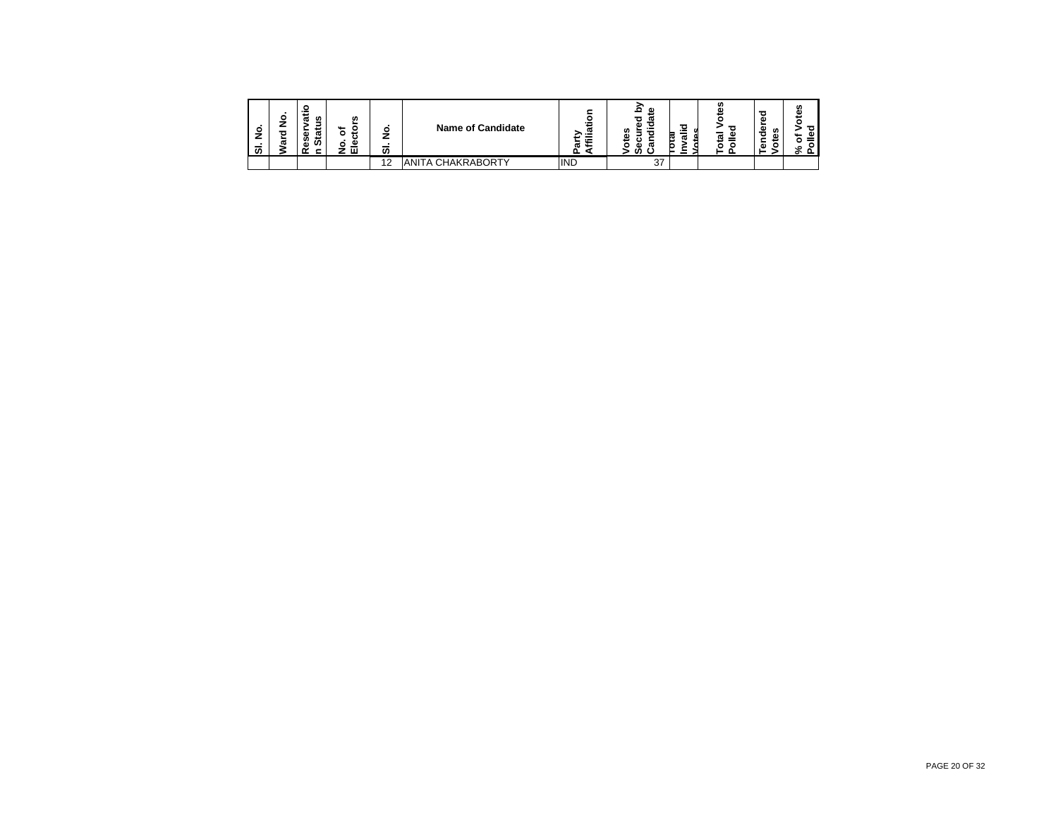| o<br>–<br>ഗ | о<br>ω | s<br>ω<br>-<br>ω<br>m<br>co<br>a١ | w<br>u<br>ت<br>o<br>౨<br>ш | ٥<br>7<br>_<br>ັທ | <b>Name of Candidate</b> | <br>منعد<br>ದಾ<br>≫…™<br>$\sim$<br>п.<br>÷ | œ<br>w<br><br>w<br>ω<br>w<br>œ | ъ<br>P.<br>$\sim$ | ഗ<br>œ<br>_<br>œ<br>ಹ | ω<br><b>SC</b><br>ᄒ<br>٨ï<br>∸<br>G) | m<br>ω<br>ъ<br>٥ |
|-------------|--------|-----------------------------------|----------------------------|-------------------|--------------------------|--------------------------------------------|--------------------------------|-------------------|-----------------------|--------------------------------------|------------------|
|             |        |                                   |                            | 12<br>. .         | IANITA CHAKRABORTY       | <b>IND</b>                                 | 37                             |                   |                       |                                      |                  |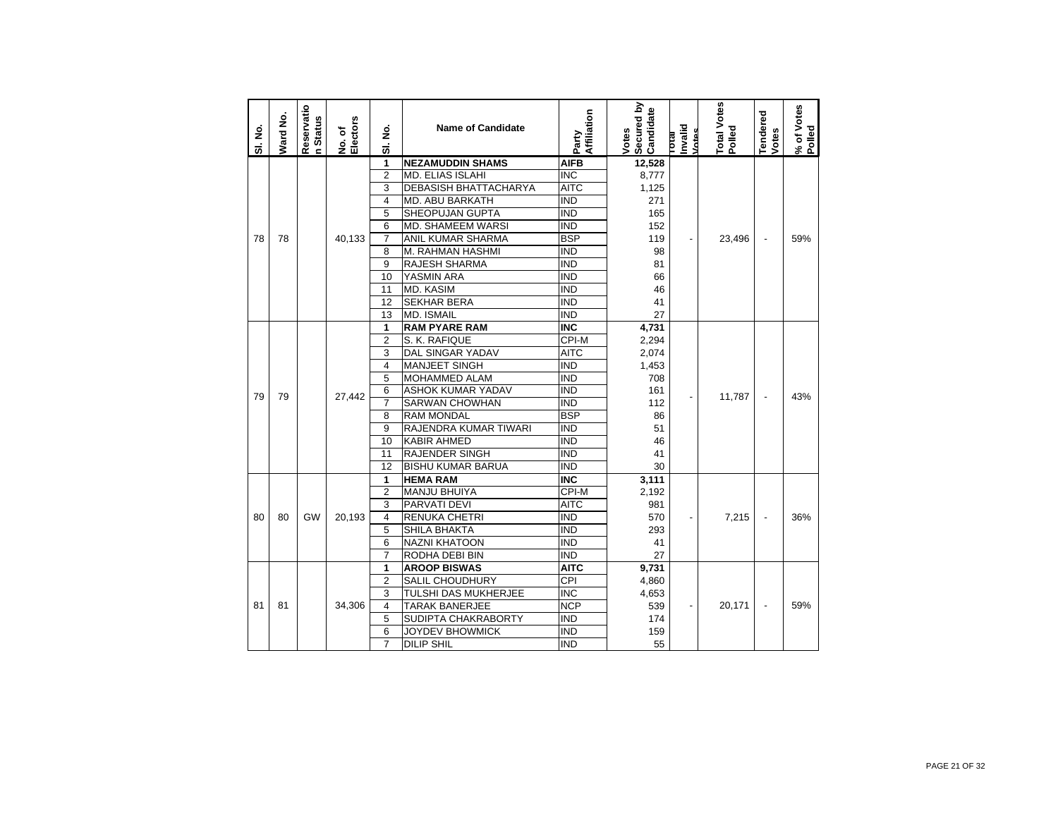| SI. No. | Ward No. | Reservatio<br>n Status | No. of<br>Electors | ş<br>ಹ         | <b>Name of Candidate</b>     | Affiliation<br>Party    | Secured by<br>Candidate<br>Votes | T <del>otal</del><br>Invalid<br>Votes | Total Votes<br>Polled | <b>Tendered</b><br>Votes | % of Votes<br>Polled |
|---------|----------|------------------------|--------------------|----------------|------------------------------|-------------------------|----------------------------------|---------------------------------------|-----------------------|--------------------------|----------------------|
|         |          |                        |                    | 1              | <b>NEZAMUDDIN SHAMS</b>      | <b>AIFB</b>             | 12,528                           |                                       |                       |                          |                      |
|         |          |                        |                    | $\overline{2}$ | <b>MD. ELIAS ISLAHI</b>      | $\overline{\text{INC}}$ | 8,777                            |                                       |                       |                          |                      |
|         |          |                        |                    | 3              | <b>DEBASISH BHATTACHARYA</b> | <b>AITC</b>             | 1,125                            |                                       |                       |                          |                      |
|         |          |                        |                    | 4              | <b>MD. ABU BARKATH</b>       | <b>IND</b>              | 271                              |                                       |                       |                          |                      |
|         |          |                        |                    | 5              | SHEOPUJAN GUPTA              | <b>IND</b>              | 165                              |                                       |                       |                          |                      |
|         |          |                        |                    | 6              | <b>MD. SHAMEEM WARSI</b>     | <b>IND</b>              | 152                              |                                       |                       |                          |                      |
| 78      | 78       |                        | 40,133             | $\overline{7}$ | ANIL KUMAR SHARMA            | <b>BSP</b>              | 119                              |                                       | 23,496                |                          | 59%                  |
|         |          |                        |                    | 8              | M. RAHMAN HASHMI             | <b>IND</b>              | 98                               |                                       |                       |                          |                      |
|         |          |                        |                    | 9              | <b>RAJESH SHARMA</b>         | <b>IND</b>              | 81                               |                                       |                       |                          |                      |
|         |          |                        |                    | 10             | YASMIN ARA                   | <b>IND</b>              | 66                               |                                       |                       |                          |                      |
|         |          |                        |                    | 11             | <b>MD. KASIM</b>             | <b>IND</b>              | 46                               |                                       |                       |                          |                      |
|         |          |                        |                    | 12             | <b>SEKHAR BERA</b>           | <b>IND</b>              | 41                               |                                       |                       |                          |                      |
|         |          |                        |                    | 13             | <b>MD. ISMAIL</b>            | <b>IND</b>              | 27                               |                                       |                       |                          |                      |
|         |          |                        |                    | 1              | <b>RAM PYARE RAM</b>         | <b>INC</b>              | 4,731                            |                                       |                       |                          |                      |
|         |          |                        |                    | $\overline{2}$ | S. K. RAFIQUE                | CPI-M                   | 2,294                            |                                       |                       |                          |                      |
|         |          |                        |                    | 3              | <b>DAL SINGAR YADAV</b>      | <b>AITC</b>             | 2,074                            |                                       |                       |                          |                      |
|         |          |                        |                    | 4              | <b>MANJEET SINGH</b>         | <b>IND</b>              | 1,453                            |                                       |                       |                          |                      |
|         |          |                        |                    | 5              | <b>MOHAMMED ALAM</b>         | <b>IND</b>              | 708                              |                                       |                       |                          |                      |
| 79      | 79       |                        |                    | 6              | <b>ASHOK KUMAR YADAV</b>     | <b>IND</b>              | 161                              |                                       | 11,787                | $\overline{a}$           | 43%                  |
|         |          |                        | 27,442             | $\overline{7}$ | <b>SARWAN CHOWHAN</b>        | <b>IND</b>              | 112                              |                                       |                       |                          |                      |
|         |          |                        |                    | 8              | <b>RAM MONDAL</b>            | <b>BSP</b>              | 86                               |                                       |                       |                          |                      |
|         |          |                        |                    | 9              | RAJENDRA KUMAR TIWARI        | <b>IND</b>              | 51                               |                                       |                       |                          |                      |
|         |          |                        |                    | 10             | <b>KABIR AHMED</b>           | <b>IND</b>              | 46                               |                                       |                       |                          |                      |
|         |          |                        |                    | 11             | <b>RAJENDER SINGH</b>        | <b>IND</b>              | 41                               |                                       |                       |                          |                      |
|         |          |                        |                    | 12             | <b>BISHU KUMAR BARUA</b>     | <b>IND</b>              | 30                               |                                       |                       |                          |                      |
|         |          |                        |                    | 1              | <b>HEMA RAM</b>              | <b>INC</b>              | 3,111                            |                                       |                       |                          |                      |
|         |          |                        |                    | $\overline{2}$ | <b>MANJU BHUIYA</b>          | CPI-M                   | 2,192                            |                                       |                       |                          |                      |
|         |          |                        |                    | 3              | PARVATI DEVI                 | <b>AITC</b>             | 981                              |                                       |                       |                          |                      |
| 80      | 80       | GW                     | 20,193             | 4              | <b>RENUKA CHETRI</b>         | <b>IND</b>              | 570                              |                                       | 7,215                 |                          | 36%                  |
|         |          |                        |                    | 5              | <b>SHILA BHAKTA</b>          | <b>IND</b>              | 293                              |                                       |                       |                          |                      |
|         |          |                        |                    | 6              | <b>NAZNI KHATOON</b>         | <b>IND</b>              | 41                               |                                       |                       |                          |                      |
|         |          |                        |                    | $\overline{7}$ | RODHA DEBI BIN               | <b>IND</b>              | 27                               |                                       |                       |                          |                      |
|         |          |                        |                    | 1              | <b>AROOP BISWAS</b>          | <b>AITC</b>             | 9,731                            |                                       |                       |                          |                      |
|         |          |                        |                    | $\overline{2}$ | SALIL CHOUDHURY              | CPI                     | 4,860                            |                                       |                       |                          |                      |
|         |          |                        |                    | 3              | TULSHI DAS MUKHERJEE         | <b>INC</b>              | 4,653                            |                                       |                       |                          |                      |
| 81      | 81       |                        | 34,306             | 4              | <b>TARAK BANERJEE</b>        | <b>NCP</b>              | 539                              |                                       | 20,171                |                          | 59%                  |
|         |          |                        |                    | 5              | SUDIPTA CHAKRABORTY          | <b>IND</b>              | 174                              |                                       |                       |                          |                      |
|         |          |                        |                    | 6              | JOYDEV BHOWMICK              | IND                     | 159                              |                                       |                       |                          |                      |
|         |          |                        |                    | $\overline{7}$ | <b>DILIP SHIL</b>            | $\overline{IND}$        | 55                               |                                       |                       |                          |                      |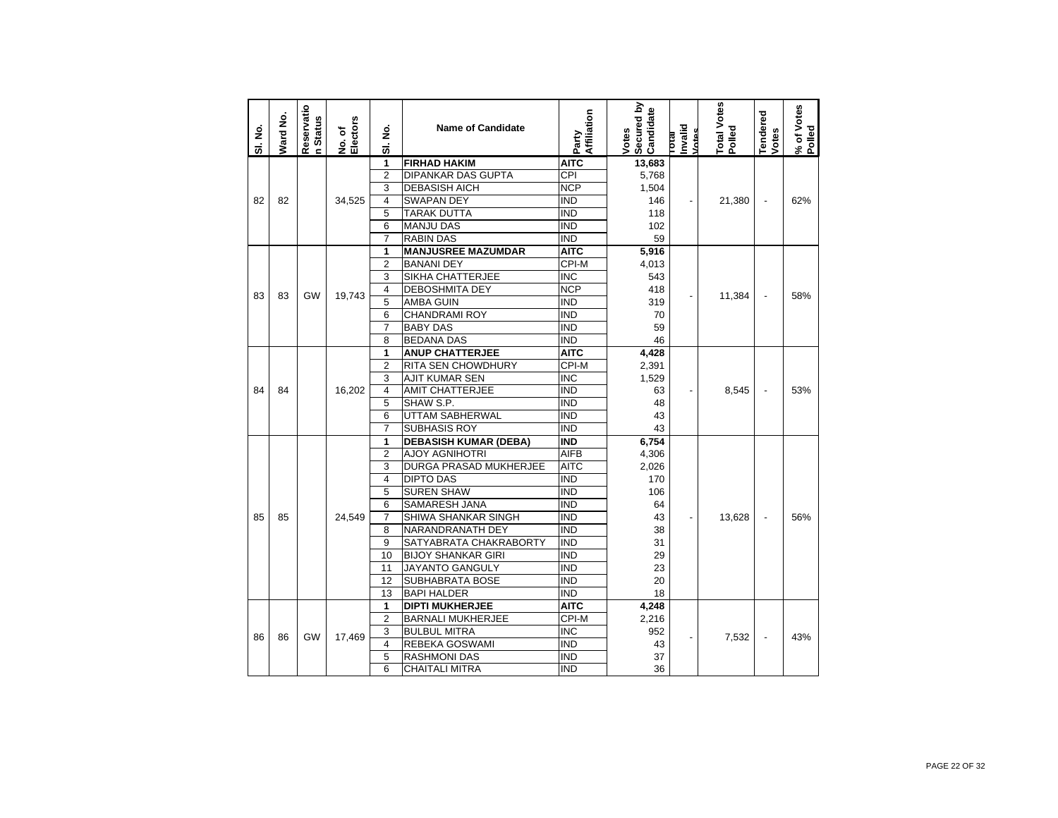| SI. No. | Ward No. | Reservatio<br>n Status | No. of<br>Electors | ş<br>ಹ         | <b>Name of Candidate</b>     | Affiliation<br>Party | Secured by<br>Candidate<br>Votes | Invalid<br><b>Intes</b><br><b>IPIOL</b> | <b>Total Votes</b><br>Polled | Tendered<br>Votes        | % of Votes<br>Polled |
|---------|----------|------------------------|--------------------|----------------|------------------------------|----------------------|----------------------------------|-----------------------------------------|------------------------------|--------------------------|----------------------|
|         |          |                        |                    | 1              | <b>FIRHAD HAKIM</b>          | <b>AITC</b>          | 13,683                           |                                         |                              |                          |                      |
|         |          |                        |                    | $\overline{2}$ | <b>DIPANKAR DAS GUPTA</b>    | CPI                  | 5,768                            |                                         |                              |                          |                      |
|         |          |                        |                    | 3              | <b>DEBASISH AICH</b>         | <b>NCP</b>           | 1,504                            |                                         |                              |                          |                      |
| 82      | 82       |                        | 34,525             | 4              | <b>SWAPAN DEY</b>            | <b>IND</b>           | 146                              |                                         | 21,380                       | $\overline{\phantom{a}}$ | 62%                  |
|         |          |                        |                    | 5              | <b>TARAK DUTTA</b>           | <b>IND</b>           | 118                              |                                         |                              |                          |                      |
|         |          |                        |                    | 6              | <b>MANJU DAS</b>             | <b>IND</b>           | 102                              |                                         |                              |                          |                      |
|         |          |                        |                    | $\overline{7}$ | <b>RABIN DAS</b>             | <b>IND</b>           | 59                               |                                         |                              |                          |                      |
|         |          |                        |                    | 1              | <b>MANJUSREE MAZUMDAR</b>    | <b>AITC</b>          | 5,916                            |                                         |                              |                          |                      |
|         |          |                        |                    | $\overline{2}$ | <b>BANANI DEY</b>            | CPI-M                | 4,013                            |                                         |                              |                          |                      |
|         |          |                        |                    | 3              | SIKHA CHATTERJEE             | <b>INC</b>           | 543                              |                                         |                              |                          |                      |
| 83      | 83       | GW                     | 19,743             | 4              | <b>DEBOSHMITA DEY</b>        | <b>NCP</b>           | 418                              |                                         | 11,384                       | $\blacksquare$           | 58%                  |
|         |          |                        |                    | 5              | <b>AMBA GUIN</b>             | <b>IND</b>           | 319                              |                                         |                              |                          |                      |
|         |          |                        |                    | 6              | <b>CHANDRAMI ROY</b>         | <b>IND</b>           | 70                               |                                         |                              |                          |                      |
|         |          |                        |                    | $\overline{7}$ | <b>BABY DAS</b>              | <b>IND</b>           | 59                               |                                         |                              |                          |                      |
|         |          |                        |                    | 8              | <b>BEDANA DAS</b>            | <b>IND</b>           | 46                               |                                         |                              |                          |                      |
|         |          |                        |                    | 1              | <b>ANUP CHATTERJEE</b>       | <b>AITC</b>          | 4,428                            |                                         |                              |                          |                      |
|         |          |                        |                    | $\overline{2}$ | RITA SEN CHOWDHURY           | CPI-M                | 2,391                            |                                         |                              |                          |                      |
|         |          |                        |                    | 3              | <b>AJIT KUMAR SEN</b>        | <b>INC</b>           | 1,529                            |                                         |                              |                          |                      |
| 84      | 84       |                        | 16,202             | 4              | <b>AMIT CHATTERJEE</b>       | <b>IND</b>           | 63                               |                                         | 8,545                        | $\overline{a}$           | 53%                  |
|         |          |                        |                    | 5              | SHAW S.P.                    | <b>IND</b>           | 48                               |                                         |                              |                          |                      |
|         |          |                        |                    | 6              | <b>UTTAM SABHERWAL</b>       | <b>IND</b>           | 43                               |                                         |                              |                          |                      |
|         |          |                        |                    | $\overline{7}$ | <b>SUBHASIS ROY</b>          | <b>IND</b>           | 43                               |                                         |                              |                          |                      |
|         |          |                        |                    | 1              | <b>DEBASISH KUMAR (DEBA)</b> | <b>IND</b>           | 6,754                            |                                         |                              |                          |                      |
|         |          |                        |                    | $\overline{2}$ | <b>AJOY AGNIHOTRI</b>        | <b>AIFB</b>          | 4,306                            |                                         |                              |                          |                      |
|         |          |                        |                    | 3              | DURGA PRASAD MUKHERJEE       | <b>AITC</b>          | 2,026                            |                                         |                              |                          |                      |
|         |          |                        |                    | $\overline{4}$ | <b>DIPTO DAS</b>             | <b>IND</b>           | 170                              |                                         |                              |                          |                      |
|         |          |                        |                    | 5              | <b>SUREN SHAW</b>            | <b>IND</b>           | 106                              |                                         |                              |                          |                      |
|         |          |                        |                    | 6              | SAMARESH JANA                | <b>IND</b>           | 64                               |                                         |                              |                          |                      |
| 85      | 85       |                        | 24,549             | 7              | SHIWA SHANKAR SINGH          | <b>IND</b>           | 43                               |                                         | 13,628                       |                          | 56%                  |
|         |          |                        |                    | 8              | NARANDRANATH DEY             | <b>IND</b>           | 38                               |                                         |                              |                          |                      |
|         |          |                        |                    | 9              | SATYABRATA CHAKRABORTY       | <b>IND</b>           | 31                               |                                         |                              |                          |                      |
|         |          |                        |                    | 10             | <b>BIJOY SHANKAR GIRI</b>    | <b>IND</b>           | 29                               |                                         |                              |                          |                      |
|         |          |                        |                    | 11             | JAYANTO GANGULY              | <b>IND</b>           | 23                               |                                         |                              |                          |                      |
|         |          |                        |                    | 12             | <b>SUBHABRATA BOSE</b>       | <b>IND</b>           | 20                               |                                         |                              |                          |                      |
|         |          |                        |                    | 13             | <b>BAPI HALDER</b>           | <b>IND</b>           | 18                               |                                         |                              |                          |                      |
|         |          |                        |                    | 1              | <b>DIPTI MUKHERJEE</b>       | <b>AITC</b>          | 4,248                            |                                         |                              |                          |                      |
|         |          |                        |                    | $\overline{2}$ | <b>BARNALI MUKHERJEE</b>     | CPI-M                | 2,216                            |                                         |                              |                          |                      |
| 86      | 86       | GW                     | 17,469             | 3              | <b>BULBUL MITRA</b>          | <b>INC</b>           | 952                              |                                         | 7,532                        | $\overline{\phantom{a}}$ | 43%                  |
|         |          |                        |                    | 4              | REBEKA GOSWAMI               | <b>IND</b>           | 43                               |                                         |                              |                          |                      |
|         |          |                        |                    | 5              | <b>RASHMONI DAS</b>          | <b>IND</b>           | 37                               |                                         |                              |                          |                      |
|         |          |                        |                    | 6              | <b>CHAITALI MITRA</b>        | <b>IND</b>           | 36                               |                                         |                              |                          |                      |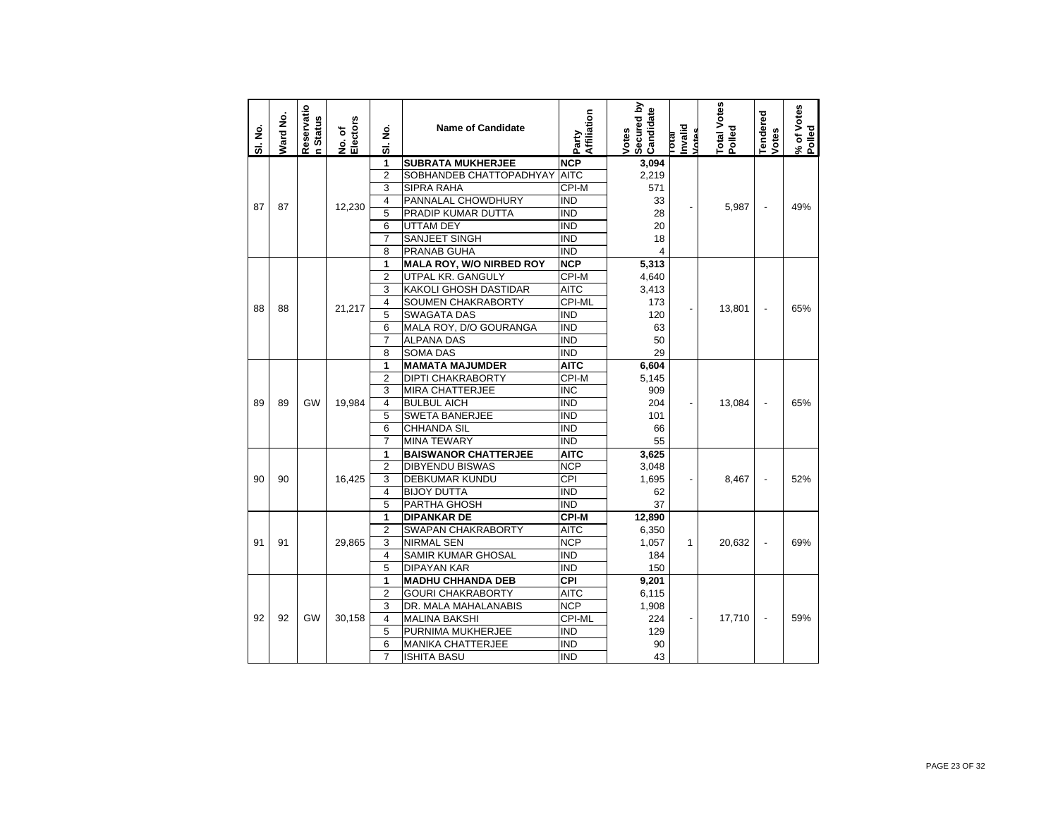| SI. No. | Ward No. | Reservatio<br>n Status | No. of<br>Electors | ş<br>5                  | <b>Name of Candidate</b>        | Affiliation<br>Party    | Secured by<br>Candidate<br>Votes | Invalid<br>Votes<br>lotal | <b>Total Votes</b><br>Polled | <b>Tendered</b><br>Votes | % of Votes<br>Polled |
|---------|----------|------------------------|--------------------|-------------------------|---------------------------------|-------------------------|----------------------------------|---------------------------|------------------------------|--------------------------|----------------------|
|         |          |                        |                    | 1                       | <b>SUBRATA MUKHERJEE</b>        | <b>NCP</b>              | 3,094                            |                           |                              |                          |                      |
|         |          |                        |                    | $\overline{2}$          | SOBHANDEB CHATTOPADHYAY         | <b>AITC</b>             | 2,219                            |                           |                              |                          |                      |
|         |          |                        |                    | 3                       | SIPRA RAHA                      | CPI-M                   | 571                              |                           |                              |                          |                      |
| 87      | 87       |                        | 12,230             | $\overline{4}$          | PANNALAL CHOWDHURY              | IND                     | 33                               |                           | 5,987                        | $\overline{a}$           | 49%                  |
|         |          |                        |                    | 5                       | PRADIP KUMAR DUTTA              | $\overline{\text{IND}}$ | 28                               |                           |                              |                          |                      |
|         |          |                        |                    | 6                       | <b>UTTAM DEY</b>                | <b>IND</b>              | 20                               |                           |                              |                          |                      |
|         |          |                        |                    | $\overline{7}$          | <b>SANJEET SINGH</b>            | $\overline{\text{IND}}$ | 18                               |                           |                              |                          |                      |
|         |          |                        |                    | 8                       | PRANAB GUHA                     | <b>IND</b>              | 4                                |                           |                              |                          |                      |
|         |          |                        |                    | 1                       | <b>MALA ROY, W/O NIRBED ROY</b> | <b>NCP</b>              | 5,313                            |                           |                              |                          |                      |
|         |          |                        |                    | $\overline{2}$          | UTPAL KR. GANGULY               | CPI-M                   | 4,640                            |                           |                              |                          |                      |
|         |          |                        |                    | 3                       | <b>KAKOLI GHOSH DASTIDAR</b>    | <b>AITC</b>             | 3,413                            |                           |                              |                          |                      |
| 88      | 88       |                        | 21,217             | 4                       | SOUMEN CHAKRABORTY              | CPI-ML                  | 173                              | $\overline{\phantom{a}}$  | 13,801                       |                          | 65%                  |
|         |          |                        |                    | 5                       | <b>SWAGATA DAS</b>              | <b>IND</b>              | 120                              |                           |                              |                          |                      |
|         |          |                        |                    | 6                       | MALA ROY, D/O GOURANGA          | <b>IND</b>              | 63                               |                           |                              |                          |                      |
|         |          |                        |                    | $\overline{7}$          | <b>ALPANA DAS</b>               | <b>IND</b>              | 50                               |                           |                              |                          |                      |
|         |          |                        |                    | 8                       | SOMA DAS                        | $\overline{\text{IND}}$ | 29                               |                           |                              |                          |                      |
|         |          |                        |                    | 1                       | <b>MAMATA MAJUMDER</b>          | <b>AITC</b>             | 6,604                            |                           |                              |                          |                      |
|         |          |                        |                    | $\overline{2}$          | <b>DIPTI CHAKRABORTY</b>        | $CPI-M$                 | 5,145                            |                           |                              |                          |                      |
|         |          | <b>GW</b>              |                    | 3                       | <b>MIRA CHATTERJEE</b>          | <b>INC</b>              | 909                              |                           |                              |                          |                      |
| 89      | 89       |                        | 19.984             | $\overline{4}$          | <b>BULBUL AICH</b>              | IND                     | 204                              | $\overline{a}$            | 13,084                       | $\overline{a}$           | 65%                  |
|         |          |                        |                    | 5                       | SWETA BANERJEE                  | <b>IND</b>              | 101                              |                           |                              |                          |                      |
|         |          |                        |                    | 6                       | CHHANDA SIL                     | $\overline{\text{IND}}$ | 66                               |                           |                              |                          |                      |
|         |          |                        |                    | $\overline{7}$          | <b>MINA TEWARY</b>              | <b>IND</b>              | 55                               |                           |                              |                          |                      |
|         |          |                        |                    | 1                       | <b>BAISWANOR CHATTERJEE</b>     | <b>AITC</b>             | 3,625                            |                           |                              |                          |                      |
|         |          |                        |                    | $\overline{2}$          | DIBYENDU BISWAS                 | <b>NCP</b>              | 3,048                            |                           |                              |                          |                      |
| 90      | 90       |                        | 16.425             | 3                       | <b>DEBKUMAR KUNDU</b>           | CPI                     | 1.695                            | $\overline{\phantom{a}}$  | 8.467                        | $\overline{a}$           | 52%                  |
|         |          |                        |                    | 4                       | <b>BIJOY DUTTA</b>              | IND                     | 62                               |                           |                              |                          |                      |
|         |          |                        |                    | $\overline{5}$          | PARTHA GHOSH                    | $\overline{\text{IND}}$ | 37                               |                           |                              |                          |                      |
|         |          |                        |                    | 1                       | DIPANKAR DE                     | CPI-M                   | 12,890                           |                           |                              |                          |                      |
|         |          |                        |                    | $\overline{2}$          | SWAPAN CHAKRABORTY              | AITC                    | 6,350                            |                           |                              |                          |                      |
| 91      | 91       |                        | 29,865             | 3                       | NIRMAL SEN                      | <b>NCP</b>              | 1,057                            | $\mathbf{1}$              | 20,632                       | $\overline{\phantom{a}}$ | 69%                  |
|         |          |                        |                    | $\overline{\mathbf{4}}$ | <b>SAMIR KUMAR GHOSAL</b>       | <b>IND</b>              | 184                              |                           |                              |                          |                      |
|         |          |                        |                    | 5                       | <b>DIPAYAN KAR</b>              | <b>IND</b>              | 150                              |                           |                              |                          |                      |
|         |          |                        |                    | 1                       | <b>MADHU CHHANDA DEB</b>        | CPI                     | 9,201                            |                           |                              |                          |                      |
|         |          |                        |                    | $\overline{2}$          | <b>GOURI CHAKRABORTY</b>        | <b>AITC</b>             | 6,115                            |                           |                              |                          |                      |
|         |          |                        |                    | 3                       | DR. MALA MAHALANABIS            | <b>NCP</b>              | 1,908                            |                           |                              |                          |                      |
| 92      | 92       | GW                     | 30,158             | $\overline{4}$          | <b>MALINA BAKSHI</b>            | CPI-ML                  | 224                              | $\blacksquare$            | 17,710                       | $\overline{\phantom{a}}$ | 59%                  |
|         |          |                        |                    | 5                       | PURNIMA MUKHERJEE               | IND                     | 129                              |                           |                              |                          |                      |
|         |          |                        |                    | 6                       | <b>MANIKA CHATTERJEE</b>        | <b>IND</b>              | 90                               |                           |                              |                          |                      |
|         |          |                        |                    | $\overline{7}$          | <b>ISHITA BASU</b>              | <b>IND</b>              | 43                               |                           |                              |                          |                      |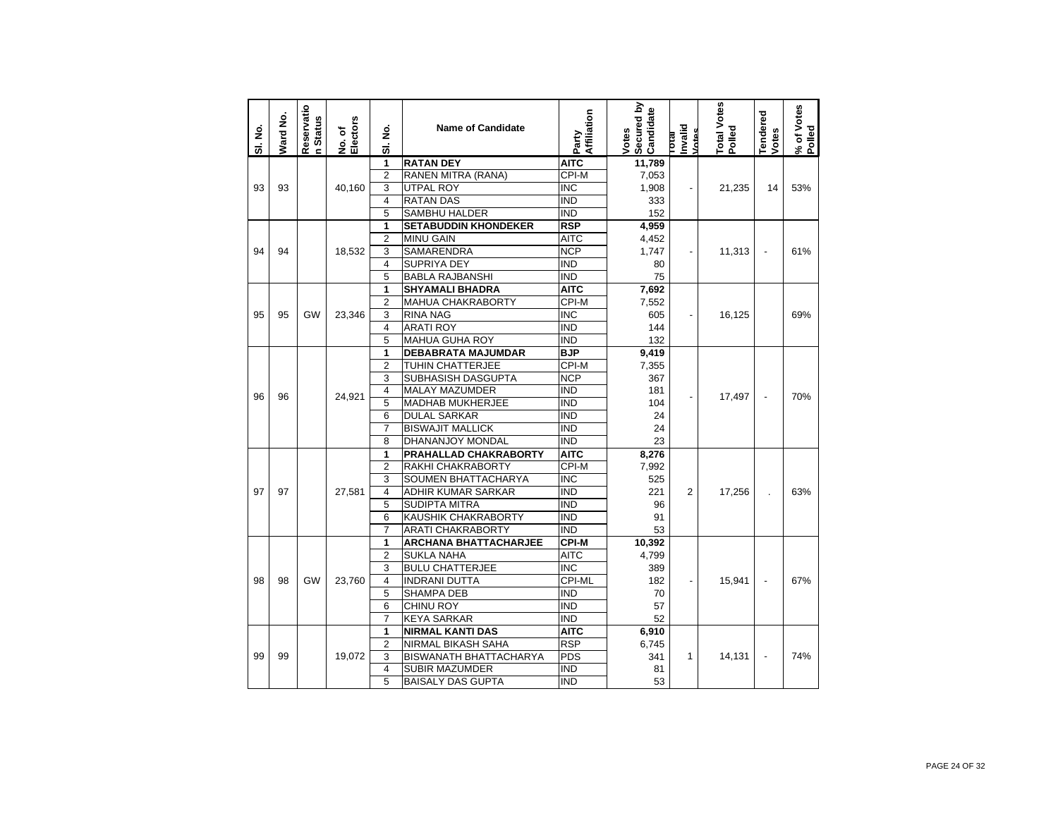| SI. No. | <b>Nard No.</b> | Reservatio<br>n Status | No. of<br>Electors | ş<br>ಹ                  | <b>Name of Candidate</b>      | Affiliation<br>Party | Secured by<br>Candidate<br>Votes | Invalid<br>Votes<br><b>IPIO</b> | Total Votes<br>Polled | endered<br>Votes | % of Votes<br>Polled |
|---------|-----------------|------------------------|--------------------|-------------------------|-------------------------------|----------------------|----------------------------------|---------------------------------|-----------------------|------------------|----------------------|
|         |                 |                        |                    | 1                       | <b>RATAN DEY</b>              | <b>AITC</b>          | 11,789                           |                                 |                       |                  |                      |
|         |                 |                        |                    | $\overline{2}$          | RANEN MITRA (RANA)            | CPI-M                | 7,053                            |                                 |                       |                  |                      |
| 93      | 93              |                        | 40.160             | 3                       | <b>UTPAL ROY</b>              | <b>INC</b>           | 1,908                            | $\overline{\phantom{a}}$        | 21,235                | 14               | 53%                  |
|         |                 |                        |                    | $\overline{4}$          | <b>RATAN DAS</b>              | <b>IND</b>           | 333                              |                                 |                       |                  |                      |
|         |                 |                        |                    | 5                       | <b>SAMBHU HALDER</b>          | <b>IND</b>           | 152                              |                                 |                       |                  |                      |
|         |                 |                        |                    | 1                       | <b>SETABUDDIN KHONDEKER</b>   | <b>RSP</b>           | 4,959                            |                                 |                       |                  |                      |
|         |                 |                        |                    | $\overline{2}$          | <b>MINU GAIN</b>              | <b>AITC</b>          | 4,452                            |                                 |                       |                  |                      |
| 94      | 94              |                        | 18,532             | 3                       | SAMARENDRA                    | <b>NCP</b>           | 1,747                            | $\overline{a}$                  | 11,313                | $\overline{a}$   | 61%                  |
|         |                 |                        |                    | 4                       | SUPRIYA DEY                   | <b>IND</b>           | 80                               |                                 |                       |                  |                      |
|         |                 |                        |                    | 5                       | <b>BABLA RAJBANSHI</b>        | <b>IND</b>           | 75                               |                                 |                       |                  |                      |
|         |                 |                        |                    | 1                       | <b>SHYAMALI BHADRA</b>        | <b>AITC</b>          | 7,692                            |                                 |                       |                  |                      |
|         |                 |                        |                    | $\overline{2}$          | MAHUA CHAKRABORTY             | CPI-M                | 7,552                            |                                 |                       |                  |                      |
| 95      | 95              | GW                     | 23.346             | 3                       | <b>RINA NAG</b>               | <b>INC</b>           | 605                              | $\overline{\phantom{a}}$        | 16.125                |                  | 69%                  |
|         |                 |                        |                    | 4                       | <b>ARATI ROY</b>              | <b>IND</b>           | 144                              |                                 |                       |                  |                      |
|         |                 |                        |                    | $\overline{5}$          | <b>MAHUA GUHA ROY</b>         | <b>IND</b>           | 132                              |                                 |                       |                  |                      |
|         |                 |                        |                    | 1                       | <b>DEBABRATA MAJUMDAR</b>     | <b>BJP</b>           | 9,419                            |                                 |                       |                  |                      |
|         |                 |                        |                    | $\overline{2}$          | TUHIN CHATTERJEE              | CPI-M                | 7,355                            |                                 |                       |                  |                      |
|         |                 |                        |                    | 3                       | SUBHASISH DASGUPTA            | <b>NCP</b>           | 367                              |                                 |                       |                  |                      |
| 96      | 96              |                        | 24,921             | $\overline{\mathbf{4}}$ | <b>MALAY MAZUMDER</b>         | <b>IND</b>           | 181                              |                                 | 17,497                |                  | 70%                  |
|         |                 |                        |                    | 5                       | <b>MADHAB MUKHERJEE</b>       | <b>IND</b>           | 104                              |                                 |                       |                  |                      |
|         |                 |                        |                    | 6                       | <b>DULAL SARKAR</b>           | <b>IND</b>           | 24                               |                                 |                       |                  |                      |
|         |                 |                        |                    | $\overline{7}$          | <b>BISWAJIT MALLICK</b>       | <b>IND</b>           | 24                               |                                 |                       |                  |                      |
|         |                 |                        |                    | 8                       | DHANANJOY MONDAL              | <b>IND</b>           | 23                               |                                 |                       |                  |                      |
|         |                 |                        |                    | 1                       | PRAHALLAD CHAKRABORTY         | <b>AITC</b>          | 8,276                            |                                 |                       |                  |                      |
|         |                 |                        |                    | $\overline{2}$          | RAKHI CHAKRABORTY             | CPI-M                | 7,992                            |                                 |                       |                  |                      |
|         |                 |                        |                    | 3                       | SOUMEN BHATTACHARYA           | <b>INC</b>           | 525                              |                                 |                       |                  |                      |
| 97      | 97              |                        | 27,581             | $\overline{4}$          | ADHIR KUMAR SARKAR            | <b>IND</b>           | 221                              | $\overline{2}$                  | 17,256                | $\overline{a}$   | 63%                  |
|         |                 |                        |                    | 5                       | <b>SUDIPTA MITRA</b>          | <b>IND</b>           | 96                               |                                 |                       |                  |                      |
|         |                 |                        |                    | 6                       | KAUSHIK CHAKRABORTY           | <b>IND</b>           | 91                               |                                 |                       |                  |                      |
|         |                 |                        |                    | $\overline{7}$          | <b>ARATI CHAKRABORTY</b>      | <b>IND</b>           | 53                               |                                 |                       |                  |                      |
|         |                 |                        |                    | 1                       | <b>ARCHANA BHATTACHARJEE</b>  | <b>CPI-M</b>         | 10,392                           |                                 |                       |                  |                      |
|         |                 |                        |                    | $\overline{2}$          | <b>SUKLA NAHA</b>             | <b>AITC</b>          | 4,799                            |                                 |                       |                  |                      |
|         |                 |                        |                    | 3                       | <b>BULU CHATTERJEE</b>        | INC                  | 389                              |                                 |                       |                  |                      |
| 98      | 98              | GW                     | 23.760             | 4                       | <b>INDRANI DUTTA</b>          | CPI-ML               | 182                              | $\overline{\phantom{0}}$        | 15,941                | $\overline{a}$   | 67%                  |
|         |                 |                        |                    | 5                       | <b>SHAMPA DEB</b>             | <b>IND</b>           | 70                               |                                 |                       |                  |                      |
|         |                 |                        |                    | 6                       | <b>CHINU ROY</b>              | $\overline{IND}$     | 57                               |                                 |                       |                  |                      |
|         |                 |                        |                    | $\overline{7}$          | <b>KEYA SARKAR</b>            | <b>IND</b>           | 52                               |                                 |                       |                  |                      |
|         |                 |                        |                    | 1                       | <b>NIRMAL KANTI DAS</b>       | <b>AITC</b>          | 6,910                            |                                 |                       |                  |                      |
|         |                 |                        |                    | $\overline{2}$          | <b>NIRMAL BIKASH SAHA</b>     | <b>RSP</b>           | 6,745                            |                                 |                       |                  |                      |
| 99      | 99              |                        | 19.072             | 3                       | <b>BISWANATH BHATTACHARYA</b> | <b>PDS</b>           | 341                              | 1                               | 14,131                | $\overline{a}$   | 74%                  |
|         |                 |                        |                    | 4                       | <b>SUBIR MAZUMDER</b>         | <b>IND</b>           | 81                               |                                 |                       |                  |                      |
|         |                 |                        |                    | 5                       | <b>BAISALY DAS GUPTA</b>      | $\overline{IND}$     | 53                               |                                 |                       |                  |                      |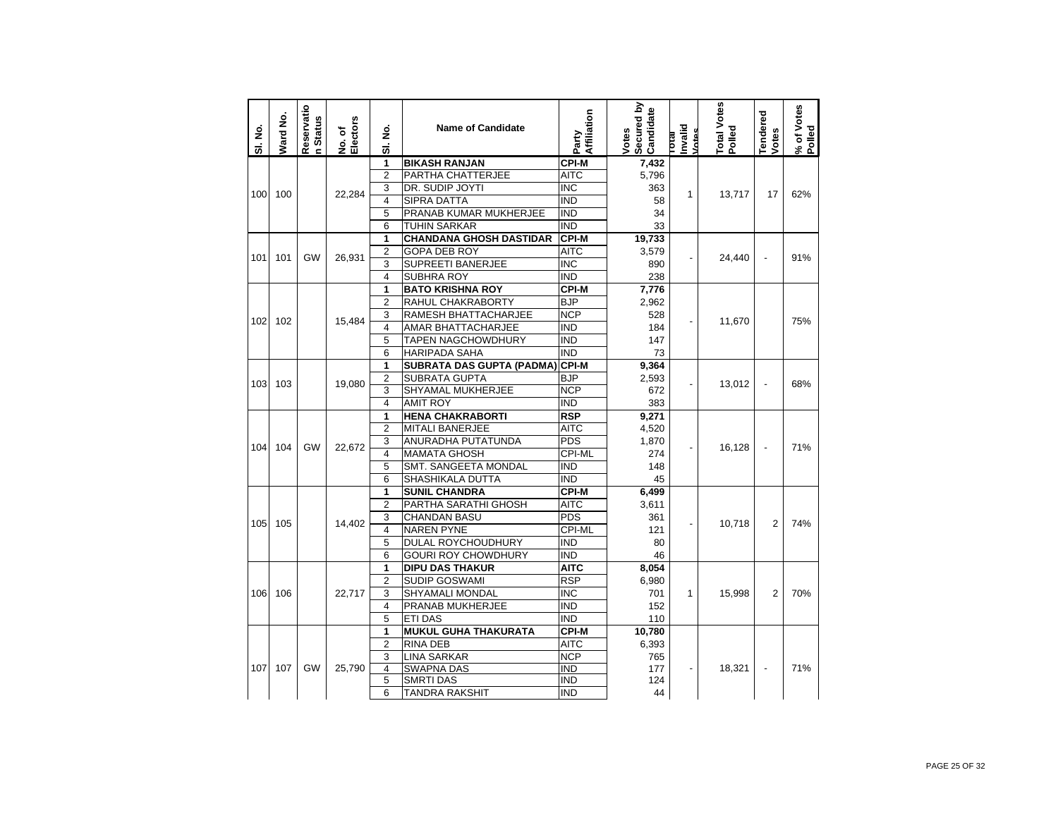| SI. No. | Ward No. | Reservatio<br><b>Status</b><br>c. | Electors<br>No. of | غ<br>ع<br>5             | <b>Name of Candidate</b>       | Affiliation<br>Party    | Secured by<br>Candidate<br>Votes | Invalid<br>Votes<br><b>IP10</b> | Total Votes<br>Polled | <b>Tendered</b><br>Votes | % of Votes<br>Polled |
|---------|----------|-----------------------------------|--------------------|-------------------------|--------------------------------|-------------------------|----------------------------------|---------------------------------|-----------------------|--------------------------|----------------------|
|         |          |                                   |                    | 1                       | <b>BIKASH RANJAN</b>           | <b>CPI-M</b>            | 7,432                            |                                 |                       |                          |                      |
|         |          |                                   |                    | $\overline{2}$          | PARTHA CHATTERJEE              | <b>AITC</b>             | 5,796                            |                                 |                       |                          |                      |
| 100     | 100      |                                   | 22,284             | 3                       | DR. SUDIP JOYTI                | $\overline{\text{INC}}$ | 363                              | 1                               | 13,717                | 17                       | 62%                  |
|         |          |                                   |                    | 4                       | <b>SIPRA DATTA</b>             | <b>IND</b>              | 58                               |                                 |                       |                          |                      |
|         |          |                                   |                    | 5                       | PRANAB KUMAR MUKHERJEE         | <b>IND</b>              | 34                               |                                 |                       |                          |                      |
|         |          |                                   |                    | 6                       | <b>TUHIN SARKAR</b>            | <b>IND</b>              | 33                               |                                 |                       |                          |                      |
|         |          |                                   |                    | 1                       | <b>CHANDANA GHOSH DASTIDAR</b> | <b>CPI-M</b>            | 19,733                           |                                 |                       |                          |                      |
| 101     | 101      | GW                                | 26,931             | 2                       | <b>GOPA DEB ROY</b>            | <b>AITC</b>             | 3,579                            |                                 | 24,440                |                          | 91%                  |
|         |          |                                   |                    | 3                       | SUPREETI BANERJEE              | <b>INC</b>              | 890                              |                                 |                       |                          |                      |
|         |          |                                   |                    | 4                       | SUBHRA ROY                     | <b>IND</b>              | 238                              |                                 |                       |                          |                      |
|         |          |                                   |                    | 1                       | <b>BATO KRISHNA ROY</b>        | <b>CPI-M</b>            | 7,776                            |                                 |                       |                          |                      |
|         |          |                                   |                    | 2                       | RAHUL CHAKRABORTY              | <b>BJP</b>              | 2,962                            |                                 |                       |                          |                      |
| 102     | 102      |                                   | 15,484             | 3                       | RAMESH BHATTACHARJEE           | <b>NCP</b>              | 528                              |                                 | 11,670                |                          | 75%                  |
|         |          |                                   |                    | 4                       | AMAR BHATTACHARJEE             | <b>IND</b>              | 184                              |                                 |                       |                          |                      |
|         |          |                                   |                    | 5                       | <b>TAPEN NAGCHOWDHURY</b>      | <b>IND</b>              | 147                              |                                 |                       |                          |                      |
|         |          |                                   |                    | 6                       | <b>HARIPADA SAHA</b>           | <b>IND</b>              | 73                               |                                 |                       |                          |                      |
|         |          |                                   |                    | 1                       | SUBRATA DAS GUPTA (PADMA)      | <b>CPI-M</b>            | 9,364                            |                                 |                       |                          |                      |
| 103     | 103      |                                   | 19,080             | $\overline{2}$          | <b>SUBRATA GUPTA</b>           | <b>BJP</b>              | 2,593                            | $\overline{a}$                  | 13,012                | $\overline{a}$           | 68%                  |
|         |          |                                   |                    | 3                       | SHYAMAL MUKHERJEE              | <b>NCP</b>              | 672                              |                                 |                       |                          |                      |
|         |          |                                   |                    | 4                       | <b>AMIT ROY</b>                | <b>IND</b>              | 383                              |                                 |                       |                          |                      |
|         |          |                                   |                    | 1                       | <b>HENA CHAKRABORTI</b>        | <b>RSP</b>              | 9,271                            |                                 |                       |                          |                      |
|         |          |                                   | 22,672             | $\overline{2}$          | <b>MITALI BANERJEE</b>         | <b>AITC</b>             | 4,520                            |                                 |                       |                          |                      |
| 104     | 104      | GW                                |                    |                         | 3                              | ANURADHA PUTATUNDA      | <b>PDS</b>                       | 1,870                           |                       | 16,128                   | $\overline{a}$       |
|         |          |                                   |                    | 4                       | <b>MAMATA GHOSH</b>            | <b>CPI-ML</b>           | 274                              | $\overline{\phantom{a}}$        |                       |                          |                      |
|         |          |                                   |                    | 5                       | SMT. SANGEETA MONDAL           | <b>IND</b>              | 148                              |                                 |                       |                          |                      |
|         |          |                                   |                    | 6                       | SHASHIKALA DUTTA               | <b>IND</b>              | 45                               |                                 |                       |                          |                      |
|         |          |                                   |                    | 1                       | <b>SUNIL CHANDRA</b>           | <b>CPI-M</b>            | 6,499                            |                                 |                       |                          |                      |
|         |          |                                   |                    | 2                       | PARTHA SARATHI GHOSH           | <b>AITC</b>             | 3,611                            |                                 |                       |                          |                      |
| 105     | 105      |                                   | 14,402             | 3                       | <b>CHANDAN BASU</b>            | <b>PDS</b>              | 361                              |                                 | 10,718                | $\overline{2}$           | 74%                  |
|         |          |                                   |                    | 4                       | <b>NAREN PYNE</b>              | CPI-ML                  | 121                              |                                 |                       |                          |                      |
|         |          |                                   |                    | 5                       | DULAL ROYCHOUDHURY             | <b>IND</b>              | 80                               |                                 |                       |                          |                      |
|         |          |                                   |                    | 6                       | <b>GOURI ROY CHOWDHURY</b>     | <b>IND</b>              | 46                               |                                 |                       |                          |                      |
|         |          |                                   |                    | $\overline{\mathbf{1}}$ | <b>DIPU DAS THAKUR</b>         | <b>AITC</b>             | 8,054                            |                                 |                       |                          |                      |
|         |          |                                   |                    | 2                       | <b>SUDIP GOSWAMI</b>           | <b>RSP</b>              | 6,980                            |                                 |                       |                          |                      |
| 106     | 106      |                                   | 22.717             | 3                       | SHYAMALI MONDAL                | <b>INC</b>              | 701                              | 1                               | 15,998                | 2                        | 70%                  |
|         |          |                                   |                    | 4                       | PRANAB MUKHERJEE               | <b>IND</b>              | 152                              |                                 |                       |                          |                      |
|         |          |                                   |                    | $\overline{5}$          | <b>ETI DAS</b>                 | <b>IND</b>              | 110                              |                                 |                       |                          |                      |
|         |          |                                   |                    | 1                       | <b>MUKUL GUHA THAKURATA</b>    | <b>CPI-M</b>            | 10,780                           |                                 |                       |                          |                      |
|         |          |                                   |                    | 2                       | <b>RINA DEB</b>                | <b>AITC</b>             | 6,393                            |                                 |                       |                          |                      |
|         |          |                                   |                    | 3                       | <b>LINA SARKAR</b>             | <b>NCP</b>              | 765                              |                                 |                       |                          |                      |
| 107     | 107      | <b>GW</b>                         | 25.790             | 4                       | <b>SWAPNA DAS</b>              | <b>IND</b>              | 177                              |                                 | 18,321                |                          | 71%                  |
|         |          |                                   |                    | 5                       | <b>SMRTI DAS</b>               | <b>IND</b>              | 124                              |                                 |                       |                          |                      |
|         |          |                                   | 6                  | <b>TANDRA RAKSHIT</b>   | <b>IND</b>                     | 44                      |                                  |                                 |                       |                          |                      |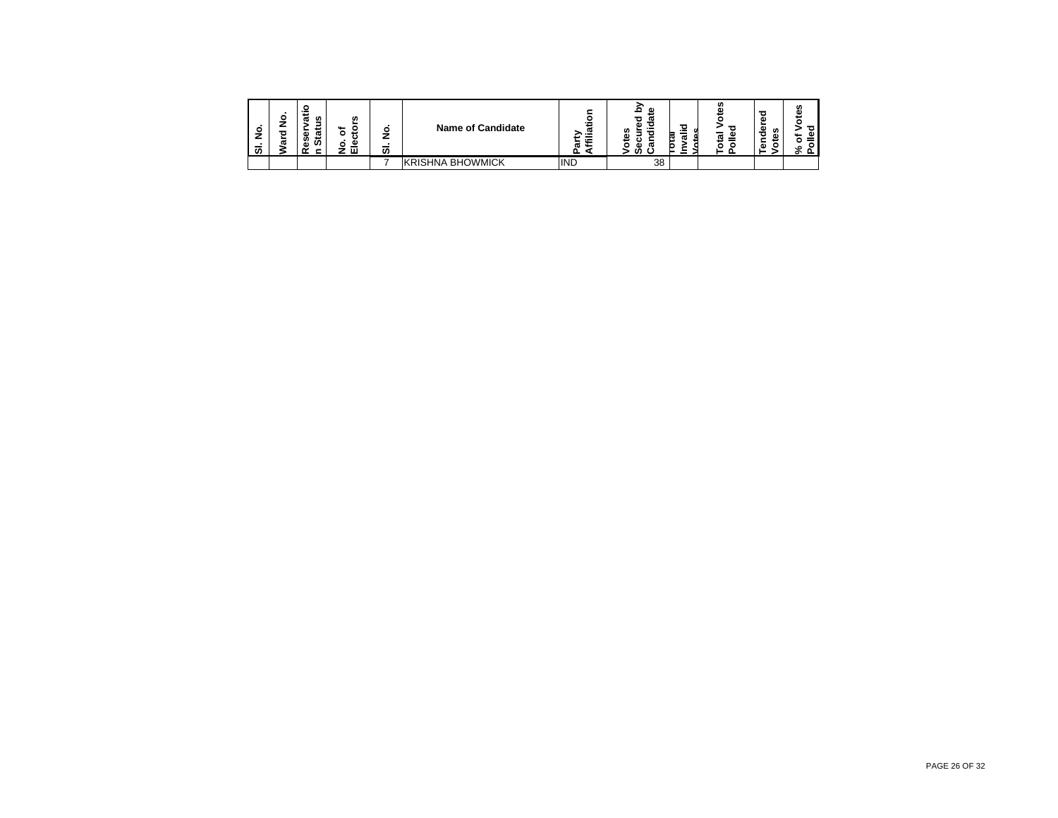| o<br>–<br>S | ο<br>ω | w<br>ω<br>ω<br>m<br>co<br>a١ | w<br>۰.<br>u<br>ت<br>o<br>౨<br>ш | ٥<br>7<br>_<br>ັທ | <b>Name of Candidate</b> | <br>منعد<br>ೲ<br>≫.≝<br>$\sim$<br>п.<br>÷ | œ<br>w<br><br>m<br>ω<br>∽<br>w<br>œ | $\sigma$<br>P.<br>$\sim$ | ഗ<br>œ<br>_<br>œ<br>ಹ | ω<br>w<br>ᄒ<br>٨ï<br>∸<br>ω | m<br>ω<br>ठ<br>œ<br>٥ |
|-------------|--------|------------------------------|----------------------------------|-------------------|--------------------------|-------------------------------------------|-------------------------------------|--------------------------|-----------------------|-----------------------------|-----------------------|
|             |        |                              |                                  |                   | <b>KRISHNA BHOWMICK</b>  | <b>IND</b>                                | 38                                  |                          |                       |                             |                       |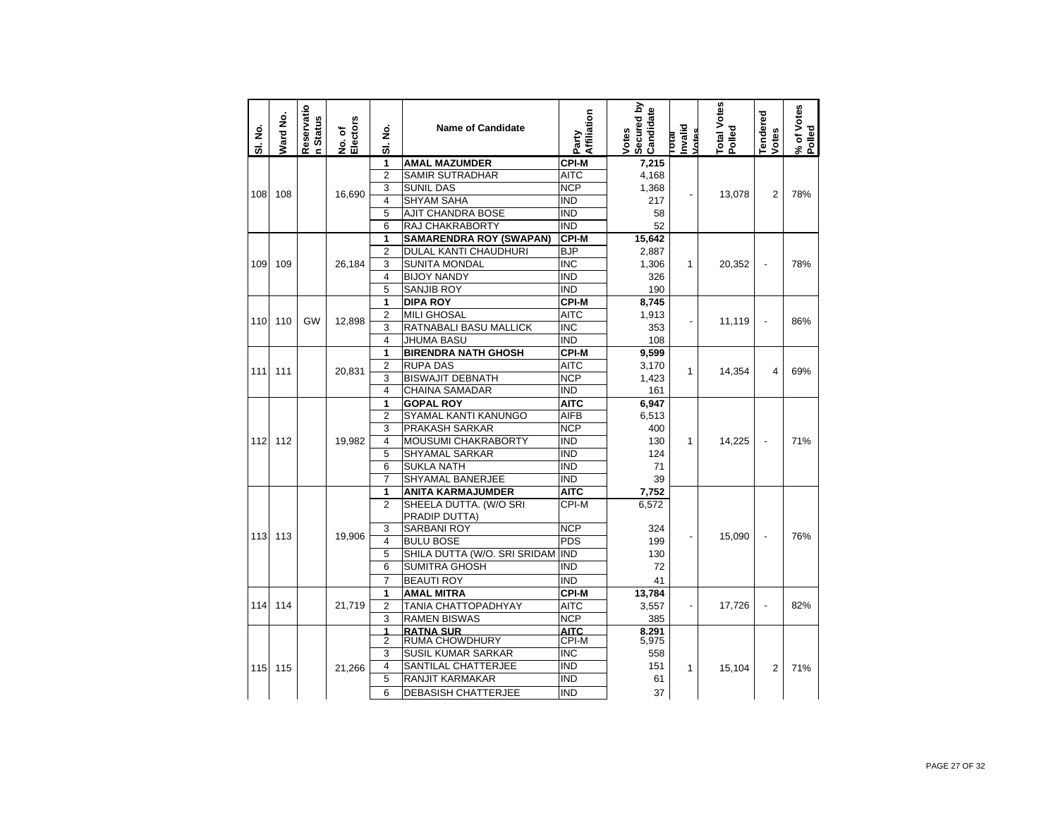| 1<br><b>AMAL MAZUMDER</b><br><b>CPI-M</b><br>7,215<br>$\overline{2}$<br><b>SAMIR SUTRADHAR</b><br><b>AITC</b><br>4,168<br>3<br><b>SUNIL DAS</b><br><b>NCP</b><br>1,368<br>108<br>16,690<br>$\overline{2}$<br>108<br>13,078<br>÷,<br>$\overline{\mathbf{4}}$<br><b>SHYAM SAHA</b><br>IND<br>217<br>5<br>AJIT CHANDRA BOSE<br>IND<br>58<br>6<br>RAJ CHAKRABORTY<br><b>IND</b><br>52<br><b>CPI-M</b><br>1<br><b>SAMARENDRA ROY (SWAPAN)</b><br>15,642<br>$\overline{2}$<br>DULAL KANTI CHAUDHURI<br><b>BJP</b><br>2,887<br>3<br><b>SUNITA MONDAL</b><br>INC<br>1,306<br>109<br>109<br>26.184<br>$\mathbf{1}$<br>20.352<br>$\overline{a}$<br>$\overline{\mathbf{4}}$<br><b>BIJOY NANDY</b><br><b>IND</b><br>326<br>5<br>$\overline{\text{IND}}$<br>SANJIB ROY<br>190<br>1<br><b>DIPA ROY</b><br><b>CPI-M</b><br>8.745 | % of Votes<br>Polled<br><b>Tendered</b><br>Votes | Total Votes<br>Polled | nvalid<br><b>Intes</b><br><b>IP10</b> | Secured by<br>Candidate<br>Votes | Affiliation<br>Party | <b>Name of Candidate</b> | ş<br>ಹ | w<br>No. of<br>Electors | Reservatio<br>n Status | Ward No. | SI. No. |
|-------------------------------------------------------------------------------------------------------------------------------------------------------------------------------------------------------------------------------------------------------------------------------------------------------------------------------------------------------------------------------------------------------------------------------------------------------------------------------------------------------------------------------------------------------------------------------------------------------------------------------------------------------------------------------------------------------------------------------------------------------------------------------------------------------------------|--------------------------------------------------|-----------------------|---------------------------------------|----------------------------------|----------------------|--------------------------|--------|-------------------------|------------------------|----------|---------|
|                                                                                                                                                                                                                                                                                                                                                                                                                                                                                                                                                                                                                                                                                                                                                                                                                   |                                                  |                       |                                       |                                  |                      |                          |        |                         |                        |          |         |
|                                                                                                                                                                                                                                                                                                                                                                                                                                                                                                                                                                                                                                                                                                                                                                                                                   |                                                  |                       |                                       |                                  |                      |                          |        |                         |                        |          |         |
|                                                                                                                                                                                                                                                                                                                                                                                                                                                                                                                                                                                                                                                                                                                                                                                                                   | 78%                                              |                       |                                       |                                  |                      |                          |        |                         |                        |          |         |
|                                                                                                                                                                                                                                                                                                                                                                                                                                                                                                                                                                                                                                                                                                                                                                                                                   |                                                  |                       |                                       |                                  |                      |                          |        |                         |                        |          |         |
|                                                                                                                                                                                                                                                                                                                                                                                                                                                                                                                                                                                                                                                                                                                                                                                                                   |                                                  |                       |                                       |                                  |                      |                          |        |                         |                        |          |         |
|                                                                                                                                                                                                                                                                                                                                                                                                                                                                                                                                                                                                                                                                                                                                                                                                                   |                                                  |                       |                                       |                                  |                      |                          |        |                         |                        |          |         |
|                                                                                                                                                                                                                                                                                                                                                                                                                                                                                                                                                                                                                                                                                                                                                                                                                   |                                                  |                       |                                       |                                  |                      |                          |        |                         |                        |          |         |
|                                                                                                                                                                                                                                                                                                                                                                                                                                                                                                                                                                                                                                                                                                                                                                                                                   |                                                  |                       |                                       |                                  |                      |                          |        |                         |                        |          |         |
|                                                                                                                                                                                                                                                                                                                                                                                                                                                                                                                                                                                                                                                                                                                                                                                                                   | 78%                                              |                       |                                       |                                  |                      |                          |        |                         |                        |          |         |
|                                                                                                                                                                                                                                                                                                                                                                                                                                                                                                                                                                                                                                                                                                                                                                                                                   |                                                  |                       |                                       |                                  |                      |                          |        |                         |                        |          |         |
|                                                                                                                                                                                                                                                                                                                                                                                                                                                                                                                                                                                                                                                                                                                                                                                                                   |                                                  |                       |                                       |                                  |                      |                          |        |                         |                        |          |         |
|                                                                                                                                                                                                                                                                                                                                                                                                                                                                                                                                                                                                                                                                                                                                                                                                                   |                                                  |                       |                                       |                                  |                      |                          |        |                         |                        |          |         |
| <b>AITC</b><br>$\overline{2}$<br>1,913                                                                                                                                                                                                                                                                                                                                                                                                                                                                                                                                                                                                                                                                                                                                                                            | 86%                                              |                       |                                       |                                  |                      | <b>MILI GHOSAL</b>       |        |                         |                        |          |         |
| 110<br>110<br><b>GW</b><br>12.898<br>11.119<br>÷,<br>3<br>RATNABALI BASU MALLICK<br><b>INC</b><br>353                                                                                                                                                                                                                                                                                                                                                                                                                                                                                                                                                                                                                                                                                                             |                                                  |                       |                                       |                                  |                      |                          |        |                         |                        |          |         |
| $\overline{4}$<br><b>JHUMA BASU</b><br><b>IND</b><br>108                                                                                                                                                                                                                                                                                                                                                                                                                                                                                                                                                                                                                                                                                                                                                          |                                                  |                       |                                       |                                  |                      |                          |        |                         |                        |          |         |
| 1<br><b>BIRENDRA NATH GHOSH</b><br><b>CPI-M</b><br>9,599                                                                                                                                                                                                                                                                                                                                                                                                                                                                                                                                                                                                                                                                                                                                                          |                                                  |                       |                                       |                                  |                      |                          |        |                         |                        |          |         |
| $\overline{2}$<br><b>RUPA DAS</b><br><b>AITC</b><br>3,170<br>111<br>$\mathbf{1}$<br>4                                                                                                                                                                                                                                                                                                                                                                                                                                                                                                                                                                                                                                                                                                                             | 69%                                              |                       |                                       |                                  |                      |                          |        |                         |                        |          |         |
| 111<br>20,831<br>14.354<br>3<br><b>NCP</b><br><b>BISWAJIT DEBNATH</b><br>1,423                                                                                                                                                                                                                                                                                                                                                                                                                                                                                                                                                                                                                                                                                                                                    |                                                  |                       |                                       |                                  |                      |                          |        |                         |                        |          |         |
| $\overline{4}$<br><b>CHAINA SAMADAR</b><br>IND<br>161                                                                                                                                                                                                                                                                                                                                                                                                                                                                                                                                                                                                                                                                                                                                                             |                                                  |                       |                                       |                                  |                      |                          |        |                         |                        |          |         |
| 1<br><b>GOPAL ROY</b><br>6,947<br>AITC                                                                                                                                                                                                                                                                                                                                                                                                                                                                                                                                                                                                                                                                                                                                                                            |                                                  |                       |                                       |                                  |                      |                          |        |                         |                        |          |         |
| $\overline{2}$<br><b>AIFB</b><br>SYAMAL KANTI KANUNGO<br>6,513                                                                                                                                                                                                                                                                                                                                                                                                                                                                                                                                                                                                                                                                                                                                                    |                                                  |                       |                                       |                                  |                      |                          |        |                         |                        |          |         |
| 3<br>PRAKASH SARKAR<br><b>NCP</b><br>400                                                                                                                                                                                                                                                                                                                                                                                                                                                                                                                                                                                                                                                                                                                                                                          |                                                  |                       |                                       |                                  |                      |                          |        |                         |                        |          |         |
| $\overline{4}$<br>MOUSUMI CHAKRABORTY<br><b>IND</b><br>112<br>112<br>19,982<br>130<br>1<br>14,225<br>L,                                                                                                                                                                                                                                                                                                                                                                                                                                                                                                                                                                                                                                                                                                           | 71%                                              |                       |                                       |                                  |                      |                          |        |                         |                        |          |         |
| 5<br><b>SHYAMAL SARKAR</b><br><b>IND</b><br>124                                                                                                                                                                                                                                                                                                                                                                                                                                                                                                                                                                                                                                                                                                                                                                   |                                                  |                       |                                       |                                  |                      |                          |        |                         |                        |          |         |
| 6<br>IND<br><b>SUKLA NATH</b><br>71                                                                                                                                                                                                                                                                                                                                                                                                                                                                                                                                                                                                                                                                                                                                                                               |                                                  |                       |                                       |                                  |                      |                          |        |                         |                        |          |         |
| 7<br>SHYAMAL BANERJEE<br>IND<br>39                                                                                                                                                                                                                                                                                                                                                                                                                                                                                                                                                                                                                                                                                                                                                                                |                                                  |                       |                                       |                                  |                      |                          |        |                         |                        |          |         |
| <b>ANITA KARMAJUMDER</b><br><b>AITC</b><br>7,752<br>1                                                                                                                                                                                                                                                                                                                                                                                                                                                                                                                                                                                                                                                                                                                                                             |                                                  |                       |                                       |                                  |                      |                          |        |                         |                        |          |         |
| SHEELA DUTTA, (W/O SRI<br>CPI-M<br>$\overline{2}$<br>6.572<br>PRADIP DUTTA)                                                                                                                                                                                                                                                                                                                                                                                                                                                                                                                                                                                                                                                                                                                                       |                                                  |                       |                                       |                                  |                      |                          |        |                         |                        |          |         |
| <b>SARBANI ROY</b><br><b>NCP</b><br>3<br>324                                                                                                                                                                                                                                                                                                                                                                                                                                                                                                                                                                                                                                                                                                                                                                      |                                                  |                       |                                       |                                  |                      |                          |        |                         |                        |          |         |
| 19,906<br>113<br>113<br>15,090<br>÷,<br>$\overline{\phantom{a}}$<br>4<br><b>BULU BOSE</b><br><b>PDS</b><br>199                                                                                                                                                                                                                                                                                                                                                                                                                                                                                                                                                                                                                                                                                                    | 76%                                              |                       |                                       |                                  |                      |                          |        |                         |                        |          |         |
| 5<br>SHILA DUTTA (W/O. SRI SRIDAM<br><b>IND</b><br>130                                                                                                                                                                                                                                                                                                                                                                                                                                                                                                                                                                                                                                                                                                                                                            |                                                  |                       |                                       |                                  |                      |                          |        |                         |                        |          |         |
| 6<br><b>SUMITRA GHOSH</b><br>IND<br>72                                                                                                                                                                                                                                                                                                                                                                                                                                                                                                                                                                                                                                                                                                                                                                            |                                                  |                       |                                       |                                  |                      |                          |        |                         |                        |          |         |
| $\overline{7}$<br>IND<br><b>BEAUTI ROY</b><br>41                                                                                                                                                                                                                                                                                                                                                                                                                                                                                                                                                                                                                                                                                                                                                                  |                                                  |                       |                                       |                                  |                      |                          |        |                         |                        |          |         |
| <b>CPI-M</b><br>1<br><b>AMAL MITRA</b><br>13,784                                                                                                                                                                                                                                                                                                                                                                                                                                                                                                                                                                                                                                                                                                                                                                  |                                                  |                       |                                       |                                  |                      |                          |        |                         |                        |          |         |
| 114<br>114<br>21,719<br>$\overline{2}$<br>TANIA CHATTOPADHYAY<br><b>AITC</b><br>17,726<br>3,557<br>$\overline{\phantom{a}}$<br>$\overline{\phantom{a}}$                                                                                                                                                                                                                                                                                                                                                                                                                                                                                                                                                                                                                                                           | 82%                                              |                       |                                       |                                  |                      |                          |        |                         |                        |          |         |
| 3<br><b>RAMEN BISWAS</b><br><b>NCP</b><br>385                                                                                                                                                                                                                                                                                                                                                                                                                                                                                                                                                                                                                                                                                                                                                                     |                                                  |                       |                                       |                                  |                      |                          |        |                         |                        |          |         |
| <b>AITC</b><br>1<br><b>RATNA SUR</b><br>8.291                                                                                                                                                                                                                                                                                                                                                                                                                                                                                                                                                                                                                                                                                                                                                                     |                                                  |                       |                                       |                                  |                      |                          |        |                         |                        |          |         |
| $\overline{2}$<br>RUMA CHOWDHURY<br>CPI-M<br>5,975                                                                                                                                                                                                                                                                                                                                                                                                                                                                                                                                                                                                                                                                                                                                                                |                                                  |                       |                                       |                                  |                      |                          |        |                         |                        |          |         |
| 3<br><b>SUSIL KUMAR SARKAR</b><br>INC<br>558                                                                                                                                                                                                                                                                                                                                                                                                                                                                                                                                                                                                                                                                                                                                                                      |                                                  |                       |                                       |                                  |                      |                          |        |                         |                        |          |         |
| 4<br>SANTILAL CHATTERJEE<br>IND<br>151<br>115<br>115<br>21,266<br>1<br>15,104<br>2                                                                                                                                                                                                                                                                                                                                                                                                                                                                                                                                                                                                                                                                                                                                | 71%                                              |                       |                                       |                                  |                      |                          |        |                         |                        |          |         |
| 5<br><b>RANJIT KARMAKAR</b><br><b>IND</b><br>61                                                                                                                                                                                                                                                                                                                                                                                                                                                                                                                                                                                                                                                                                                                                                                   |                                                  |                       |                                       |                                  |                      |                          |        |                         |                        |          |         |
| 6<br><b>IND</b><br><b>DEBASISH CHATTERJEE</b><br>37                                                                                                                                                                                                                                                                                                                                                                                                                                                                                                                                                                                                                                                                                                                                                               |                                                  |                       |                                       |                                  |                      |                          |        |                         |                        |          |         |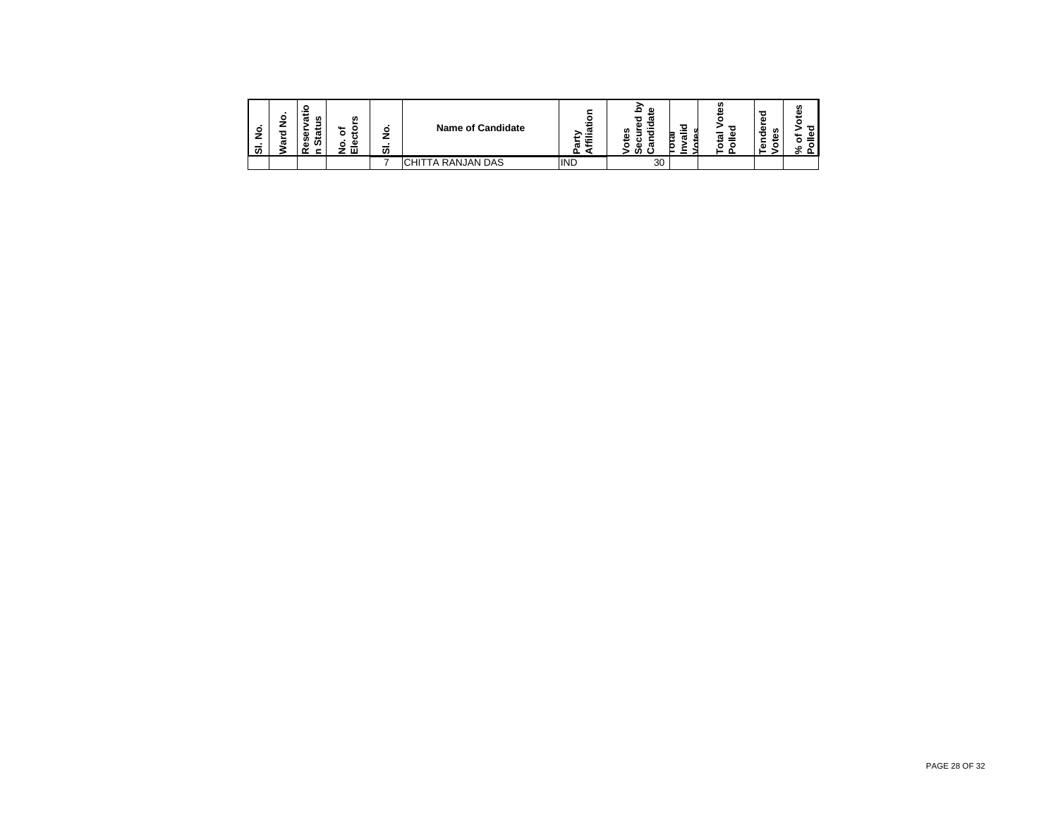| $\blacksquare$<br>$\circ$<br>–<br>-<br>ຑ | ο<br>ω | −<br>w<br>ω<br>≖<br>ω<br>œ<br>ت<br>ഗ<br>Ø<br>۵D<br>- | w<br>⊷<br>◡<br>⊷<br>o<br>౨<br>ш | Ο<br>7<br>∸<br>-<br>ັທ | <b>Name of Candidate</b>      | <br>پ<br>ത<br>≫<br>$\overline{\phantom{0}}$<br>ω<br>⊷ | œ<br>o<br>ω<br>$\overline{\phantom{a}}$<br><br>m<br>ω<br>ŗQ<br>ω<br>∾<br>o<br>œ<br>о<br>c<br>ഗ<br>- | <b>tn</b><br>æ | a<br>Φ<br>w<br>Ō<br>۵Ś<br>s<br>ā<br>о | m |
|------------------------------------------|--------|------------------------------------------------------|---------------------------------|------------------------|-------------------------------|-------------------------------------------------------|-----------------------------------------------------------------------------------------------------|----------------|---------------------------------------|---|
|                                          |        |                                                      |                                 |                        | TA RANJAN DAS<br><b>CHITT</b> | <b>IND</b>                                            | 30                                                                                                  |                |                                       |   |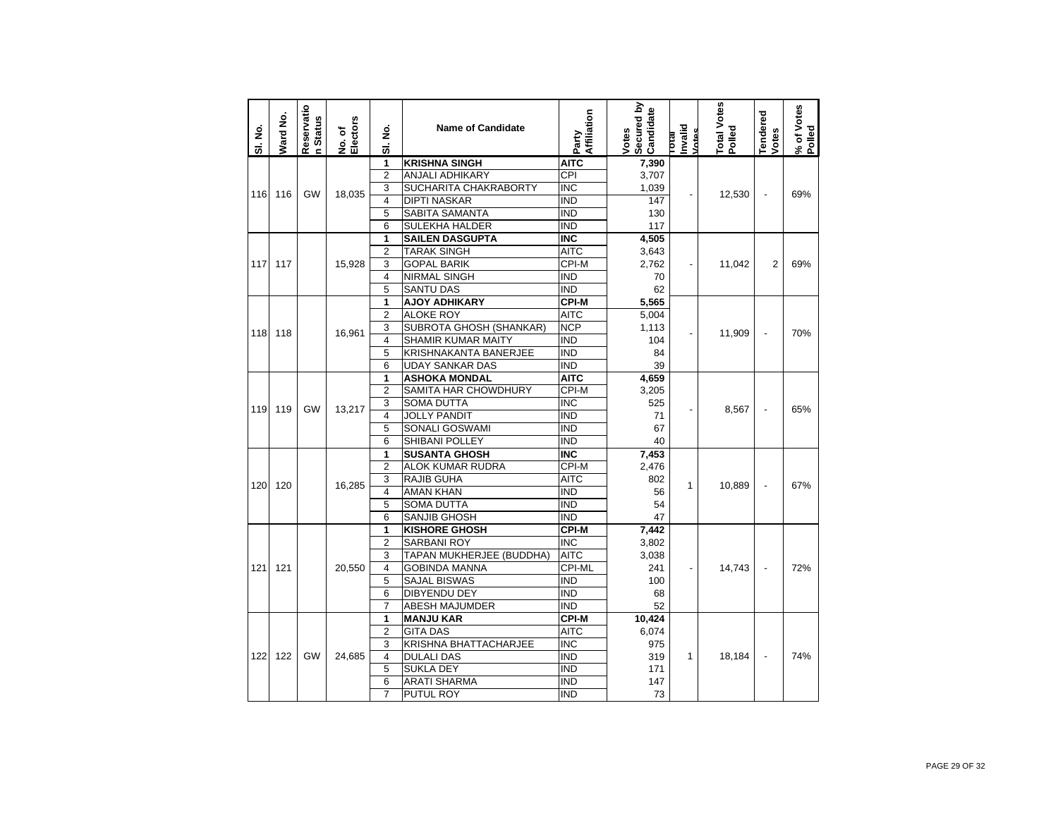| SI. No. | Ward No. | Reservatio<br>In Status | No. of<br>Electors | ş<br>ಹ                  | <b>Name of Candidate</b>       | Affiliation<br>Party           | Secured by<br>Candidate<br>Votes | hvalid<br>Votes<br>rotal | Total Votes<br>Polled | Tendered<br>Votes        | % of Votes<br>Polled |
|---------|----------|-------------------------|--------------------|-------------------------|--------------------------------|--------------------------------|----------------------------------|--------------------------|-----------------------|--------------------------|----------------------|
|         |          |                         |                    | 1                       | <b>KRISHNA SINGH</b>           | <b>AITC</b>                    | 7,390                            |                          |                       |                          |                      |
|         |          |                         |                    | $\overline{2}$          | ANJALI ADHIKARY                | <b>CPI</b>                     | 3,707                            |                          |                       |                          |                      |
| 116     | 116      | <b>GW</b>               | 18.035             | 3                       | SUCHARITA CHAKRABORTY          | <b>INC</b>                     | 1,039                            |                          | 12,530                | $\overline{a}$           | 69%                  |
|         |          |                         |                    | $\overline{\mathbf{4}}$ | <b>DIPTI NASKAR</b>            | <b>IND</b>                     | 147                              |                          |                       |                          |                      |
|         |          |                         |                    | 5                       | SABITA SAMANTA                 | $\overline{\text{IND}}$        | 130                              |                          |                       |                          |                      |
|         |          |                         |                    | 6                       | <b>SULEKHA HALDER</b>          | <b>IND</b>                     | 117                              |                          |                       |                          |                      |
|         |          |                         |                    | 1                       | <b>SAILEN DASGUPTA</b>         | <b>INC</b>                     | 4,505                            |                          |                       |                          |                      |
|         |          |                         |                    | $\overline{2}$          | <b>TARAK SINGH</b>             | AITC                           | 3,643                            |                          |                       |                          |                      |
| 117     | 117      |                         | 15.928             | 3                       | <b>GOPAL BARIK</b>             | CPI-M                          | 2,762                            | $\overline{a}$           | 11.042                | $\overline{2}$           | 69%                  |
|         |          |                         |                    | 4                       | <b>NIRMAL SINGH</b>            | <b>IND</b>                     | 70                               |                          |                       |                          |                      |
|         |          |                         |                    | 5                       | <b>SANTU DAS</b>               | <b>IND</b>                     | 62                               |                          |                       |                          |                      |
|         |          |                         |                    | 1                       | <b>AJOY ADHIKARY</b>           | <b>CPI-M</b>                   | 5,565                            |                          |                       |                          |                      |
|         |          |                         |                    | $\overline{2}$          | <b>ALOKE ROY</b>               | <b>AITC</b>                    | 5,004                            |                          |                       |                          |                      |
| 118     | 118      |                         | 16,961             | 3                       | SUBROTA GHOSH (SHANKAR)        | <b>NCP</b>                     | 1,113                            |                          | 11,909                | $\overline{a}$           | 70%                  |
|         |          |                         |                    | 4                       | <b>SHAMIR KUMAR MAITY</b>      | IND                            | 104                              |                          |                       |                          |                      |
|         |          |                         |                    | 5                       | KRISHNAKANTA BANERJEE          | <b>IND</b>                     | 84                               |                          |                       |                          |                      |
|         |          |                         |                    | 6                       | <b>UDAY SANKAR DAS</b>         | <b>IND</b>                     | 39                               |                          |                       |                          |                      |
|         |          |                         |                    | 1                       | <b>ASHOKA MONDAL</b>           | <b>AITC</b>                    | 4,659                            |                          |                       |                          |                      |
|         |          |                         |                    | 2                       | SAMITA HAR CHOWDHURY           | CPI-M                          | 3,205                            |                          |                       |                          |                      |
| 119     | 119      | <b>GW</b>               | 13.217             | 3                       | SOMA DUTTA                     | <b>INC</b>                     | 525                              |                          | 8.567                 | $\overline{a}$           | 65%                  |
|         |          |                         |                    | $\overline{4}$          | <b>JOLLY PANDIT</b>            | IND<br>$\overline{\text{IND}}$ | 71                               |                          |                       |                          |                      |
|         |          |                         |                    | 5<br>6                  | SONALI GOSWAMI                 | <b>IND</b>                     | 67                               |                          |                       |                          |                      |
|         |          |                         |                    |                         | SHIBANI POLLEY                 |                                | 40                               |                          |                       |                          |                      |
|         |          |                         |                    | 1<br>$\overline{2}$     | <b>SUSANTA GHOSH</b>           | <b>INC</b><br>CPI-M            | 7,453                            |                          |                       |                          |                      |
|         |          |                         |                    | 3                       | ALOK KUMAR RUDRA<br>RAJIB GUHA | <b>AITC</b>                    | 2,476<br>802                     |                          |                       |                          |                      |
| 120     | 120      |                         | 16.285             | $\overline{\mathbf{4}}$ | <b>AMAN KHAN</b>               | <b>IND</b>                     | 56                               | 1                        | 10.889                |                          | 67%                  |
|         |          |                         |                    | 5                       | <b>SOMA DUTTA</b>              | <b>IND</b>                     | 54                               |                          |                       |                          |                      |
|         |          |                         |                    | 6                       | <b>SANJIB GHOSH</b>            | <b>IND</b>                     | 47                               |                          |                       |                          |                      |
|         |          |                         |                    | 1                       | <b>KISHORE GHOSH</b>           | <b>CPI-M</b>                   | 7,442                            |                          |                       |                          |                      |
|         |          |                         |                    | $\overline{2}$          | SARBANI ROY                    | <b>INC</b>                     | 3,802                            |                          |                       |                          |                      |
|         |          |                         |                    | 3                       | TAPAN MUKHERJEE (BUDDHA)       | <b>AITC</b>                    | 3,038                            |                          |                       |                          |                      |
| 121     | 121      |                         | 20,550             | 4                       | <b>GOBINDA MANNA</b>           | CPI-ML                         | 241                              | $\overline{\phantom{0}}$ | 14,743                |                          | 72%                  |
|         |          |                         |                    | 5                       | <b>SAJAL BISWAS</b>            | <b>IND</b>                     | 100                              |                          |                       |                          |                      |
|         |          |                         |                    | 6                       | DIBYENDU DEY                   | <b>IND</b>                     | 68                               |                          |                       |                          |                      |
|         |          |                         |                    | $\overline{7}$          | <b>ABESH MAJUMDER</b>          | <b>IND</b>                     | 52                               |                          |                       |                          |                      |
|         |          |                         |                    | 1                       | <b>MANJU KAR</b>               | <b>CPI-M</b>                   | 10,424                           |                          |                       |                          |                      |
|         |          |                         |                    | $\overline{2}$          | <b>GITA DAS</b>                | <b>AITC</b>                    | 6,074                            |                          |                       |                          |                      |
|         |          |                         |                    | 3                       | KRISHNA BHATTACHARJEE          | $\overline{\text{INC}}$        | 975                              |                          |                       |                          |                      |
| 122     | 122      | GW                      | 24,685             | 4                       | <b>DULALI DAS</b>              | $\overline{\text{IND}}$        | 319                              | 1                        | 18,184                | $\overline{\phantom{m}}$ | 74%                  |
|         |          |                         |                    | 5                       | <b>SUKLA DEY</b>               | <b>IND</b>                     | 171                              |                          |                       |                          |                      |
|         |          |                         |                    | 6                       | ARATI SHARMA                   | <b>IND</b>                     | 147                              |                          |                       |                          |                      |
|         |          |                         |                    | $\overline{7}$          | PUTUL ROY                      | <b>IND</b>                     | 73                               |                          |                       |                          |                      |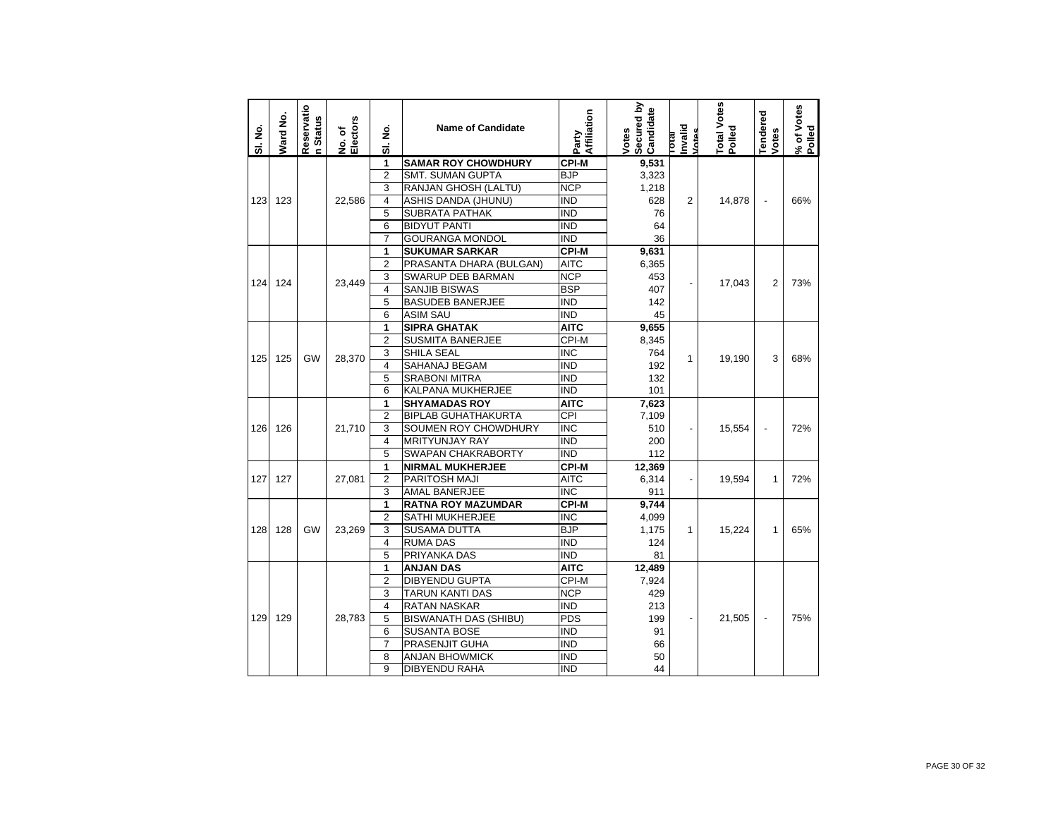| SI. No. | Ward No. | Reservatio<br>n Status | No. of<br>Electors | ş<br>5                  | <b>Name of Candidate</b>     | Affiliation<br>Party    | Secured by<br>Candidate<br>Votes | Invalid<br>Votes<br>leno | Total Votes<br>Polled | <b>Tendered</b><br>Votes | % of Votes<br>Polled |
|---------|----------|------------------------|--------------------|-------------------------|------------------------------|-------------------------|----------------------------------|--------------------------|-----------------------|--------------------------|----------------------|
|         |          |                        |                    | 1                       | <b>SAMAR ROY CHOWDHURY</b>   | <b>CPI-M</b>            | 9,531                            |                          |                       |                          |                      |
|         |          |                        |                    | $\overline{2}$          | <b>SMT. SUMAN GUPTA</b>      | <b>BJP</b>              | 3,323                            |                          |                       |                          |                      |
|         |          |                        |                    | 3                       | RANJAN GHOSH (LALTU)         | <b>NCP</b>              | 1,218                            |                          |                       |                          |                      |
| 123     | 123      |                        | 22.586             | $\overline{\mathbf{4}}$ | <b>ASHIS DANDA (JHUNU)</b>   | <b>IND</b>              | 628                              | 2                        | 14,878                | $\overline{a}$           | 66%                  |
|         |          |                        |                    | 5                       | <b>SUBRATA PATHAK</b>        | <b>IND</b>              | 76                               |                          |                       |                          |                      |
|         |          |                        |                    | 6                       | <b>BIDYUT PANTI</b>          | <b>IND</b>              | 64                               |                          |                       |                          |                      |
|         |          |                        |                    | $\overline{7}$          | <b>GOURANGA MONDOL</b>       | <b>IND</b>              | 36                               |                          |                       |                          |                      |
|         |          |                        |                    | 1                       | <b>SUKUMAR SARKAR</b>        | <b>CPI-M</b>            | 9,631                            |                          |                       |                          |                      |
|         |          |                        |                    | $\overline{2}$          | PRASANTA DHARA (BULGAN)      | <b>AITC</b>             | 6,365                            |                          |                       |                          |                      |
| 124     | 124      |                        | 23,449             | 3                       | <b>SWARUP DEB BARMAN</b>     | <b>NCP</b>              | 453                              |                          | 17,043                | $\overline{2}$           | 73%                  |
|         |          |                        |                    | $\overline{\mathbf{4}}$ | <b>SANJIB BISWAS</b>         | <b>BSP</b>              | 407                              |                          |                       |                          |                      |
|         |          |                        |                    | 5                       | <b>BASUDEB BANERJEE</b>      | <b>IND</b>              | 142                              |                          |                       |                          |                      |
|         |          |                        |                    | 6                       | <b>ASIM SAU</b>              | <b>IND</b>              | 45                               |                          |                       |                          |                      |
|         |          |                        |                    | 1                       | <b>SIPRA GHATAK</b>          | <b>AITC</b>             | 9,655                            |                          |                       |                          |                      |
|         |          |                        |                    | $\overline{2}$          | <b>SUSMITA BANERJEE</b>      | CPI-M                   | 8,345                            |                          |                       |                          |                      |
|         |          |                        |                    | 3                       | <b>SHILA SEAL</b>            | $\overline{\text{INC}}$ | 764                              |                          |                       |                          |                      |
| 125     | 125      | GW                     | 28,370             | 4                       | SAHANAJ BEGAM                | <b>IND</b>              | 192                              | 1                        | 19,190                | 3                        | 68%                  |
|         |          |                        |                    | 5                       | <b>SRABONI MITRA</b>         | <b>IND</b>              | 132                              |                          |                       |                          |                      |
|         |          |                        |                    | 6                       | KALPANA MUKHERJEE            | <b>IND</b>              | 101                              |                          |                       |                          |                      |
|         |          |                        |                    | 1                       | <b>SHYAMADAS ROY</b>         | <b>AITC</b>             | 7,623                            |                          |                       |                          |                      |
|         |          |                        |                    | $\overline{2}$          | <b>BIPLAB GUHATHAKURTA</b>   | CPI                     | 7,109                            |                          |                       |                          |                      |
| 126     | 126      |                        | 21.710             | 3                       | SOUMEN ROY CHOWDHURY         | $\overline{\text{INC}}$ | 510                              |                          | 15,554                | ÷,                       | 72%                  |
|         |          |                        |                    | $\overline{\mathbf{4}}$ | <b>MRITYUNJAY RAY</b>        | <b>IND</b>              | 200                              |                          |                       |                          |                      |
|         |          |                        |                    | 5                       | <b>SWAPAN CHAKRABORTY</b>    | <b>IND</b>              | 112                              |                          |                       |                          |                      |
|         |          |                        |                    | 1                       | <b>NIRMAL MUKHERJEE</b>      | <b>CPI-M</b>            | 12,369                           |                          |                       |                          |                      |
| 127     | 127      |                        | 27,081             | $\overline{2}$          | PARITOSH MAJI                | <b>AITC</b>             | 6,314                            | $\overline{\phantom{0}}$ | 19,594                | 1                        | 72%                  |
|         |          |                        |                    | 3                       | <b>AMAL BANERJEE</b>         | $\overline{\text{INC}}$ | 911                              |                          |                       |                          |                      |
|         |          |                        |                    | 1                       | <b>RATNA ROY MAZUMDAR</b>    | $CPI-M$                 | 9.744                            |                          |                       |                          |                      |
|         |          |                        |                    | $\overline{2}$          | <b>SATHI MUKHERJEE</b>       | <b>INC</b>              | 4,099                            |                          |                       |                          |                      |
| 128     | 128      | GW                     | 23,269             | 3                       | <b>SUSAMA DUTTA</b>          | <b>BJP</b>              | 1,175                            | $\mathbf{1}$             | 15,224                | 1                        | 65%                  |
|         |          |                        |                    | 4                       | <b>RUMA DAS</b>              | <b>IND</b>              | 124                              |                          |                       |                          |                      |
|         |          |                        |                    | 5                       | PRIYANKA DAS                 | <b>IND</b>              | 81                               |                          |                       |                          |                      |
|         |          |                        |                    | 1                       | <b>ANJAN DAS</b>             | <b>AITC</b>             | 12,489                           |                          |                       |                          |                      |
|         |          |                        |                    | $\overline{2}$          | <b>DIBYENDU GUPTA</b>        | CPI-M                   | 7,924                            |                          |                       |                          |                      |
|         |          |                        |                    | 3                       | <b>TARUN KANTI DAS</b>       | <b>NCP</b>              | 429                              |                          |                       |                          |                      |
|         |          |                        |                    | $\overline{\mathbf{4}}$ | <b>RATAN NASKAR</b>          | <b>IND</b>              | 213                              |                          |                       |                          |                      |
| 129     | 129      |                        | 28,783             | 5                       | <b>BISWANATH DAS (SHIBU)</b> | <b>PDS</b>              | 199                              |                          | 21,505                | $\overline{\phantom{a}}$ | 75%                  |
|         |          |                        |                    | 6                       | <b>SUSANTA BOSE</b>          | <b>IND</b>              | 91                               |                          |                       |                          |                      |
|         |          |                        |                    | $\overline{7}$          | <b>PRASENJIT GUHA</b>        | <b>IND</b>              | 66                               |                          |                       |                          |                      |
|         |          |                        |                    | 8                       | <b>ANJAN BHOWMICK</b>        | <b>IND</b>              | 50                               |                          |                       |                          |                      |
|         |          |                        |                    | 9                       | <b>DIBYENDU RAHA</b>         | <b>IND</b>              | 44                               |                          |                       |                          |                      |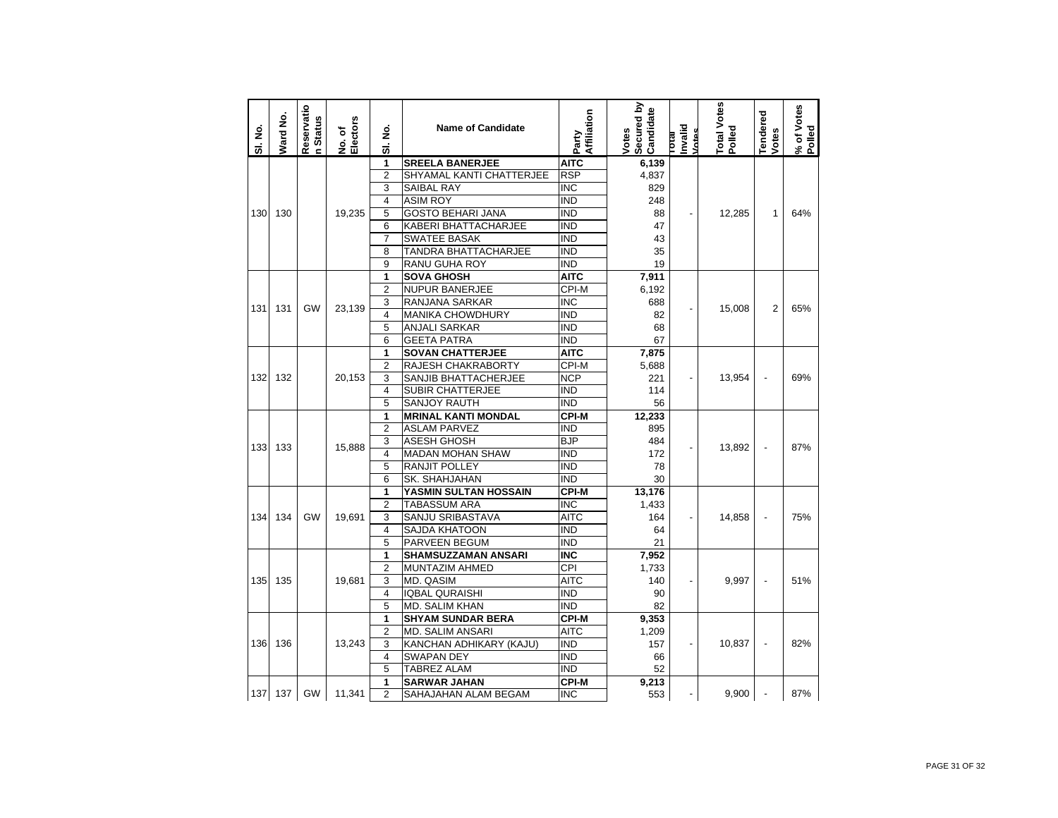| SI. No. | Ward No. | Reservatio<br><b>Status</b><br>Ė | Electors<br>No. of | ş<br>5                  | <b>Name of Candidate</b>    | Affiliation<br>Party | Secured by<br>Candidate<br>Votes | Invalid<br>Votes<br><b>IP101</b> | Total Votes<br>Polled | Tendered<br>Votes | % of Votes<br>Polled |
|---------|----------|----------------------------------|--------------------|-------------------------|-----------------------------|----------------------|----------------------------------|----------------------------------|-----------------------|-------------------|----------------------|
|         |          |                                  |                    | 1                       | <b>SREELA BANERJEE</b>      | <b>AITC</b>          | 6,139                            |                                  |                       |                   |                      |
|         |          |                                  |                    | $\overline{2}$          | SHYAMAL KANTI CHATTERJEE    | <b>RSP</b>           | 4,837                            |                                  |                       |                   |                      |
|         |          |                                  |                    | 3                       | <b>SAIBAL RAY</b>           | <b>INC</b>           | 829                              |                                  |                       |                   |                      |
|         |          |                                  |                    | 4                       | <b>ASIM ROY</b>             | IND                  | 248                              |                                  |                       |                   |                      |
| 130     | 130      |                                  | 19,235             | 5                       | <b>GOSTO BEHARI JANA</b>    | <b>IND</b>           | 88                               | $\overline{a}$                   | 12,285                | 1                 | 64%                  |
|         |          |                                  |                    | 6                       | <b>KABERI BHATTACHARJEE</b> | <b>IND</b>           | 47                               |                                  |                       |                   |                      |
|         |          |                                  |                    | $\overline{7}$          | <b>SWATEE BASAK</b>         | <b>IND</b>           | 43                               |                                  |                       |                   |                      |
|         |          |                                  |                    | 8                       | TANDRA BHATTACHARJEE        | <b>IND</b>           | 35                               |                                  |                       |                   |                      |
|         |          |                                  |                    | 9                       | <b>RANU GUHA ROY</b>        | <b>IND</b>           | 19                               |                                  |                       |                   |                      |
|         |          |                                  |                    | 1                       | <b>SOVA GHOSH</b>           | <b>AITC</b>          | 7,911                            |                                  |                       |                   |                      |
|         |          |                                  |                    | $\overline{2}$          | <b>NUPUR BANERJEE</b>       | CPI-M                | 6,192                            |                                  |                       |                   |                      |
| 131     | 131      | GW                               | 23,139             | 3                       | RANJANA SARKAR              | <b>INC</b>           | 688                              | $\overline{a}$                   | 15,008                | 2                 | 65%                  |
|         |          |                                  |                    | 4                       | <b>MANIKA CHOWDHURY</b>     | <b>IND</b>           | 82                               |                                  |                       |                   |                      |
|         |          |                                  |                    | 5                       | ANJALI SARKAR               | <b>IND</b>           | 68                               |                                  |                       |                   |                      |
|         |          |                                  |                    | 6                       | <b>GEETA PATRA</b>          | <b>IND</b>           | 67                               |                                  |                       |                   |                      |
|         |          |                                  |                    | 1                       | <b>SOVAN CHATTERJEE</b>     | <b>AITC</b>          | 7,875                            |                                  |                       |                   |                      |
|         |          |                                  |                    | $\overline{2}$          | RAJESH CHAKRABORTY          | CPI-M                | 5,688                            |                                  |                       |                   |                      |
| 132     | 132      |                                  | 20,153             | 3                       | SANJIB BHATTACHERJEE        | <b>NCP</b>           | 221                              |                                  | 13,954                |                   | 69%                  |
|         |          |                                  |                    | $\overline{\mathbf{4}}$ | SUBIR CHATTERJEE            | <b>IND</b>           | 114                              |                                  |                       |                   |                      |
|         |          |                                  |                    | 5                       | <b>SANJOY RAUTH</b>         | <b>IND</b>           | 56                               |                                  |                       |                   |                      |
|         |          |                                  |                    | 1                       | <b>MRINAL KANTI MONDAL</b>  | <b>CPI-M</b>         | 12,233                           |                                  |                       |                   |                      |
|         |          |                                  | 15,888             | $\overline{2}$          | ASLAM PARVEZ                | IND                  | 895                              |                                  |                       |                   |                      |
| 133     | 133      |                                  |                    | 3                       | <b>ASESH GHOSH</b>          | <b>BJP</b>           | 484                              | $\overline{a}$                   | 13,892                | ÷,                | 87%                  |
|         |          |                                  |                    | 4                       | <b>MADAN MOHAN SHAW</b>     | <b>IND</b>           | 172                              |                                  |                       |                   |                      |
|         |          |                                  |                    | 5                       | RANJIT POLLEY               | <b>IND</b>           | 78                               |                                  |                       |                   |                      |
|         |          |                                  |                    | 6                       | SK. SHAHJAHAN               | <b>IND</b>           | 30                               |                                  |                       |                   |                      |
|         |          |                                  |                    | 1                       | YASMIN SULTAN HOSSAIN       | CPI-M                | 13,176                           |                                  |                       |                   |                      |
|         |          |                                  |                    | $\overline{2}$          | <b>TABASSUM ARA</b>         | <b>INC</b>           | 1,433                            |                                  |                       |                   |                      |
| 134     | 134      | GW                               | 19,691             | 3                       | SANJU SRIBASTAVA            | <b>AITC</b>          | 164                              | -                                | 14,858                |                   | 75%                  |
|         |          |                                  |                    | 4                       | SAJDA KHATOON               | <b>IND</b>           | 64                               |                                  |                       |                   |                      |
|         |          |                                  |                    | 5                       | PARVEEN BEGUM               | <b>IND</b>           | 21                               |                                  |                       |                   |                      |
|         |          |                                  |                    | $\overline{1}$          | <b>SHAMSUZZAMAN ANSARI</b>  | <b>INC</b>           | 7,952                            |                                  |                       |                   |                      |
|         |          |                                  |                    | $\overline{2}$          | MUNTAZIM AHMED              | CPI                  | 1,733                            |                                  |                       |                   |                      |
| 135     | 135      |                                  | 19,681             | 3                       | MD. QASIM                   | <b>AITC</b>          | 140                              | -                                | 9,997                 |                   | 51%                  |
|         |          |                                  |                    | $\overline{\mathbf{4}}$ | <b>IQBAL QURAISHI</b>       | <b>IND</b>           | 90                               |                                  |                       |                   |                      |
|         |          |                                  |                    | 5                       | MD. SALIM KHAN              | <b>IND</b>           | 82                               |                                  |                       |                   |                      |
|         |          |                                  |                    | 1                       | <b>SHYAM SUNDAR BERA</b>    | <b>CPI-M</b>         | 9,353                            |                                  |                       |                   |                      |
|         |          |                                  |                    | $\overline{2}$          | <b>MD. SALIM ANSARI</b>     | <b>AITC</b>          | 1,209                            |                                  |                       |                   |                      |
| 136     | 136      |                                  | 13,243             | 3                       | KANCHAN ADHIKARY (KAJU)     | <b>IND</b>           | 157                              | $\overline{a}$                   | 10,837                | ÷,                | 82%                  |
|         |          |                                  |                    | 4                       | <b>SWAPAN DEY</b>           | <b>IND</b>           | 66                               |                                  |                       |                   |                      |
|         |          |                                  |                    | 5                       | <b>TABREZ ALAM</b>          | <b>IND</b>           | 52                               |                                  |                       |                   |                      |
|         |          |                                  |                    | 1                       | <b>SARWAR JAHAN</b>         | <b>CPI-M</b>         | 9,213                            |                                  |                       |                   |                      |
|         | 137 137  | <b>GW</b>                        | 11,341             | $\overline{2}$          | SAHAJAHAN ALAM BEGAM        | <b>INC</b>           | 553                              |                                  | 9.900                 |                   | 87%                  |